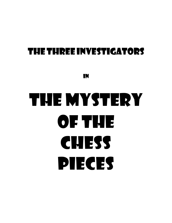## THETHREEINVESTIGATORS

IN

# THE MYSTERY OF THE CHESS PIECES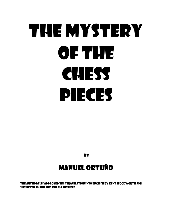# THE MYSTERY OF THE CHESS PIECES

**BY** 

## MANUEL ORTUÑO

The author has approved this translation into English by kent woodworth and wishes to thank him for all his help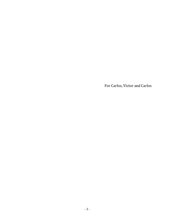For Carlos, Víctor and Carlos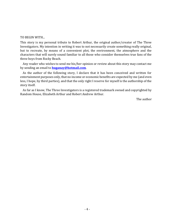#### TO BEGIN WITH...

This story is my personal tribute to Robert Arthur, the original author/creator of The Three Investigators. My intention in writing it was to not necessarily create something really original, but to recreate, by means of a convenient plot, the environment, the atmosphere and the characters that will surely sound familiar to all those who consider themselves true fans of the three boys from Rocky Beach.

Any reader who wishes to send me his/her opinion or review about this story may contact me by sending an email to **huganay@hotmail.com**.

As the author of the following story, I declare that it has been conceived and written for entertainment purposes only, that no income or economic benefits are expected by me (and even less, I hope, by third parties), and that the only right I reserve for myself is the authorship of the story itself.

As far as I know, The Three Investigators is a registered trademark owned and copyrighted by Random House, Elizabeth Arthur and Robert Andrew Arthur.

The author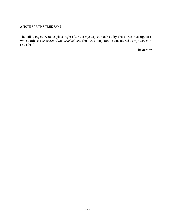#### A NOTE FOR THE TRUE FANS

The following story takes place right after the mystery #13 solved by The Three Investigators, whose title is *The Secret of the Crooked Cat*. Thus, this story can be considered as mystery #13 and a half.

The author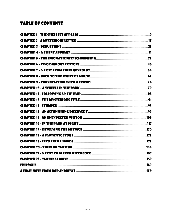## **TABLE OF CONTENTS**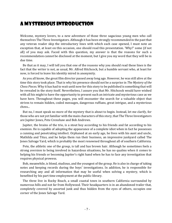## A Mysterious Introduction

Welcome, mystery lovers, to a new adventure of those three sagacious young men who call themselves The Three Investigators. Although it has been strongly recommended in the past that any veteran reader skip the introductory lines with which each case opened, I must note an exception that, at least on this occasion, one should read this presentation. 'Why?' some (if not all) of you may ask. Faced with this question, my answer is that the reasons for such a recommendation cannot be disclosed at the moment, but I give you my word that they will be in due time.

Be that as it may, I will tell you that one of the reasons why you should read these lines is the fact that the writer is not, as usual, Mr. Alfred Hitchcock, but a humble servant who, at least for now, is forced to leave his identity mired in anonymity.

As you all know, the great film director passed away long ago. However, he was still alive at the time this story took place. That is why his presence should not be a surprise in *The Mystery of the Chess Pieces*. Why it has had to wait until now for this story to be published is something that will be revealed in the story itself. Nevertheless, I assure you that Mr. Hitchcock would have wished with all his might to have the opportunity to present such an intricate and mysterious case as we have here. Throughout these pages, you will encounter the search for a valuable object that strives to remain hidden, coded messages, dangerous ruffians, great intrigue, and a mysterious chess...

But no, I must speak no more of the mystery that is about to begin. Instead, let me clarify, for those who are not yet familiar with the main characters of this story, that The Three Investigators are Jupiter Jones, Pete Crenshaw and Bob Andrews.

Jupiter, the brains of the trio, is a stout boy according to his friends and fat according to his enemies. He is capable of adopting the appearance of a complete idiot when in fact he possesses a cunning and penetrating intellect. Orphaned at an early age, he lives with his aunt and uncle, Mathilda and Titus, and he helps them run their business, an impressive junkyard called The Jones Salvage Yard, which is probably the most renowned throughout all of southern California.

Pete, the athletic one of the group, is tall and has brown hair. Although he sometimes feels a strong aversion to being involved in hazardous situations, he has no qualms when it comes to helping his friends or becoming Jupiter's right hand when he has to face any investigation that requires physical prowess.

Bob, meanwhile, is blond, studious, and the youngest of the group. He is also in charge of taking notes and keeping records during the boys' investigations. In addition, he is responsible for researching any and all information that may be useful when solving a mystery, which is benefited by his part time employment at the public library.

The three live in Rocky Beach, a small coastal town in southern California surrounded by numerous hills and not far from Hollywood. Their headquarters is in an abandoned trailer that, completely covered by assorted junk and thus hidden from the eyes of others, occupies one corner of the Jones Salvage Yard.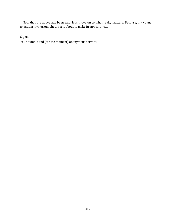Now that the above has been said, let's move on to what really matters. Because, my young friends, a mysterious chess set is about to make its appearance...

Signed,

Your humble and (for the moment) anonymous servant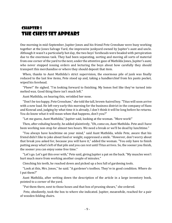## <span id="page-8-0"></span>**CHAPTER 1** The Chess Set Appears

One morning in mid-September, Jupiter Jones and his friend Pete Crenshaw were busy working together at the Jones Salvage Yard, the impressive junkyard owned by Jupiter's aunt and uncle. Although it wasn't a particularly hot day, the two boys' foreheads were beaded with perspiration due to the enormous task. They had been separating, sorting and moving all sorts of material from one corner of the yard to the next, under the attentive gaze of Mathilda Jones, Jupiter's aunt, who never stopped issuing orders and lecturing the boys about how carefully they should transport this merchandise or where they should deposit that item.

When, thanks to Aunt Mathilda's strict supervision, the enormous pile of junk was finally reduced to the last few items, Pete stood up and, taking a handkerchief from his pants pocket, wiped his forehead.

"Phew!" He sighed. "I'm looking forward to finishing. My bones feel like they've turned into melted wax. Good thing there isn't much left."

Aunt Mathilda, on hearing this, wrinkled her nose.

"Don't be too happy, Pete Crenshaw," she told the tall, brown-haired boy. "Titus will soon arrive with a new load. He left very early this morning for the business district in the company of Hans and Konrad and, judging by what time it is already, I don't think it will be long before he returns. You do know what it will mean when that happens, don't you?"

"Let me guess, Aunt Mathilda," Jupiter said, looking at the woman. "More work!"

Then, after exhaling heavily, he added plaintively, "Oh, come on, Aunt Mathilda. Pete and I have been working non-stop for almost two hours. We need a break or we'll be dead by lunchtime."

"You always have lunchtime on your mind," said Aunt Mathilda, while Pete, aware that his friend didn't like to joke about food or weight, suppressed a smile. "However, don't worry about that break you asked for, because you will have it," added the woman. "You only have to finish putting away what's left of that pile and you can rest until Titus arrives. So, the sooner you finish, the sooner you can enjoy some free time."

"Let's go. Let's get this over with," Pete said, giving Jupiter a pat on the back. "My muscles won't hurt much more from working another couple of minutes."

Clenching his teeth, he reached down and picked up a box full of gardening tools.

"Look at this, Mrs. Jones," he said. "A gardener's toolbox. They're in good condition. Where do I put them?"

Aunt Mathilda, after writing down the description of the article in a large inventory book, pointed to a corner of the yard.

"Put them there, next to those hoses and that box of pruning shears," she ordered.

Pete, obediently, took the box to where she indicated. Jupiter, meanwhile, reached for a pair of wooden folding chairs.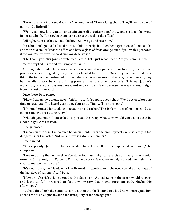"Here's the last of it, Aunt Mathilda," he announced. "Two folding chairs. They'll need a coat of paint and a little oil."

"Well, you know how you can entertain yourself this afternoon," the woman said as she wrote in her notebook. "Jupiter, let them lean against the wall of the office."

"All right, Aunt Mathilda," said the boy. "Can we go and rest now?"

"Yes, but don't go too far," said Aunt Mathilda sternly, but then her expression softened as she added with a smile: "Pass the office and have a glass of fresh orange juice if you wish. I prepared it for you. You've worked hard and you deserve it."

"Oh! Thank you, Mrs. Jones!" exclaimed Pete. "That's just what I need. Are you coming, Jupe?"

"Sure!" replied his friend, winking at his aunt.

Although she made them sweat when she insisted on putting them to work, the woman possessed a heart of gold. Quickly, the boys headed to the office. Once they had quenched their thirst, the two of them retreated to a secluded corner of the junkyard where, some time ago, they had installed a workbench, a printing press, and various other accessories. This was Jupiter's workshop, where the boys could meet and enjoy a little privacy because the area was out of sight from the rest of the yard.

Once there, Pete panted.

"Phew! I thought we would never finish," he said, dropping onto a chair. "We'd better take some time to rest, Jupe. You heard your aunt. Your uncle Titus will be here soon."

"Mmmm," grunted Jupe, taking his seat in an old rocker. "This isn't my idea of making good use of our time. We are getting rusty."

"What do you mean?" Pete asked. "If you call this rusty, what term would you use to describe a double gym class session?"

Jupe grimaced.

"I mean, in our case, the balance between mental exercise and physical exercise lately is too dangerous for the latter. And we are investigators, remember."

Pete blinked.

"Speak plainly, Jupe. I'm too exhausted to get myself into complicated sentences," he complained.

"I mean during the last week we've done too much physical exercise and very little mental exercise. Since Andy and Carson´s Carnival left Rocky Beach, we've only worked like mules. It's clear to me, we need a case."

"It's clear to me, my friend, what I really need is a good swim in the ocean to take advantage of the last days of summer," said Pete.

"Maybe you're right," Jupe agreed with a deep sigh. "A good swim in the ocean would relax us and leave us fully prepared to face any mystery that might cross our path. Maybe this afternoon..."

But he didn't finish the sentence, for just then the shrill sound of a loud horn interrupted him as the roar of an engine invaded the tranquility of the salvage yard.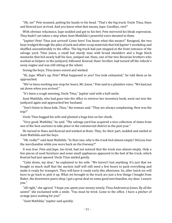"Oh, no!" Pete moaned, putting his hands to his head. "That's the big truck. Uncle Titus, Hans and Konrad just arrived. And you know what that means, Jupe. Goodbye, rest!"

With obvious reluctance, Jupe nodded and got to his feet. Pete mirrored his bleak expression. They hadn't yet taken a step when Aunt Mathilda's powerful voice shouted to them.

"Jupiter! Pete! Titus just arrived! Come here! You know what this means!" Resigned, the two boys trudged through the piles of junk and other scrap materials that hid Jupiter's workshop and shuffled uncomfortably to the office. The big truck had just stopped at the front entrance of the salvage yard. Titus Jones, a small but sturdy man with broad shoulders and a huge black mustache that hid nearly half his face, jumped out. Hans, one of the two Bavarian brothers who worked as helpers in the junkyard, followed. Konrad, Hans' brother, had turned off the vehicle's noisy engine and was still sitting at the wheel.

Seeing the boys, Titus Jones waved and winked.

"Hi, Jupe. What's up, Pete? What happened to you? You look exhausted," he told them as he approached.

"We've been working non-stop for hours, Mr. Jones," Pete said in a plaintive voice. "We had just sat down when you arrived."

"It's been a rough morning, Uncle Titus," Jupiter said with a half-smile.

Aunt Mathilda, who had gone into the office to retrieve her inventory book, went out into the junkyard again and approached her husband.

"Don't listen to these kids, Titus," the woman said. "They are always complaining. How was the trip?"

Uncle Titus hugged his wife and planted a huge kiss on her cheek.

"Very good, Mathilda," he said. "The salvage yard has acquired a nice collection of items from one of the best auctions to take place in the commercial district in the past year."

He turned to Hans and Konrad and winked at them. They, for their part, nodded and smiled at Aunt Mathilda and the boys.

"Oh, really?" said Aunt Mathilda. "In that case, why is the truck bed almost empty? Did you lose the merchandise while you were back on the freeway?"

It was true. Pete and Jupe, too tired, had not noticed that the truck was almost empty. Only a few pieces of used furniture and some small appliances appeared in the bed of the truck, which Konrad had just opened. Uncle Titus smiled gently.

"Calm down, my dear," he explained to his wife. "We haven't lost anything. It's just that we bought so much stuff that the auction staff will still need a few hours to pack everything and make it ready for transport. They will have it ready early this afternoon. So, after lunch we will have to go back to pick it up. What we brought in the truck are just a few things I bought from Baker, the downtown pawn shop. I got a great deal on some good merchandise, my dear, I assure you."

"All right," she agreed. "I hope you spent your money wisely, Titus Andronicus Jones. By all the saints!" she exclaimed with a smile. "You must be tired. Come to the office. I have a pitcher of orange juice waiting for you!"

"Aunt Mathilda," Jupiter said quickly.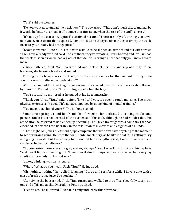"Yes?" said the woman.

"Do you want us to unload the truck now?" The boy asked. "There isn't much there, and maybe it would be better to unload it all at once this afternoon, when the rest of the stuff is here..."

"It's not up for discussion, Jupiter!" exclaimed his aunt. "There are only a few things, so it will take you even less time than expected. Come on! It won't take you ten minutes to empty the truck. Besides, you already had orange juice."

"Leave it, woman," Uncle Titus said with a smile as he slipped an arm around his wife's waist. "They have already worked hard. Look at them, they're sweating. Hans, Konrad and I will unload the truck as soon as we've had a glass of that delicious orange juice that only you know how to make."

Visibly flattered, Aunt Mathilda frowned and looked at her husband reproachfully. Then, however, she let out a breath and smiled.

Turning to the boys, she said to them, "It's okay. You are free for the moment. But try to be around early this afternoon, understand?"

With that, and without waiting for an answer, she started toward the office, closely followed by Hans and Konrad. Uncle Titus, smiling, approached the boys.

"You're lucky," he muttered as he pulled at his huge mustache.

"Thank you, Uncle Titus," said Jupiter. "Like I told you, it's been a rough morning. Too much physical exercise isn't good if it's not accompanied by some kind of mental training."

"You mean that club of yours?" The junkman asked.

Some time ago Jupiter and his friends had formed a club dedicated to solving riddles and puzzles. Uncle Titus had learned of the existence of this club, although he had no idea that this association he referred to had ended up becoming The Three Investigators, a company that had extended its horizons considerably in the resolution of mysteries and enigmas of all kinds.

"That's right, Mr. Jones," Pete said. "Jupe complains that we don't have anything at the moment to get our brains going. He fears that our mental machinery, as he likes to call it, is getting rusty and going to waste. But I've already told him that before anything else, I need to lie down and rest to recharge my batteries."

"So, you desire to exercise your gray matter, eh, Jupe?" said Uncle Titus, looking at his nephew. "Well, we'll figure something out. Sometimes it doesn't require great mysteries, but everyday solutions to remedy such situations."

Jupiter, blinking, was on his guard.

"What...? What do you mean, Uncle Titus?" He inquired.

"Oh, nothing, nothing," he replied, laughing. "Go, go and rest for a while. I have a date with a glass of fresh orange juice. See you later."

After giving the boys a nod, Uncle Titus turned and walked to the office, cheerfully tugging at one end of his mustache. Once alone, Pete stretched.

"Free at last," he muttered. "Even if it's only until early this afternoon."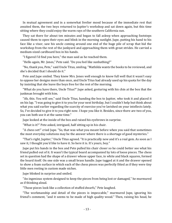In mutual agreement and in a somewhat livelier mood because of the immediate rest that awaited them, the two boys returned to Jupiter's workshop and sat down again, but this time sitting where they could enjoy the warm rays of the southern California sun.

They sat there for about ten minutes and began to fall asleep when approaching footsteps caused them to open their eyes and blink in the morning sunlight. Jupe, putting his hand to his face like a visor, saw his uncle coming around one end of the huge pile of scrap that hid the workshop from the rest of the junkyard and approaching them with great strides. He carried a medium-sized cardboard box in his hands.

"I figured I'd find you here," the man said as he reached them.

"Hello again, Mr. Jones," Pete said. "Do you feel like sunbathing?"

"No, thank you, Pete," said Uncle Titus, smiling. "Mathilda wants the books to be reviewed, and she's decided that I should do it."

Pete and Jupe smiled. They knew Mrs. Jones well enough to know full well that it wasn't easy to oppose her designs more than once, and Uncle Titus had already used up his quota for the day by insisting that she leave the boys free for the rest of the morning.

"What do you have there, Uncle Titus?" Jupe asked, gesturing with his chin at the box that the junkman brought with him.

"Ah, this. You will see," said Uncle Titus, handing the box to Jupiter, who took it and placed it on his lap. "I was going to give it to you for your next birthday, but I couldn't help but think about what you said earlier regarding the scarcity of exercise you've lavished on your intellects lately. So, I've decided to give it to you right now. I hope you like it. Besides, since there are two of you, you can both use it at the same time."

Jupe looked at the inside of the box and raised his eyebrows in surprise.

"What is it?" Pete asked, intrigued, half sitting up in his chair.

"A chess set!" cried Jupe. "So, that was what you meant before when you said that sometimes the most everyday solutions may be the answer where there is a shortage of good mysteries."

"That's right, Jupiter," Uncle Titus agreed. "It is practically new and it's a real gem. As soon as I saw it, I thought you'd like to have it. So here it is. It's yours, boy."

Jupe put his hands in the box and Pete pulled his chair closer so he could better see what his friend pulled out of it. It wasn't the typical board accompanied by lots of loose pieces. The chess set in question had the shape of a drawer whose upper face, in white and black squares, formed the board itself. On one side was a small brass handle. Jupe tugged at it and the drawer opened to show a foam surface in which each of the chess pieces was perfectly fitted as if they were tiny little men resting in custom made niches.

Jupe blinked in surprise and smiled.

"An ingenious system designed to keep the pieces from being lost or damaged," he murmured as if thinking aloud.

"Those pieces look like a collection of stuffed dwarfs," Pete laughed.

"The workmanship and detail of the pieces is impeccable," murmured Jupe, ignoring his friend's comment, "and it seems to be made of high quality wood." Then, raising his head, he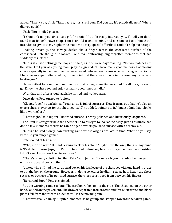added, "Thank you, Uncle Titus. I agree, it is a real gem. Did you say it's practically new? Where did you get it?"

Uncle Titus smiled pleased.

"I shouldn't tell you since it's a gift," he said. "But if it really interests you, I'll tell you that I found it at Baker's pawn shop. Tom is an old friend of mine, and as soon as I told him that I intended to give it to my nephew he made me a very special offer that I couldn't help but accept."

Looking dreamily, the salvage dealer slid a finger across the checkered surface of the chessboard. Pete thought he looked like a man embracing long forgotten memories that had suddenly resurfaced.

"Chess is a fascinating game, boys," he said, as if he were daydreaming. "No two matches are the same. I tell you, as a young man I played a great deal. I have many good memories of playing chess, especially in the free time that we enjoyed between each show when working in the circus. I became an expert after a while, to the point that there was no one in the company capable of beating me."

He was silent for a moment and then, as if returning to reality, he added, "Well boys, I have to go. Enjoy the chess set and enjoy as many good times as I did."

With that, and after a loud laugh, he turned and walked away.

Once alone, Pete turned to Jupiter.

"Gleeps, Jupe!" he exclaimed. "Your uncle is full of surprises. Now it turns out that he's also an expert chess player! As for the chess set itself," he added, pointing to it, "I must admit that it looks like a work of art."

"That's right," said Jupiter. "Its wood surface is neatly polished and luxuriously lacquered."

The First Investigator held the chess set up to his eyes to look at it closely. Just as his uncle had done a few moments earlier, he ran a finger down its polished surface with a dreamy air.

"Chess," he said slowly. "An exciting game whose origins are lost in time. What do you say, Pete? Do you fancy a game?"

Pete looked at his friend.

"Who, me? No way!" He said, leaning back in his chair. "Right now, the only thing on my mind is 'Rest.' No offense, Jupe, but I'm still too tired to hurt my brain with a game like chess. Besides, I don't even know how the pieces move."

"There's an easy solution for that, Pete," said Jupiter. "I can teach you the rules. Let me get rid of this cardboard box and then..."

Jupiter, who still had the cardboard box on his lap, let go of the chess set with one hand in order to put the box on the ground. However, in doing so, either he didn't realize how heavy the chess set was or because of its polished surface, the chess set slipped from between his fingers.

"Be careful, Jupe!" Pete exclaimed.

But the warning came too late. The cardboard box fell to the side. The chess set, on the other hand, landed on the pavement. The drawer separated from its case and five or six white and black pieces fell from their foam holder to roll in the morning sun.

"That was really clumsy!" Jupiter lamented as he got up and stepped towards the fallen game.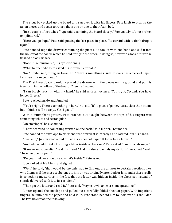The stout boy picked up the board and ran over it with his fingers. Pete knelt to pick up the fallen pieces and began to return them one by one to their foam bed.

"Just a couple of scratches," Jupe said, examining the board closely. "Fortunately, it's not broken or splintered."

"Here you go, Jupe," Pete said, putting the last piece in place. "Be careful with it, don't drop it again."

Pete handed Jupe the drawer containing the pieces. He took it with one hand and slid it into the hollow of the board, which he held firmly in the other. In doing so, however, a look of surprise flashed across his face.

"Oooh..." he murmured, his eyes widening.

"What happened?" Pete asked. "Is it broken after all?"

"No," Jupiter said, biting his lower lip. "There is something inside. It looks like a piece of paper. Let's see if I can get it out."

The First Investigator carefully placed the drawer with the pieces on the ground and put his free hand in the hollow of the board. Then he frowned.

"I can barely reach it with my hand," he said with annoyance. "You try it, Second. You have longer fingers."

Pete reached inside and fumbled.

"You're right. There's something in here," he said. "It's a piece of paper. It's stuck to the bottom, but I think it will be easy... Yes. I got it."

With a triumphant gesture, Pete reached out. Caught between the tips of his fingers was something white and rectangular.

"An envelope!" he exclaimed.

"There seems to be something written on the back," said Jupiter. "Let me see."

Pete handed the envelope to his friend who stared at it intently as he rotated it in his hands.

"To Glenn," Jupiter read aloud. "Inside is a sheet of paper. It looks like a letter..."

"And who would think of putting a letter inside a chess set?" Pete asked. "Isn't that strange?"

"It seems most peculiar," said his friend. "And it's also extremely mysterious," he added. "Well! The envelope is open..."

"Do you think we should read what's inside?" Pete asked.

Jupe looked at his friend and sighed.

"Well," he said, "that would be the only way to find out the answer to certain questions like, who Glenn is, if the chess set belongs to him or was originally intended for him, and if there really is something mysterious in the fact that the letter was hidden inside the chess set instead of simply delivered with it to its recipient."

"Then get the letter and read it," Pete said. "Maybe it will answer some questions."

Jupiter opened the envelope and pulled out a carefully folded sheet of paper. With impatient fingers, he unfolded the paper and held it up. Pete stood behind him to look over his shoulder. The two boys read the following: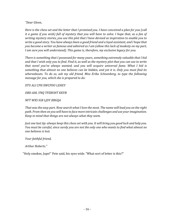#### *"Dear Glenn,*

*Here is the chess set and the letter that I promised you. I have conceived a plan for you (call it a game if you wish) full of mystery that you will have to solve. I hope that, as a fan of writing mystery stories, you use this plot that I have devised as inspiration to enable you to write a good story. You have always been a good friend and a loyal assistant, and I hope that you become a writer as famous and admired as I am (allow this lack of modesty on my part, I am sure you will understand). This game is, therefore, my exclusive legacy for you.*

*There is something that I possessed for many years, something extremely valuable that I hid and that I wish only you to find. Find it, as well as the mystery plot that you can use to write that novel you've always wanted, and you will acquire universal fame. What I hid is something that almost no one believes can be hidden, and yet it is. Only you must find its whereabouts. To do so, ask my old friend, Miss Erika Schoenberg, to type the following message for you, which she is prepared to do:*

*XTU ALI CPH XWCPDU LEHEY*

*OBD AHL VNQ TPZBUHT KKVB*

*NFT WXS IGB LJDY RBGQA*

*That was the easy part. Now search what I love the most. The name will lead you on the right path. From then on you will have to face more intricate challenges and use your imagination. Keep in mind that things are not always what they seem.*

*Just one last tip: always keep this chess set with you. It will bring you good luck and help you. You must be careful, since surely you are not the only one who wants to find what almost no one believes is lost.*

*Your faithful friend,*

*Arthur Roberts."*

"Holy smokes, Jupe!" Pete said, his eyes wide. "What sort of letter is this?"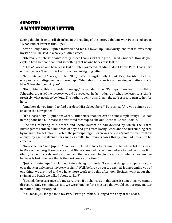#### <span id="page-16-0"></span>Chapter 2 A Mysterious Letter

Seeing that his friend, still absorbed in the reading of the letter, didn't answer, Pete asked again, "What kind of letter is this, Jupe?"

After a long pause, Jupiter frowned and bit his lower lip. "Obviously, one that is extremely mysterious," he said in a barely audible voice.

"Oh, really?" Pete said sarcastically. "Gee! Thanks for telling me. I hardly noticed. How do you explain how someone can find something that no one believes is lost?"

"That *almost* no one believes is lost," Jupiter corrected. "I admit I don't know, Pete. That's part of the mystery. The truth is that it's a most intriguing letter."

"Most intriguing?" Pete grumbled. "Boy, that's putting it mildly. I think it's gibberish in the form of a puzzle and disguised as a hieroglyph. What about that series of meaningless letters that a Miss Schoenberg must type?"

"Undoubtedly, this is a coded message," responded Jupe. "Perhaps if we found this Erika Schoenberg, part of the mystery would be revealed. In fact, judging by what the letter says, that's precisely what needs to be done. The author openly asks Glenn, the addressee, to turn to her for help."

"And how do you intend to find our dear Miss Schoenberg?" Pete asked. "Are you going to put an ad in the newspaper?"

"It's a possibility," Jupiter answered. "But before that, we can do some simple things like look in the phone book. Or more sophisticated techniques like our Ghost-to-Ghost Hookup."

Jupe was referring to a search and locate system he had devised by which The Three Investigators contacted hundreds of boys and girls from Rocky Beach and the surrounding area by means of the telephone. Each of the participating children was called a "ghost" to ensure their anonymity against strange ears such as adults. In previous cases this system had proven to be effective.

"Nevertheless," said Jupiter, "I'm more inclined to look for Glenn. It is he who is told to resort to Miss Schoenberg. It seems clear that Glenn knows who she is and where to find her. If we find Glenn, he would surely lead us to her, and then we could begin to search for what almost no one believes is lost. I believe that is the best course of action."

"Just a minute, Jupe!" exclaimed Pete, raising his hands. "I see that dangerous spark in your eyes that can only mean 'mystery in sight.' Well, before you get too excited, let me remind you of one thing: we are tired and we have more work to do this afternoon. Besides, what about that swim at the beach we talked about earlier?"

"Second, the occurrence of a mystery, even if by chance as in this case, is something we cannot disregard. Only ten minutes ago, we were longing for a mystery that would set our gray matter in motion," Jupiter argued.

"You mean *you* longed for a mystery," Pete grumbled. "I longed for a day at the beach."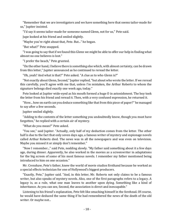"Remember that we are investigators and we have something here that seems tailor-made for us," Jupiter insisted.

"I'd say it seems tailor-made for someone named Glenn, not for us," Pete said.

Jupe looked at his friend and smiled slightly.

"Maybe you're right about that, Pete. But..." he began.

"But what?" Pete snapped.

"I was going to say that if we found this Glenn we might be able to offer our help in finding what almost no one believes is lost."

"I prefer the beach," Pete grunted.

"On the other hand, I believe there is something else which, with almost certainty, can be drawn from this letter," Jupiter announced as he continued to reread the letter.

"Oh, yeah? And what is that?" Pete asked. "A clue as to who Glenn is?"

"Not exactly about Glenn, Second," Jupiter replied, "but about who wrote the letter. If we reread this carefully, you'll agree with me that, unless I'm mistaken, the Arthur Roberts to whom the signature belongs died exactly one week ago, today."

Pete looked at Jupiter wide-eyed as his mouth formed a huge O in astonishment. The boy took the letter from his friend and reread it. Then, with a very confused expression, he returned it.

"How... how on earth can you deduce something like that from this piece of paper?" he managed to say after a few seconds.

Jupiter smiled slightly.

"Adding to the contents of the letter something you undoubtedly know, though you must have forgotten," he replied with a certain air of mystery.

"What do you mean?" Pete asked.

"You see," said Jupiter. "Actually, only half of my deduction comes from the letter. The other half is due to the fact that only seven days ago, a famous writer of mystery and espionage novels called Arthur Roberts died. The news was in all the newspapers and was even on television. Maybe you missed it or simply don't remember."

"Now I remember..." said Pete, nodding slowly. "My father said something about it a few days ago, during dinner. Apparently, he also worked in the movies as a screenwriter in adaptations for the big screen of some of his most famous novels. I remember my father mentioned being introduced to him on one occasion."

Mr. Crenshaw, Pete's father, knew the world of movie studios firsthand because he worked as a special effects technician for one of Hollywood's biggest producers.

"Exactly, Pete," Jupiter said. "And, in this letter, Mr. Roberts not only claims to be a famous writer, but also speaks of mystery novels. Also, one of the first paragraphs refers to a legacy. A legacy is, as a rule, what one man leaves to another upon dying. Something like a kind of inheritance. As you can see, Second, the association is direct and inescapable."

Listening to his friend's explanation, Pete felt like smacking himself in the forehead. Of course, he would have deduced the same thing if he had remembered the news of the death of the old writer. Or maybe not...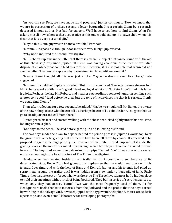"As you can see, Pete, we have made rapid progress," Jupiter continued. "Now we know that we are in possession of a chess set and a letter bequeathed to a certain Glenn by a recently deceased famous author. Not bad for starters. We'll have to see how to find Glenn. What I'm asking myself now is how a chess set as nice as this one would end up in a pawn shop when it is clear that it is a very personal gift."

"Maybe this Glenn guy was in financial trouble," Pete said.

"Mmmm... It's possible, though it doesn't seem very likely," Jupiter said.

"Why not?" inquired the Second Investigator.

"Mr. Roberts explains in the letter that there is a valuable object that can be found with the aid of this chess set," explained Jupiter. "If Glenn was having economic difficulties he wouldn't dispose of an object that could lead to a fortune. Of course, it is also possible that Glenn did not see the letter. That would explain why it remained in place until we found it."

"Maybe Glenn thought all this was just a joke. Maybe he doesn't even like chess," Pete suggested.

"Mmmm... It could be," Jupiter conceded. "But I'm not convinced. The letter seems sincere. In it Mr. Roberts speaks of Glenn as 'a good friend and loyal assistant'. No, Pete, I don't think this letter is a joke. Perhaps the late Mr. Roberts had a rather extraordinary sense of humor in sending such a letter to a good friend before he died, but the tone of it convinces me that it is serious. If only we could find Glenn..."

Then, after reflecting for a few seconds, he added, "Maybe we should call Mr. Baker, the owner of the pawn shop, to see what he can tell us. Perhaps he can tell us about Glenn. I suggest that we go to Headquarters and call from there."

Jupiter got to his feet and started walking with the chess set tucked tightly under his arm. Pete, looking at him, sighed.

"Goodbye to the beach," he said before getting up and following his friend.

The two boys made their way to a space behind the printing press in Jupiter's workshop. Near the ground was a metal grating that seemed to have been left there by chance. It appeared to be propped up against the huge pile of junk. However, when Jupiter picked it up and set it aside, the grating revealed the mouth of a metal pipe through which both boys entered and started to crawl forward. The boys had named the galvanized iron pipe 'Tunnel Two'. It was one of the secret entrances leading to the headquarters of The Three Investigators.

Headquarters was located inside an old trailer which, impossible to sell because of its deteriorated state, Uncle Titus had given to his nephew so that he could meet there with his friends. Over time, and with the help of Hans and Konrad, Jupiter and his friends had piled up scrap metal around the trailer until it was hidden from view under a huge pile of junk. Uncle Titus either lost interest or forgot what was there, so The Three Investigators had a hidden place to hold their meetings without risk of being bothered. They built a series of secret entrances to which only they had access. Tunnel Two was the most frequently used of them. As for Headquarters itself, thanks to materials from the junkyard and the profits that the boys earned by working in the salvage yard, it was equipped with a typewriter, telephone, chairs, office desk, a periscope, and even a small laboratory for developing photographs.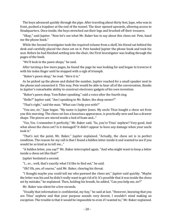The boys advanced quickly through the pipe. After traveling about thirty feet, Jupe, who was in front, pushed a trapdoor at the end of the tunnel. The door opened upwards, allowing access to Headquarters. Once inside, the boys stretched out their legs and brushed off their trousers.

"Okay," said Jupiter. "Now let's see what Mr. Baker has to say about this chess set. Pete, hand me the phone book."

While the Second Investigator took the required volume from a shelf, his friend sat behind the desk and carefully placed the chess set on it. Pete handed Jupiter the phone book and took his seat. Before he had finished settling into the chair, the First Investigator was leafing through the pages of the book.

"We'll look in the pawn shops," he said.

After turning a few more pages, he found the page he was looking for and began to traverse it with his index finger until he stopped with a sigh of triumph.

"Baker's pawn shop," he read. "Here it is."

As he picked up the phone and dialed the number, Jupiter reached for a small speaker next to the phone and connected it. This way, Pete would be able to hear all of the conversation, thanks to Jupiter's remarkable ability to construct electronic gadgets of his own invention.

"Baker's pawn shop. Tom Baker speaking," said a voice after the fourth ring.

"Hello?" Jupiter said. "Am I speaking to Mr. Baker, the shop owner?"

"That's right," said the man. "What can I help you with?"

"You see, sir," Jupe began. "My name is Jupiter Jones. My uncle Titus bought a chess set from you this morning. The chess set has a luxurious appearance, is practically new and has a drawer shape. The pieces are stored inside a bed of foam and..."

"Yes, Yes. I remember it perfectly," Mr. Baker said. "So, you're Titus' nephew? Very good. And what about the chess set? Is it damaged? It didn't appear to have any damage when your uncle took it."

"That's not the point, Mr. Baker," Jupiter explained. "Actually, the chess set is in perfect condition. The reason for my call is that I found a hidden letter inside it and wanted to see if you would be so kind as to tell me..."

"A hidden letter, you say?" Mr. Baker interrupted again. "And who might want to keep a letter inside a chess set like that?"

Jupiter hesitated a second.

"I... er... well, that's exactly what I'd like to find out," he said.

"Oh? Oh, yes, of course," said Mr. Baker, clearing his throat.

"I thought maybe you could tell me who pawned the chess set," Jupiter said quickly. "Maybe the letter was his and he didn't really want to get rid of it. It's possible that it was inside the chess set by mistake," he explained. Then, holding his breath, he added, "Can you help me, sir?"

Mr. Baker was silent for a few seconds.

"Usually that information is confidential, my boy," he said at last. "However, knowing that you are Titus' nephew and that your purpose sounds very decent, I wouldn't mind making an exception. The trouble is that it would be impossible to even if I wanted to," Mr. Baker explained.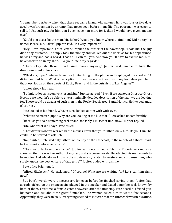"I remember perfectly when that chess set came in and who pawned it. It was four or five days ago. It was brought in by a tramp I had never seen before in my life. The poor man was eager to sell it. I felt such pity for him that I even gave him more for it than I would have given anyone else."

"Could you describe the man, Mr. Baker? Would you know where to find him? Did he say his name? Please, Mr. Baker," Jupiter said. "It's very important."

"Hey! How important is that letter?" replied the owner of the pawnshop. "Look, kid, the guy didn't say his name. He simply took the money and walked out the door. As for his appearance, he was dirty and had a beard. That's all I can tell you. And now you'll have to excuse me, but I have work to do in my shop. Give your uncle my regards."

"That's okay, Mr. Baker. I will. And thanks anyway," Jupiter said, unable to hide the disappointment in his voice.

"Whiskers, Jupe!" Pete exclaimed as Jupiter hung up the phone and unplugged the speaker. "A dirty, bearded bum. What a description! Do you have any idea how many homeless people fit that description on the streets of Rocky Beach and in the outskirts of Los Angeles?"

Jupiter shook his head.

"I admit it doesn't seem very promising," Jupiter agreed. "Even if we started a Ghost-to-Ghost Hookup we wouldn't be able to give a minimally detailed description of the man we are looking for. There could be dozens of such men in the Rocky Beach area, Santa Monica, Hollywood and... of course..."

Pete looked at his friend. Who, in turn, looked at him with wide eyes.

"What's the matter, Jupe? Why are you looking at me like that?" Pete asked uncomfortably.

"Because you said something earlier and, foolishly, I missed it until now," Jupiter replied.

"Oh? And what did I say?" Pete asked.

"That Arthur Roberts worked in the movies. Even that your father knew him. Do you think he could...?" he started to ask Pete.

"Impossible," Pete said. "My father is currently on the east coast, in the middle of a shoot. It will be two weeks before he returns."

"Then we only have one chance," Jupiter said determinedly. "Arthur Roberts worked as a screenwriter. He was the author of mystery and suspense novels. He adapted his own novels to be movies. And who do we know in the movie world, related to mystery and suspense films, who surely knows the best writers of that genre?" Jupiter added with a smile.

Pete's face brightened.

"Alfred Hitchcock!" He exclaimed. "Of course! What are we waiting for? Let's call him right now!"

But Pete's words were unnecessary, for even before he finished saying them, Jupiter had already picked up the phone again, plugged in the speaker and dialed a number well-known by both of them. This time, a female voice answered after the first ring. Pete heard his friend give his name and ask about the great filmmaker. The woman asked him to wait a few seconds. Apparently, they were in luck. Everything seemed to indicate that Mr. Hitchcock was in his office.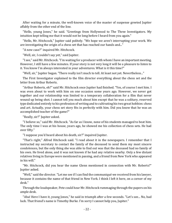After waiting for a minute, the well-known voice of the master of suspense greeted Jupiter affably from the other end of the line.

"Hello, young Jones," he said. "Greetings from Hollywood to The Three Investigators. My intuition kept telling me that it would not be long before I heard from you again."

"Hello, Mr. Hitchcock," Jupiter said politely. "We hope we aren't interrupting your work. We are investigating the origin of a chess set that has reached our hands and..."

"A new case?" inquired Mr. Hitchcock.

"Well, sir, I couldn't say yet," said Jupiter.

"I see," said Mr. Hitchcock. "I'm waiting for a producer with whom I have an important meeting. However, I still have a few minutes. If your story is not very long it will be a pleasure to listen to it. You know I'm always interested in your adventures. What is it this time?"

"Well, sir," Jupiter began. "There really isn't much to tell. At least not yet. Nevertheless..."

The First Investigator explained to the film director everything about the chess set and the letter from Arthur Roberts.

"Arthur Roberts, eh?" said Mr. Hitchcock once Jupiter had finished. "Yes, of course I met him. I was even about to work with him on one occasion some years ago. However, we never got together and our relationship was limited to a temporary collaboration for a film that never wound up being shot. I cannot tell you much about him except that he was a solitary, reserved type dedicated entirely to his profession of writing and to cultivating his two great hobbies: chess and art. Actually, your chess set story fits in perfectly with him. Did you know that he was an accomplished teacher of the game?"

"Really, sir?" Jupiter asked.

"I believe so," said Mr. Hitchcock. "As far as I know, none of his students managed to beat him. The only time I was at his house, years ago, he showed me his collection of chess sets. He had over fifty."

"I suppose you'd heard about his death, sir?" inquired Jupiter.

"That's right," Alfred Hitchcock said. "I read about it in the newspapers. I remember that I instructed my secretary to contact the family of the deceased to send them my most sincere condolences, but the only thing she was able to find out was that the deceased had no family of his own. He lived alone, and it was not known if he had any relative nearby. Only a few distant relatives living in Europe were mentioned in passing, and a friend from New York who appeared in his will."

"Mr. Hitchcock, did you hear the name Glenn mentioned in connection with Mr. Roberts?" Jupiter asked.

"Well," said the director."Let me see if I can find the communiqué we received from his lawyer, because it contains the name of that friend in New York. I think I left it here, on a corner of my desk."

Through the loudspeaker, Pete could hear Mr. Hitchcock rummaging through the papers on his ample desk.

"Aha! Here I have it, young Jones," he said in triumph after a few seconds. "Let's see... No, bad luck. That friend's name is Timothy Burke. I'm sorry I cannot help you, Jupiter."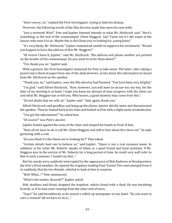"Don't worry, sir," replied the First Investigator, trying to hide his dismay.

However, the following words of the film director made him open his eyes wide.

"Just a moment! Wait!" Pete and Jupiter listened intently to what Mr. Hitchcock said. "Here's something, at the end of the communiqué. Glenn Heggyns. Say! Turns out it's the name of the lawyer who sent it to us. Maybe this is the Glenn you're looking for, young Jones."

"It's very likely, Mr. Hitchcock," Jupiter stammered, unable to suppress his excitement. "Would you happen to have the address of this Mr. Heggyns?"

"Of course I have it, Jupiter," said Mr. Hitchcock. "His address and phone number are printed on the header of the communiqué. Do you want to write them down?"

"Yes, thank you sir," Jupiter said.

With a gesture, the First Investigator motioned for Pete to take notes. The latter, after taking a pencil and a sheet of paper from one of the desk drawers, wrote down the information he heard from Mr. Hitchcock on the speaker.

"Thank you, sir," said Jupiter, once the film director had finished. "You have been very helpful."

"I'm glad," said Alfred Hitchcock. "Now, however, you will have to excuse me, my boy, for the time of my meeting is at hand. I hope you keep me abreast of your progress with the chess set and what Mr. Heggyns has to tell you. Who knows, a good mystery may come from this."

"Do not doubt that we will, sir," Jupiter said. "And, again, thank you."

Alfred Hitchcock said goodbye and hung up the phone. Jupiter did the same and disconnected the speaker. Then he leaned back in his chair and looked at Pete with a slight smile of satisfaction.

"You got the information?" he asked him.

"Of course!" was Pete's answer.

Jupiter leaned against the arms of the chair and clasped his hands in front of him.

"Now all we have to do is call Mr. Glenn Heggyns and talk to him about this chess set," he said, gesturing with a nod.

"Do you think it's the Glenn we're looking for?" Pete asked.

"Certain details lead one to believe so," said Jupiter. "Glenn is not a real common name. In addition, in his letter Mr. Roberts speaks of Glenn as a good friend and loyal assistant. If Mr. Heggyns was in the service of Mr. Roberts for a long period of time, he could very well refer to him in such a manner. I would say that..."

But his words were suddenly interrupted by the appearance of Bob Andrews at Headquarters, the firm's third member. He opened the trapdoor leading from Tunnel Two and emerged from it so suddenly that his two friends, whirled to look at him in surprise.

"Bob! What...?" Pete stammered.

"What's the matter, Records?" Jupiter asked.

Bob, studious and blond, dropped the trapdoor, which closed with a thud. He was breathing heavily, as if he had come running from the other end of town.

"Guys!" he said breathlessly as he waved a rolled-up newspaper in one hand. "Do you want to earn a reward? All we have to do is..."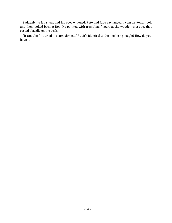Suddenly he fell silent and his eyes widened. Pete and Jupe exchanged a conspiratorial look and then looked back at Bob. He pointed with trembling fingers at the wooden chess set that rested placidly on the desk.

"It can't be!" he cried in astonishment. "But it's identical to the one being sought! How do you have it?"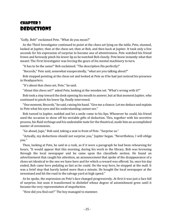## <span id="page-24-0"></span>Chapter 3 **DEDUCTIONS**

"Golly, Bob!" exclaimed Pete. "What do you mean?"

As the Third Investigator continued to point at the chess set lying on the table, Pete, stunned, looked at Jupiter, then at the chess set, then at Bob, and then back at Jupiter. It took only a few seconds for his expression of surprise to become one of attentiveness. Pete watched his friend frown and furiously pinch his lower lip as he watched Bob closely. Pete knew instantly what that meant: The First Investigator was forcing the gears of his mental machinery to turn.

"It has to be the same!" Bob exclaimed. "The description fits perfectly!"

"Records," Pete said, somewhat exasperatedly, "what are you talking about?"

Bob stopped pointing at the chess set and looked at Pete as if he had just noticed his presence in Headquarters.

"It's about that chess set, Pete," he said.

"About this chess set?" asked Pete, looking at the wooden set. "What's wrong with it?"

Bob took a step toward the desk opening his mouth to answer, but at that moment Jupiter, who continued to pinch his lower lip, finally intervened.

"One moment, Records," he said, raising his hand. "Give me a chance. Let me deduce and explain to Pete what his eyes and his understanding cannot see."

Bob turned to Jupiter, nodded and let a smile come to his lips. Whenever he could, his friend used the occasion to show off his enviable gifts of deduction. This, together with his secretive process, his fluid verbiage and his undeniable taste for the theatrical, made him an accomplished master of ceremonies.

"Go ahead, Jupe," Bob said, taking a seat in front of Pete. "Surprise us."

"Actually, my deductions should not surprise you," Jupiter began. "Nevertheless, I will oblige you."

Then, looking at Pete, he said in a rush, as if it were a paragraph he had been rehearsing for hours, "It would appear that this morning, during his work in the library, Bob was browsing through the local newspaper and he came upon the classifieds section. He found an advertisement that caught his attention, an announcement that spoke of the disappearance of a chess set identical to the one we have here and for which a reward was offered. So, once his day ended, Bob came here pedaling as fast as he could. On the way here, he stopped at the mall. It was a brief stop that barely lasted more than a minute. He bought the local newspaper at the newsstand and hit the road to the salvage yard at high speed."

As he spoke, the expression on Pete's face changed progressively. At first it was just a face full of surprise, but soon it transformed to disbelief whose degree of astonishment grew until it became the very representation of stupefaction.

"How did you find out?" The boy managed to stammer.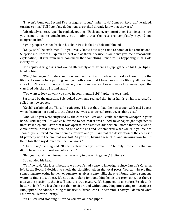"I haven't found out, Second. I've just figured it out," Jupiter said. "Come on, Records," he added, turning to him. "Tell Pete if my deductions are right. I already know that they are."

"Absolutely correct, Jupe," he replied, nodding. "Each and every one of them. I can imagine how you came to some conclusions, but I admit that the rest are completely beyond my comprehension."

Sighing, Jupiter leaned back in his chair. Pete looked at Bob and blinked.

"Golly, Bob!" he exclaimed. "Do you really know how Jupe came to some of his conclusions? Surprise me, Records. Explain at least one of them, because if you don't give me a reasonable explanation, I'll run from here convinced that something unnatural is happening in this old rickety trailer."

Bob adjusted his glasses and looked alternately at his friends as Jupe gathered his fingertips in front of him.

"Well," he began, "I understand how you deduced that I pedaled as hard as I could from the library. I came in here panting, and you both know that I have been at the library all morning since I don't leave until noon. However, I don't see how you knew it was a local newspaper, the classified ads, the ad I found, and..."

"You want to look at what you have in your hands, Bob?" Jupiter asked simply.

Surprised by the question, Bob looked down and realized that in his hands, on his lap, rested a rolled-up newspaper.

"Gosh!" exclaimed the Third Investigator. "I forgot that I had the newspaper with me! I guess when I came in here and saw the chess set, I was so shocked I forgot everything else."

"And while you were surprised by the chess set, Pete and I could see that newspaper in your hand," said Jupiter. "It was easy for me to see that it was a local newspaper (the typeface is unmistakable), and I saw that it was open to the classified ads section. I noted that there was a circle drawn in red marker around one of the ads and remembered what you said yourself as soon as you entered. You mentioned a reward and you said that the description of the chess set fit perfectly with the one that was lost. As you see, having these clues and knowing how to put them together, my deductions seem obvious."

"That's true," Pete agreed. "It seems clear once you explain it. The only problem is that we didn't have that explanation beforehand."

"But you had all the information necessary to piece it together," Jupiter said.

Bob nodded his head.

"Yes," he said, "the fact is, because we haven't had a case to investigate since Carson´s Carnival left Rocky Beach, I decided to check the classified ads in the local press. You can always find something interesting in them or run into an advertisement like the one I found, where someone wants to find a lost object. It's not that looking for something lost is too promising, but there's always the possibility that it will lead to a true mystery. It's happened to us before. Besides, it's better to look for a lost chess set than to sit around without anything interesting to investigate. But, Jupiter," he added, turning to his friend, "what I can't understand is how you deduced what I did when I left the library."

"Yes," Pete said, nodding. "How do you explain that, Jupe?"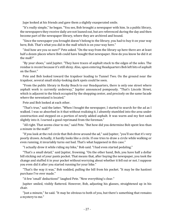Jupe looked at his friends and gave them a slightly exasperated smile.

"It's really simple," he began. "You see, Bob brought a newspaper with him. In a public library, the newspapers they receive daily are not loaned out, but are referenced during the day and then become part of the newspaper library, where they are archived and bound.

"Since the newspaper you brought doesn't belong to the library, you had to buy it on your way here, Bob. That's what you did in the mall which is on your way here."

"And how are you so sure?" Pete asked. "On the way from the library up here there are at least half a dozen places where Bob could have bought that newspaper. How do you know he did it at the mall?"

"By your shoes," said Jupiter. "They have traces of asphalt stuck to the edges of the soles. The residue is recent because it's still shiny. Also, upon entering Headquarters Bob left bits of asphalt on the floor."

Pete and Bob looked toward the trapdoor leading to Tunnel Two. On the ground near the trapdoor, several small sticky-looking dark spots could be seen.

"From the public library in Rocky Beach to our Headquarters, there is only one street where asphalt work is currently underway," Jupiter announced pompously. "That's Lincoln Street, which is adjacent to the block occupied by the shopping center, and precisely on the same facade where the newsstand is located."

Pete and Bob looked at each other.

"That's true," said the latter. "When I bought the newspaper, I started to search for the ad as I walked. I was so absorbed in it that without realizing it, I absently stumbled into the area under construction and stepped on a portion of newly added asphalt. It was warm and my feet sank slightly into it. I earned a good reprimand from the foreman."

"All right. That seems clear to me," said Pete. "But how did you determine Bob spent less than a minute in the mall?"

"If you look at the red circle that Bob drew around the ad," said Jupiter, "you'll see that it's very poorly drawn. Actually, it hardly looks like a circle. If one tries to draw a circle while walking or even running, it invariably turns out bad. That's what happened in this case."

"I actually drew it while riding my bike," Bob said. "I had even started pedaling."

"That's a small detail," said Jupiter, frowning. "On the other hand, Bob, you have half a dollar bill sticking out of your pants pocket. That means that, after buying the newspaper, you took the change and stuffed it in your pocket without worrying about whether it fell out or not. I suppose you even did it after you started running for your bike."

"That's the way it was," Bob nodded, pulling the bill from his pocket. "It may be the hastiest purchase I've ever made."

"A few 'small' deductions!" laughed Pete. "Now everything's clear."

Jupiter smiled, visibly flattered. However, Bob, adjusting his glasses, straightened up in his chair.

"Just a minute," he said. "It may be obvious to both of you, but there's something that remains a mystery to me."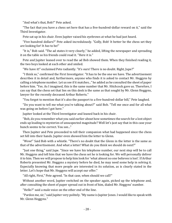"And what's that, Bob?" Pete asked.

"The fact that you have a chess set here that has a five-hundred-dollar reward on it," said the Third Investigator.

Pete sat up in his chair. Even Jupiter raised his eyebrows at what he had just heard.

"Five hundred dollars?" Pete asked incredulously. "Golly, Bob! It better be the chess set they are looking for! It *has* to be!"

"It is," Bob said. "The ad states it very clearly," he added, lifting the newspaper and spreading it on the table so his friends could read it. "Here it is."

Pete and Jupiter leaned over to read the ad Bob showed them. When they finished reading it, the two boys looked at each other and smiled.

"We have it!" exclaimed Pete radiantly. "It's ours! There is no doubt. Right, Jupe?"

"I think so," confirmed the First Investigator. "It has to be the one we have. The advertisement describes it in detail and, furthermore, anyone who finds it is asked to contact Mr. Heggyns by calling a telephone number. Let us see if it matches..." he added as he consulted the sheet of paper before him. "Yes. As I imagined, this is the same number that Mr. Hitchcock gave us. Therefore, I can say that the chess set that lies on this desk is the same as that sought by Mr. Glenn Heggyns, lawyer for the recently deceased Arthur Roberts."

"You forgot to mention that it's also the passport to a five-hundred-dollar bill," Pete laughed.

"Do you want to tell me what you're talking about?" said Bob. "Tell me once and for all what was going on before I got here."

Jupiter looked at the Third Investigator and leaned back in his chair.

"Bob, do you remember what you said earlier about how sometimes the search for a lost object ends up leading to mysteries of unsuspected magnitude? Well let's just say that in this case your hunch seems to be correct. You see..."

Then Jupiter and Pete proceeded to tell their companion what had happened since the chess set fell into their hands. Jupiter even showed him the letter to Glenn.

"Wow!" Said Bob with a whistle. "There's no doubt that the Glenn in the letter is the same as that of the advertisement. And what a letter! What do you think we should do next?"

"Just one thing," said Jupe. "Since we have his telephone number, our next step will be to call Mr. Heggyns and tell him that we have the chess set he is looking for. We will personally deliver it to him. Then we will propose to help him look for 'what almost no one believes is lost'. If Arthur Roberts presented Mr. Heggyns a mystery before he died, he may need some help in solving it. Especially knowing that more people are interested in its solution, as is clearly stated in the letter. Let's hope that Mr. Heggyns will accept our offer."

"All right, First," Pete agreed. "In that case, when should we call?"

Without another word, Jupiter switched on the speaker again, picked up the telephone and, after consulting the sheet of paper spread out in front of him, dialed Mr. Heggyns' number.

"Hello?" said a male voice on the other end of the line.

"Pardon me, sir," said Jupiter very politely. "My name is Jupiter Jones. I would like to speak with Mr. Glenn Heggyns."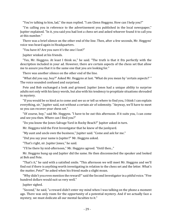"You're talking to him, lad," the man replied. "I am Glenn Heggyns. How can I help you?"

"I'm calling you in reference to the advertisement you published in the local newspaper," Jupiter explained. "In it, you said you had lost a chess set and asked whoever found it to call you at this number."

There was a brief silence on the other end of the line. Then, after a few seconds, Mr. Heggyns' voice was heard again in Headquarters.

"You have it? Are you sure it's the one I lost?"

Jupiter winked at his friends.

"Yes, Mr. Heggyns. At least I think so," he said. "The truth is that it fits perfectly with the description included in your ad. However, there are certain aspects of the chess set that allow me to assure you that it is the same one that you are looking for."

There was another silence on the other end of the line.

"What did you say, boy?" Asked Mr. Heggyns at last. "What do you mean by 'certain aspects?' " The voice sounded confused and surprised.

Pete and Bob exchanged a look and grinned. Jupiter Jones had a unique ability to surprise adults not only with his fancy words, but also with his tendency to propitiate situations shrouded in mystery.

"If you would be so kind as to come and see us or tell us where to find you, I think I can explain everything, sir," Jupiter said, not without a certain air of solemnity. "Anyway, we'll have to meet so you can recover your chess set."

"Of course, boy," said Mr. Heggyns. "I have to be out this afternoon. If it suits you, I can come and see you then. Where can I find you?"

"Do you know the Jones Salvage Yard in Rocky Beach?" Jupiter asked in turn.

Mr. Heggyns told the First Investigator that he knew of the junkyard.

"My aunt and uncle own the business," Jupiter said. "Come and ask for me."

"Did you say your name is Jupiter?" Mr. Heggyns asked.

"That's right, sir. Jupiter Jones," he said.

"I'll be there by mid-afternoon," Mr. Heggyns agreed. "Until then..."

Mr. Heggyns hung up and Jupiter did the same. He then disconnected the speaker and looked at Bob and Pete.

"That's it," he said with a satisfied smile. "This afternoon we will meet Mr. Heggyns and we'll find out if there is anything worth investigating in relation to the chess set and the letter. What's the matter, Pete?" he asked when his friend made a slight moan.

"Why didn't you even mention the reward?" said the Second Investigator in a pitiful voice. "Five hundred dollars would suit us very well."

Jupiter sighed.

"Second," he said, "a reward didn't enter my mind when I was talking on the phone a moment ago. There was only room for the opportunity of a potential mystery. And if we actually face a mystery, we must dedicate all our mental faculties to it."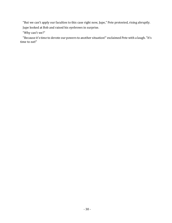"But we can't apply our faculties to this case right now, Jupe," Pete protested, rising abruptly. Jupe looked at Bob and raised his eyebrows in surprise.

"Why can't we?"

"Because it's time to devote our powers to another situation!" exclaimed Pete with a laugh. "It's time to eat!"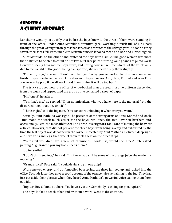#### <span id="page-30-0"></span>Chapter 4 A Client Appears

Lunchtime went by so quickly that before the boys knew it, the three of them were standing in front of the office, under Aunt Mathilda's attentive gaze, watching a truck full of junk pass through the great wrought iron gates that served as entrance to the salvage yard. As soon as they saw it, their faces fell. Pete, unable to restrain himself, let out a moan and Bob and Jupiter sighed.

Aunt Mathilda, on the other hand, watched the boys with a smile. The good woman was more than satisfied to be able to count on not two but three pairs of strong young hands to put to work. However, seeing how sad the boys were, and noting how sunken the wheels of the truck were due to the weight of the goods being transported, she seemed to pity them slightly.

"Come on, boys," she said. "Don't complain yet. Today you've worked hard, so as soon as we finish this you can have the rest of the afternoon to yourselves. Also, Hans, Konrad and even Titus are here to help, so if we all work hard I don't think it will be too bad."

The truck stopped near the office. A wide-backed man dressed in a blue uniform descended from the truck and approached the group as he consulted a sheet of paper.

"Mr. Jones?" he asked.

"Yes, that's me," he replied. "If I'm not mistaken, what you have here is the material from the discarded items auction, isn't it?"

"That's right," said the big man. "You can start unloading it whenever you want."

Actually, Aunt Mathilda was right. The presence of the strong arms of Hans, Konrad and Uncle Titus made the work much easier for the boys. Mr. Jones, the two Bavarian brothers and, occasionally, Pete, the most athletic of The Three Investigators, took care of moving the heaviest articles. However, that did not prevent the three boys from being sweaty and exhausted by the time the last object was deposited in the corner indicated by Aunt Mathilda. Between deep sighs and sore arms and legs, the three of them took a seat on the office steps.

"Your aunt wouldn't have a new set of muscles I could use, would she, Jupe?" Pete asked, panting. "I guarantee you, my body needs them."

Jupiter smiled.

"I don't think so, Pete," he said. "But there may still be some of the orange juice she made this morning."

"Orange juice!" Pete said. "I could drain a jug in one gulp!"

With renewed energy, and as if impelled by a spring, the three jumped up and rushed into the office. Seconds later they gave a good account of the orange juice remaining in the jug. They had just set aside their glasses when they heard Aunt Mathilda's powerful voice calling them from outside.

"Jupiter! Boys! Come out here! You have a visitor! Somebody is asking for you, Jupiter!"

The boys looked at each other and, without a word, went to the entrance.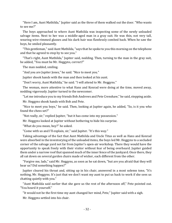"Here I am, Aunt Mathilda," Jupiter said as the three of them walked out the door. "Who wants to see me?"

The boys approached to where Aunt Mathilda was inspecting some of the newly unloaded salvage items. Next to her was a middle-aged man in a gray suit. He was thin, not very tall, wearing wire-rimmed glasses and his dark hair was flawlessly combed back. When he saw the boys, he smiled pleasantly.

"This gentleman," said Aunt Mathilda, "says that he spoke to you this morning on the telephone and that he agreed to stop by to see you."

"That's right, Aunt Mathilda," Jupiter said, nodding. Then, turning to the man in the gray suit, he added, "You must be Mr. Heggyns, correct?"

The man nodded, smiling.

"And you are Jupiter Jones," he said. "Nice to meet you."

Jupiter shook hands with the man and then looked at his aunt.

"Don't worry, Aunt Mathilda," he said. "I will attend to Mr. Heggyns."

The woman, more attentive to what Hans and Konrad were doing at the time, moved away, nodding vigorously. Jupiter turned to the newcomer.

"Let me introduce you to my friends Bob Andrews and Pete Crenshaw," he said, stepping aside.

Mr. Heggyns shook hands with Bob and Pete.

"Nice to meet you boys," he said. Then, looking at Jupiter again, he added, "So, is it you who found the chess set?"

"Not really, sir," replied Jupiter, "but it has come into my possession."

Mr. Heggyns looked at Jupiter without bothering to hide his surprise.

"What do you mean, boy?" he asked.

"Come with us and I'll explain, sir," said Jupiter. "It's this way."

Taking advantage of the fact that Aunt Mathilda and Uncle Titus as well as Hans and Konrad were absorbed in the inventorying of the unloaded items, the boys led Mr. Heggyns to a secluded corner of the salvage yard not far from Jupiter's open-air workshop. There they would have the opportunity to speak freely with their visitor without fear of being overheard. Jupiter guided them under a narrow roof that spanned much of the inner fence of the junkyard. Once there, they all sat down on several garden chairs made of wicker, each different from the other.

"Forgive me, lads," said Mr. Heggyns, as soon as he sat down, "but are you afraid that they will hear us? Did something happen?"

Jupiter cleared his throat and, sitting up in his chair, answered in a most solemn tone, "It's nothing, Mr. Heggyns. It's just that we don't want my aunt to put us back to work if she sees us chatting quietly with you."

"Aunt Mathilda said earlier that she gave us the rest of the afternoon off," Pete pointed out. "You heard it yourself."

"It would not be the first time my aunt changed her mind, Pete," Jupiter said with a sigh.

Mr. Heggyns settled into his chair.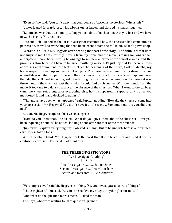"Even so," he said, "you can't deny that your course of action is mysterious. Why is this?"

Jupiter leaned forward, rested his elbows on his knees, and clasped his hands together.

"Let me answer that question by telling you all about the chess set that you lost and we have now," he began. "You see, sir..."

Pete and Bob listened as the First Investigator recounted how the chess set had come into his possession, as well as everything that had been learned from the call to Mr. Baker's pawn shop.

"A tramp, eh?" said Mr. Heggyns after hearing that part of the story. "The truth is that it does not surprise me. I am currently moving from my home and the move is taking me longer than anticipated. I have been moving belongings to my new apartment for almost a week, and the process is slow because I have to balance it with my work. Let's just say that I'm between two addresses at the moment. The fact is that, at the beginning of the move, I asked Martha, my housekeeper, to clean up and get rid of old junk. The chess set was temporarily stored in a box of worthless old items. I put it there in the short term due to lack of space. What happened was that Martha, still working with good intentions, got rid of the box, whereupon the chess set was thrown out in the trash. At least that's what I could find out from her. With the tumult from the move, it took me two days to discover the absence of the chess set. When I went to the garbage cans, the chess set, along with everything else, had disappeared. I suppose that tramp you mentioned found it and decided to pawn it."

"That must have been what happened," said Jupiter, nodding. "How did the chess set come into your possession, Mr. Heggyns? You didn't have it until recently. Someone sent it to you, did they not?"

At that, Mr. Heggyns opened his eyes in surprise.

"How do you know that?" he asked. "What do you guys know about the chess set? Have you been inquiring about it?" he added, looking at one after another of the three friends.

"Jupiter will explain everything, sir," Bob said, smiling. "But to begin with, here is our business card. Please take a look."

With a hesitant hand, Mr. Heggyns took the card that Bob offered him and read it with a confused expression. The card read as follows:

#### **THE THREE INVESTIGATORS**

"We Investigate Anything" ? ? ? First Investigator ........... Jupiter Jones Second Investigator .... Peter Crenshaw Records and Research .... Bob Andrews

"Very impressive," said Mr. Heggyns, blinking. "So, you investigate all sorts of things."

"That's right, sir," Pete said. "As you can see, 'We investigate anything' is our motto."

"And what do the question marks mean?" Asked the man.

The boys, who were waiting for that question, grinned.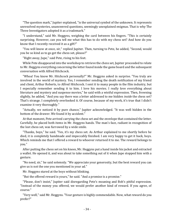"The question mark," Jupiter explained, "is the universal symbol of the unknown. It represents unresolved mysteries, unanswered questions, seemingly unexplained enigmas. That is why The Three Investigators adopted it as a trademark."

"I understand," said Mr. Heggyns, weighing the card between his fingers. "This is certainly surprising. However, can you tell me what this has to do with my chess set? And how do you know that I recently received it as a gift?"

"You will know at once, sir," replied Jupiter. Then, turning to Pete, he added, "Second, would you be so kind as to go get the chess set, please?"

"Right away, Jupe," said Pete, rising to his feet.

While Pete disappeared into the workshop to retrieve the chess set, Jupiter proceeded to relate to Mr. Heggyns everything concerning the letter found inside the game board and the subsequent conversation with Alfred Hitchcock.

"Whoa! You know Mr. Hitchcock personally?" Mr. Heggyns asked in surprise. "You truly are involved in the world of mystery. Yes, I remember sending the death notification of my friend and client, Arthur Roberts, to Alfred Hitchcock. I sent it to many people in the film industry, but I especially remember sending it to him. I love his movies. I really love everything about literature and mystery and suspense movies," he said with a wistful expression. Then, frowning slightly, he added, "And you say there was a letter addressed to me hidden *inside* the chess set? That's strange. I completely overlooked it. Of course, because of my work, it's true that I didn't examine it very thoroughly."

"Actually, we noticed it by pure chance," Jupiter acknowledged. "It was well hidden in the bottom of the drawer. We found it by accident."

At that moment, Pete arrived carrying the chess set and the envelope that contained the letter. Carefully, he placed both items in Mr. Heggyns hands. The man's face, radiant in recognition of the lost chess set, was furrowed by a wide smile.

"Thanks, boys," he said. "Yes, it's my chess set. As Arthur explained to me shortly before he died, it is completely handmade and impeccably finished. I am very happy to get it back, boys. Which reminds me that I offered a reward to whoever returned it to me. The reward belongs to you."

After putting the chess set on his knees, Mr. Heggyns put a hand inside his jacket and extracted a wallet. He opened it, and was about to take something out of it when Jupe stopped him with a gesture.

"No need, sir," he said solemnly. "We appreciate your generosity, but the best reward you can give us is not the one you mentioned in your ad."

Mr. Heggyns stared at the boys without blinking.

"But the offered reward is yours," he said. "And a promise is a promise."

"Please, don't insist," Jupiter said disregarding Pete's moaning and Bob's pitiful expression. "Instead of the money you offered, we would prefer another kind of reward. If you agree, of course."

"Very well," said Mr. Heggyns. "Your gesture is highly commendable. Now, what reward do you prefer?"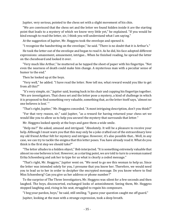Jupiter, very serious, pointed to the chess set with a slight movement of his chin.

"We are convinced that the chess set and the letter we found hidden inside it are the starting point that leads to a mystery of which we know very little yet," he explained. "If you would be kind enough to read the letter, sir, I think you will understand what I am saying."

At the suggestion of Jupiter, Mr. Heggyns took the envelope and opened it.

"I recognize the handwriting on the envelope," he said. "There is no doubt that it is Arthur's."

He took the letter out of the envelope and began to read it. As he did, his face adopted different expressions: amazement, amusement, intrigue... When he finished reading, he spread the letter on the chessboard and looked it over.

"Very much like Arthur," he muttered as he tapped the sheet of paper with his fingertips. "Not even the nearness of death could make him change. A mysterious man with a peculiar sense of humor to the end."

Then he looked up at the boys.

"Very well," he added. "I have read the letter. Now tell me, what reward would you like to get from all this?"

"It's very simple, sir," Jupiter said, leaning back in his chair and cupping his fingertips together. "We are investigators. That chess set and the letter pose a mystery, a kind of challenge in which it is proposed to find something very valuable, something that, as the letter itself says, 'almost no one believes is lost.' "

"That's right, Jupiter," Mr. Heggyns conceded. "A most intriguing description, don't you think?"

"For that very reason, sir," said Jupiter, "as a reward for having returned your chess set we would like you to allow us to help you unravel the mystery that surrounds that letter."

Mr. Heggyns looked openly at the boys and gave them a wide smile.

"Help me?" He asked, amused and intrigued. "Absolutely. It will be a pleasure to receive your help. Although I must warn you that this may only be a joke crafted out of the extraordinary love my old friend Arthur felt for mystery and intrigue. However, it's also possible that... Well, in any case, we can try to tackle the enigma that this letter poses. You have already read it. What do you think is the first step we should take?"

"The letter alludes to a hidden object," Bob interjected. "It is something extremely valuable that almost no one believes is lost. However, as a starting point, we are told to turn to a woman named Erika Schoenberg and ask her to type for us what is clearly a coded message."

"That's right, Mr. Heggyns," Jupiter went on. "We need to go see this woman to help us. Since the letter was intended solely for you, I presume that you know her. Therefore, we would need you to lead us to her in order to decipher the encrypted message. Do you know where to find Miss Schoenberg? Can you give us her address or phone number?"

To the surprise of The Three Investigators, Mr. Heggyns was silent for a few seconds and then laughed. The boys, disconcerted, exchanged looks of astonishment. Seeing them, Mr. Heggyns stopped laughing and, rising in his seat, struggled to regain his composure.

"I beg your pardon, boys," he said, still smiling. "I guess your question caught me off guard."

Jupiter, looking at the man with a strange expression, took a deep breath.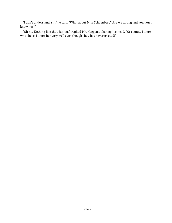"I don't understand, sir," he said. "What about Miss Schoenberg? Are we wrong and you don't know her?"

"Oh no. Nothing like that, Jupiter," replied Mr. Heggyns, shaking his head. "Of course, I know who she is. I know her very well even though she... has never existed!"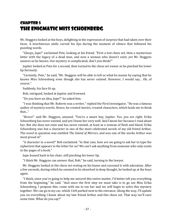## Chapter 5 The Enigmatic Miss Schoenberg

Mr. Heggyns looked at the boys, delighting in the expression of surprise that had taken over their faces. A mischievous smile curved his lips during the moment of silence that followed his puzzling words.

"Gleeps, Jupe!" exclaimed Pete, looking at his friend. "First a lost chess set, then a mysterious letter with the legacy of a dead man, and now a woman who doesn't exist, yet Mr. Heggyns assures us he knows. Our mystery is complicated, don't you think?"

Jupiter looked at Pete for a second, then turned to the chess set owner as he pinched his lower lip furiously.

"Certainly, Pete," he said, "Mr. Heggyns will be able to tell us what he means by saying that he knows Miss Schoenberg even though she has never existed. However, I would say... Oh, of course."

Suddenly, his face lit up.

Bob, intrigued, looked at Jupiter and frowned.

"Do you have an idea, Jupe?" he asked him.

"I was thinking that Mr. Roberts was a writer," replied the First Investigator. "He was a famous author of mystery novels. Hence, he created stories, created characters, which leads me to think that..."

"Bravo!" said Mr. Heggyns, amused. "You're a smart boy, Jupiter. Yes, you are right. Erika Schoenberg has never existed, and yet I know her very well. And I know her because I read about her. But she does not exist and has never existed, at least as a woman of flesh and blood. Erika Schoenberg was but a character in one of the most celebrated novels of my old friend Arthur. The novel in question was entitled *The Island of Mirrors*, and was one of the works Arthur was most proud of."

"A character in a novel!" Bob exclaimed. "In that case, how are we going to ask her to type the ciphertext that appears in the letter for us? We can't ask anything from someone who only exists in the pages of a book."

Jupe leaned back in his chair, still pinching his lower lip.

"I think Mr. Heggyns can answer that, Bob," he said, turning to the lawyer.

Mr. Heggyns looked at the chess set resting on his knees and caressed it with adoration. After a few seconds, during which he seemed to be absorbed in deep thought, he looked up at the boys again.

"I think, since you're going to help me unravel this entire matter, I'd better tell you everything from the beginning," he said. "And since the first step we must take is to go see Miss Erika Schoenberg, I propose this: come with me to see her and we will begin to solve this mystery together. We can go in my car, which I left parked next to the entrance. Along the way, I'll update you on everything I know about my late friend Arthur and this chess set. That way we'll save some time. What do you say?"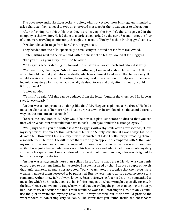The boys were enthusiastic, especially Jupiter, who, not yet clear how Mr. Heggyns intended to ask a character from a novel to type an encrypted message for them, was eager to take action.

After informing Aunt Mathilda that they were leaving, the boys left the salvage yard in the company of their visitor. He led them to a dark sedan parked by the curb. Seconds later, the four of them were traveling comfortably through the streets of Rocky Beach in Mr. Heggyns' vehicle.

"We don't have far to go from here," Mr. Heggyns said.

They headed into the hills, specifically a small canyon located not far from Hollywood.

Jupiter, sitting next to the driver and with the chess set on his lap, looked at Mr. Heggyns.

"Can you tell us your story now, sir?" he asked.

Mr. Heggyns accelerated slightly toward the outskirts of Rocky Beach and inhaled sharply.

"You see, boys," he began. "About two months ago, I received a short letter from Arthur in which he told me that just before his death, which was close at hand given that he was very ill, I would receive a chess set. According to Arthur, said chess set would help me untangle an ingenious mystery plot that he had specially devised for me and that, after his death, I could turn it into a novel."

Jupiter nodded.

"Yes, sir," he said. "All this can be deduced from the letter found in the chess set. Mr. Roberts says it very clearly."

"Arthur was a man prone to do things like that," Mr. Heggyns explained as he drove. "He had a most peculiar sense of humor and he loved surprises, which he employed in a thousand different ways in the outcome of his novels."

"Excuse me, sir," Bob said. "Why would he devise a plot just before he dies so that you can unravel it? What interest would that have in itself? Don't you think it's a strange legacy?"

"Well, guys, to tell you the truth," said Mr. Heggyns with a shy smile after a few seconds, "I love mystery stories. The ones Arthur wrote were fantastic. Simply sensational. I was always his most devoted fan. However, I like mystery stories so much that I don't settle for just reading them. I also write them, but with the difference that I am only an apprentice compared with Arthur, and my own stories are most common compared to those he wrote. So, while he was a professional writer, I was just a lawyer who took care of his legal affairs and who, in addition, wrote mystery stories in his spare time. I soon confessed this passion of mine to Arthur, who was delighted to help me develop my stories.

"Arthur was always much more than a client. First of all, he was a great friend. I was constantly encouraged to push my limits in the stories I wrote. Inspired by that, I wrote a couple of novels that, unfortunately, no publisher accepted. Today, years later, I recognize that their plots were weak and none of them deserved to be published. But my yearning to write a good mystery story remained. Arthur knew it. He always knew it. So, as a farewell gift at his death, he bequeathed to me a plot which he himself, thanks to his infinite imagination, had wrought especially for me. In the letter I received two months ago, he warned that unraveling the plot was not going to be easy, but I had to try it because the final result would be worth it. According to him, not only could I use the plot to write the mystery novel that I always wanted, but it also would provide the whereabouts of something very valuable. The letter that you found inside the chessboard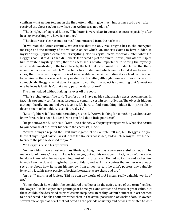confirms what Arthur told me in the first letter. I didn't give much importance to it, even after I received the chess set, but now I see that Arthur was not joking."

"That's right, sir," agreed Jupiter. "The letter is very clear in certain aspects, especially after hearing everything you have just told us."

"That letter is as clear as mud to me," Pete muttered from the backseat.

"If we read the letter carefully, we can see that the only real enigma lies in the encrypted message and the identity of the valuable object which Mr. Roberts claims to have hidden so mysteriously," Jupiter explained. "Everything else is crystal clear, especially after what Mr. Heggyns has just told us: that Mr. Roberts fabricated a plot for him to unravel, and later to inspire him to write a mystery novel; that the chess set is of vital importance in solving the mystery, which is demonstrated, in the first place, by the fact that it contained the hidden letter; that there is an invaluable object which Mr. Roberts has hidden and which can be found if we follow his clues; that the object in question is of incalculable value, since finding it can lead to universal fame. Finally, there are aspects very evident in this letter, although there are others that are not so much. Mr. Heggyns, what does it suggest to you that the object is something that 'almost no one believes is lost?' Isn't that a very peculiar description?"

The man nodded without taking his eyes off the road.

"That's right, Jupiter," he said. "I confess that I have no idea what such a description means. In fact, it is extremely confusing, as it seems to contain a certain contradiction. The object is hidden, although hardly anyone believes it to be. It's hard to find something hidden if, in principle, it doesn't seem to be hidden... even if it really is."

"Lots of gibberish," Pete said, scratching his head. "Are we looking for something we don't even know for sure has been hidden? Don't you find this a little pointless?"

"Be patient, Second," Bob said. "Give Jupe a chance. We're just getting started. What else occurs to you because of the letter hidden in the chess set, Jupe?"

"Several things," replied the First Investigator. "For example, tell me, Mr. Heggyns: do you know of anything of particular value that Mr. Roberts possessed, and which he might have hidden to create the plot he devised for you?"

Mr. Heggyns raised his eyebrows.

"Arthur didn't have an ostentatious lifestyle, though he was a very successful writer, and he made a lot of money," he said. "I was his lawyer, but not his manager. In fact, he didn't have one, he alone knew what he was spending most of his fortune on. He had no family and rather few friends. I am the closest thing he had to a confidant, and yet I must confess that Arthur was always secretive about how he spent his money. I am almost certain he didn't possess any valuable jewels. In fact, his great passions, besides literature, were chess and art."

"Art, eh?" murmured Jupiter. "Did he own any works of art? I mean, really valuable works of art."

"Some, though he wouldn't be considered a collector in the strict sense of the term," replied the lawyer. "He had expensive paintings at home, yes, and statues and vases of great value, but these couldn't be described as priceless masterpieces. In reality, Arthur's interest in art seemed to be reflected in books about art rather than in the actual possession of works of art. He owned several encyclopedias of art that collected all the periods of history and he was fascinated to visit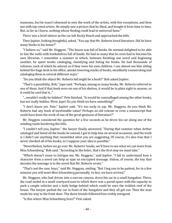museums, but he wasn't obsessed to own the work of the artists, with few exceptions, and then not with top rated artists. He simply saw a picture that he liked, and bought it from time to time. But, as far as I know, nothing whose finding could lead to universal fame."

There was a brief silence as the car left Rocky Beach and approached the hills.

Then Jupiter, looking thoughtful, asked, "You say that Mr. Roberts loved literature. Did he have many books in his home?"

"I believe so," said Mr. Heggyns. "The house was full of books. He seemed delighted to be able to line the walls with bookshelves full of books. He had so many that he even had to become his own librarian. I remember a summer in which, between finishing one novel and beginning another, he spent weeks cataloging, classifying and listing his books. He had thousands of volumes, each of which he adored as if they were his own children. I can almost see him sitting behind the huge desk in his office, amidst towering stacks of books, steadfastly enumerating and cataloging them in several different ways."

"Do you think the object Mr. Roberts hid might be a book?" Bob asked Jupiter.

"That's a possibility, Bob," Jupe said. "Perhaps, among so many books, Mr. Roberts referred to one of them. And if that book were on one of his shelves, it would be in plain sight to anyone, so it could be said that it..."

"...wouldn't really be hidden!" Pete finished. "It would be camouflaged among the other books, but not really hidden. Wow, Jupe! Do you think we have something?"

"I don't know yet, Pete," Jupiter said. "It's too early to say. Mr. Heggyns, do you think Mr. Roberts had any book of inestimable value? Perhaps an old volume or even a manuscript that could have been the work of one of the great geniuses of literature?"

Mr. Heggyns considered the question for a few seconds as he drove his car along one of the winding roads bordering the hills.

"I couldn't tell you, Jupiter," the lawyer finally answered. "During that summer when Arthur cataloged and listed all the books he owned, I got to help him on several occasions, and the truth is I didn't see anything that resembled what you are suggesting. Of course, it's also true that I never checked all of his books, so I suppose your idea is possible."

"Nevertheless, before we go over Mr. Roberts' books, we'll have to see what we can learn from Miss Schoenberg," Bob said. "According to the letter, that's the first step we must take."

"Which doesn't cease to intrigue me, Mr. Heggyns," said Jupiter. "I fail to understand how a character from a novel can help us type an encrypted message. Unless, of course, the key that decodes the message is in the novel that Mr. Roberts wrote."

"That's not the case, boys," said Mr. Heggyns, smiling. "But I beg you to be patient, for in a few minutes you will meet Miss Schoenberg personally. In fact, we have arrived."

Mr. Heggyns, who had driven into a narrow canyon, drove his car to a small bungalow. There, the road ended in a small courtyard next to which there was a paved space with the capacity to park a couple vehicles and a leafy hedge behind which could be seen the reddish roof of the house. The lawyer parked the car in front of the bungalow and they all got out. Then the man made his way to the front door. The three friends followed him visibly intrigued.

"Is this where Miss Schoenberg lives?" Pete asked.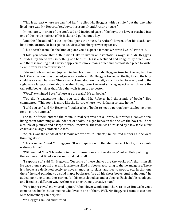"This is at least where we can find her," replied Mr. Heggyns with a smile, "but the one who lived here was Mr. Roberts. Yes, boys, this is my friend Arthur's house."

Immediately, in front of the confused and intrigued gaze of the boys, the lawyer reached into one of the inside pockets of his jacket and pulled out a key.

"And this," he added, "is the key that opens the house. As Arthur's lawyer, after his death I am his administrator. So, let's go inside. Miss Schoenberg is waiting for us."

"This doesn't seem like the kind of place you'd expect a famous writer to live in," Pete said.

"I told you before that Arthur didn't like to live in an ostentatious way," said Mr. Heggyns. "Besides, my friend was something of a hermit. This is a secluded and delightfully quiet place, and there is nothing that a writer appreciates more than a quiet and comfortable place to write. Take it from an amateur writer."

Pete and Bob smiled and Jupiter pinched his lower lip as Mr. Heggyns inserted the key into the lock. Once the door was opened, everyone entered. Mr. Heggyns turned on the lights and the boys could see a small hallway. There was a closed door on the left, a corridor led forward, and to the right was a large, comfortably furnished living room, the most striking aspect of which were the tall, solid bookshelves that filled the walls from top to bottom.

"Wow!" exclaimed Pete. "Where are the walls? It's all books."

"You didn't exaggerate when you said that Mr. Roberts had thousands of books," Bob commented. "This room is more like the library where I work than a private home."

"I told you so," said Mr. Heggyns. "It takes a lot of books to keep a person busy cataloging them for an entire summer."

The four of them entered the room. In reality it was not a library, but rather a conventional living room containing an abundance of books. In a gap between the shelves the boys could see a couple of pictures and a large mirror. Otherwise, the room was furnished by a low table, a few chairs and a large comfortable sofa.

"So, this was the abode of the famous writer Arthur Roberts," murmured Jupiter as if he were thinking aloud.

"This is indeed," said Mr. Heggyns. "If we dispense with the abundance of books, it is a quite ordinary home."

"Will we find Miss Schoenberg in one of those books on the shelves?" asked Bob, pointing to the volumes that filled a wide and solid oak shelf.

"I suppose so," said Mr. Heggyns. "On some of these shelves are the works of Arthur himself. He gave them a special place. In fact, he classified his books according to theme and genre. There is a bookcase dedicated solely to novels, another to plays, another to poetry, etc. In that one there," he said pointing to a solid maple bookcase, "are all his chess books. And in that one," he added, pointing to another corner, "all his encyclopedias and art books. Each shelf is cataloged and listed in a different way. Arthur was an extremely creative man."

"Very impressive," murmured Jupiter. "A booklover would find it hard to leave. But we haven't come to see books, but someone who lives in one of them. Well, Mr. Heggyns, I want to see how Miss Schoenberg can help us."

Mr. Heggyns smiled and turned.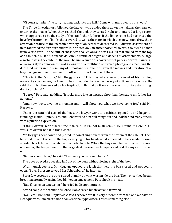"Of course, Jupiter," he said, heading back into the hall. "Come with me, boys. It's this way."

The Three Investigators followed the lawyer, who guided them down the hallway they saw on entering the house. When they reached the end, they turned right and entered a large room which appeared to be the study of the late Arthur Roberts. If the living room had surprised the boys by the number of books that covered its walls, the room in which they now stood drew their attention because of the incredible variety of objects that decorated it. A diverse assortment of items adorned the furniture and walls: a stuffed owl, an ancient oriental sword, a soldier's helmet from World War II, a shelf full of chess sets of all colors and sizes, a skull that smiled from the top of a cabinet, a bust of Leonardo da Vinci, a statue of a tiger, and dozens of other objects. A large armchair sat in the center of the room behind a huge desk covered with papers. Several paintings of various styles hung on the walls along with a multitude of framed photographs featuring the deceased writer in the company of important personalities from the movies and literature. The boys recognized their own mentor, Alfred Hitchcock, in one of them.

"This is Arthur's study," Mr. Heggyns said. "This was where he wrote most of his thrilling novels. As you can see, he loved to be surrounded by a wide variety of articles as he wrote. He said that this often served as his inspiration. Be that as it may, the room is quite astonishing, don't you think?"

"I agree," Pete said, nodding. "It looks more like an antique shop than the studio my father has at home."

"And now, boys, give me a moment and I will show you what we have come for," said Mr. Heggyns.

Under the watchful eyes of the boys, the lawyer went to a cabinet, opened it, and began to rummage inside. Jupiter, Pete, and Bob watched him pull things out and look behind many others with a puzzled expression.

"I think Arthur kept it here," the man said. "If I'm not mistaken... AHA! I found it. Here it is. I was sure Arthur had it in this closet."

Mr. Heggyns bent down and picked up something square from the bottom of the cabinet. Then he stood up and turned to the boys, carrying in his hands what appeared to be a medium-sized wooden box fitted with a latch and a metal handle. While the boys watched with an expression of wonder, the lawyer went to the large desk covered with papers and laid the mysterious box on it.

"Gather round, boys," he said. "That way you can see it better."

The boys obeyed, squeezing in front of the desk without losing sight of the box.

With a quick gesture, Mr. Heggyns opened the latch that held the box closed and popped it open. "Boys, I present to you Miss Schoenberg," he intoned.

For a few seconds the boys stared blankly at what was inside the box. Then, once they began breathing normally again, they blinked in amazement. Pete shook his head.

"But-if it's just a typewriter!" he cried in disappointment.

After a couple of seconds of silence, Bob cleared his throat and frowned.

"No, Pete," Bob said. "It just *looks like* a typewriter. It is very different from the one we have at Headquarters. I mean, it's not a conventional typewriter. This is something else."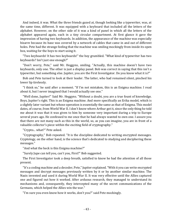And indeed, it was. What the three friends gazed at, though looking like a typewriter, was, at the same time, different. It was equipped with a keyboard that included all the letters of the alphabet. However, on the other side of it was a kind of panel in which all the letters of the alphabet appeared again, each in a tiny circular compartment. At first glance it gave the impression of having two keyboards. In addition, the appearance of the machine was especially bizarre because its base was covered by a network of cables that came in and out of different holes. Pete had the strange feeling that the machine was smiling mockingly from inside its open box, waiting for the boys to start using it.

"Two keyboards! It has two keyboards!" the boy grumbled. "What kind of typewriter has two keyboards? Isn't just one enough?"

"Don't worry, Pete," said Mr. Heggyns, smiling. "Actually, this machine doesn't have two keyboards, only one. The other is just a display panel. Bob was correct in saying that this isn't a typewriter, but something else. Jupiter, you are the First Investigator. Do you know what it is?"

Bob and Pete turned to look at their leader. The latter, who had remained silent, pinched his lower lip tirelessly.

"I think so," he said after a moment. "If I'm not mistaken, this is an Enigma machine. I read about it, but I never imagined that I would actually see one."

"Well done, Jupiter!" Said Mr. Heggyns. "Without a doubt, you are a true fount of knowledge. Boys, Jupiter's right. This is an Enigma machine. And more specifically an Erika model, which is a slightly later variant but whose operation is essentially the same as that of Enigma. This model dates, of course, from World War II. I don't know where Arthur got it, since the only thing he told me about it was that it was given to him by someone very important during a trip to Europe several years ago. He confessed to me once that he had always wanted to own one. I assure you that there are not many such as this in the world, so, as you can imagine, you are in front of a valuable collector's piece within the exciting field of cryptography."

"Crypto... what?" Pete asked.

"Cryptography," Bob repeated. "It is the discipline dedicated to writing encrypted messages. Cryptology, on the other hand, is the science that's dedicated to studying and deciphering these messages."

"And what the heck is this Enigma machine?"

"Surely Jupe can tell you, can't you, First?" Bob suggested.

The First Investigator took a deep breath, satisfied to know he had the attention of all those present.

"It's a coding machine and a decoder, Pete," Jupiter explained. "With it you can write encrypted messages and decrypt messages previously written by it or by another similar machine. The Nazis invented and used it during World War II. It was very effective until the Allies captured one and figured out how it worked. After arduous research, they managed to understand its mechanisms and, consequently, they intercepted many of the secret communications of the Germans, which helped the Allies win the war."

"I'm sure you even know how it works, don't you?" said Pete mockingly.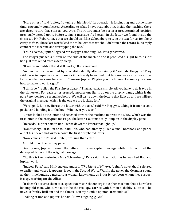"More or less," said Jupiter, frowning at his friend. "Its operation is fascinating and, at the same time, extremely complicated. According to what I have read about it, inside the machine there are three rotors that spin as you type. The rotors must be set in a predetermined position previously agreed upon, before typing a message. As I recall, in the letter we found inside the chess set, Mr. Roberts says that we should ask Miss Schoenberg to type the text for us, for she *is ready to do it*. Those last words lead me to believe that we shouldn't touch the rotors, but simply connect the machine and start typing the text."

"I think so too, Jupiter," agreed Mr. Heggyns, nodding. "So, let's get started."

The lawyer pushed a button on the side of the machine and it produced a slight hum, as if it had just awakened from a deep sleep.

"It seems incredible that it still works," Bob remarked.

"Arthur had it checked out by specialists shortly after obtaining it," said Mr. Heggyns. "They said it was in impeccable condition for it had rarely been used. But let's not waste any more time. Let's do what we came here to do. Come on, Jupiter, I'll give you the honors. I assume you know how to make it work, right?"

"I think so," replied the First Investigator. "That, at least, is simple. All you have to do is type in the ciphertext. For each letter pressed, another one lights up on the display panel, which is the part Pete took for a second keyboard. We will write down the letters that light up and we will get the original message, which is the one we are looking for."

"Very good, Jupiter. Here's the letter with the text," said Mr. Heggyns, taking it from his coat pocket and handing it to the boy. "Whenever you wish."

Jupiter looked at the letter and reached toward the machine to press the X key, which was the first letter in the encrypted message. The letter T automatically lit up on in the display panel.

"Records," Jupiter said to Bob, "write down the letters that light up."

"Don't worry, First. I'm on it," said Bob, who had already pulled a small notebook and pencil out of his pocket and written down the first deciphered letter.

"Now comes the T," said Jupiter, pressing that letter.

An H lit up on the display panel.

One by one, Jupiter pressed the letters of the encrypted message while Bob recorded the decrypted letters of the original message.

"So, this is the mysterious Miss Schoenberg," Pete said in fascination as he watched Bob and Jupiter work.

"Indeed, Pete," said Mr. Heggyns, amused. "*The Island of Mirrors*, Arthur's novel that I referred to earlier and where it appears, is set in the Second World War. In the novel, the Germans spend all their time hunting a mysterious woman known only as Erika Schoenberg, whom they suspect is a spy working for the Allies.

"It doesn't occur to them to suspect that Miss Schoenberg is a cipher machine that a harmless looking old man, who turns out to be the real spy, carries with him in a shabby suitcase. The novel is frankly brilliant and the climax is, in my humble opinion, tremendous."

Looking at Bob and Jupiter, he said, "How's it going, guys?"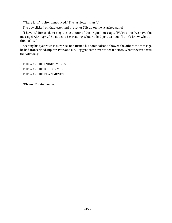"There it is," Jupiter announced. "The last letter is an A."

The boy clicked on that letter and the letter S lit up on the attached panel.

"I have it," Bob said, writing the last letter of the original message. "We're done. We have the message! Although..." he added after reading what he had just written, "I don't know what to think of it..."

Arching his eyebrows in surprise, Bob turned his notebook and showed the others the message he had transcribed. Jupiter, Pete, and Mr. Heggyns came over to see it better. What they read was the following:

THE WAY THE KNIGHT MOVES THE WAY THE BISHOPS MOVE THE WAY THE PAWN MOVES

"Oh, no...!" Pete moaned.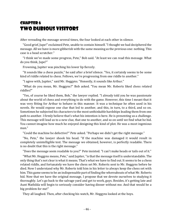## Chapter 6 Two Dubious Visitors

After rereading the message several times, the four looked at each other in silence.

"Good grief, Jupe!" exclaimed Pete, unable to contain himself. "I thought we had deciphered the message. All we have is more gibberish with the same meaning as the previous one: nothing. This case is a head scratcher."

"I think we've made some progress, Pete," Bob said. "At least we can read this message. What do you think, Jupe?"

Frowning, Jupiter was pinching his lower lip fiercely.

"It sounds like a chess puzzle," he said after a brief silence. "Yes, it certainly seems to be some kind of riddle related to chess. Fellows, we're progressing from one riddle to another."

"I agree with, Jupiter," said Mr. Heggyns. "Honestly, it sounds like Arthur."

"What do you mean, Mr. Heggyns?" Bob asked. "You mean Mr. Roberts liked chess related riddles?"

"Yes, of course he liked them, Bob," the lawyer replied. "I already told you he was passionate about the world of chess and everything to do with the game. However, this time I meant that it was very fitting for Arthur to behave in this manner. It was a technique he often used in his novels. He would expose one clue that led to another, and this, in turn, to a third, and so on. Sometimes he subjected his characters to the most unthinkable hardships leading them from one path to another. I firmly believe that's what his intention is here. He is presenting us a challenge. This message will lead us to a new clue, that one to another, and so on until we find what he hid. You cannot imagine how much he enjoyed designing this kind of plot. He was a most ingenious man."

"Could the machine be defective?" Pete asked. "Perhaps we didn't get the right message."

"No, Pete," the lawyer shook his head. "If the machine was damaged it would result in completely unintelligible text. The message we obtained, however, is perfectly readable. There is no doubt that this is the right message."

"Does the message seem readable to you?" Pete insisted. "I can't make heads or tails out of it."

"What Mr. Heggyns means, Pete," said Jupiter, "is that the message itself is understandable. The only thing that's not clear is what it means. That's what we have to find out. It seems to be a chess related riddle, and fortunately we have the chess set Mr. Roberts sent to Mr. Heggyns before he died. Now I understand why Mr. Roberts told him in his letter to always keep the chess set with him. This game seems to be an indispensable part of finding the whereabouts of what Mr. Roberts hid. Now that we have the original message, I propose that we devote ourselves to studying it thoroughly. Let's go back to the salvage yard and get to work, guys. Besides, it's getting late and Aunt Mathilda will begin to seriously consider having dinner without me. And that would be a big problem for me!"

They all laughed. Then, after checking his watch, Mr. Heggyns looked at the boys.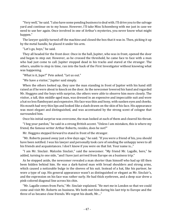"Very well," he said. "I also have some pending business to deal with. I'll drive you to the salvage yard and continue on to my house. However, I'll take Miss Schoenberg with me just in case we need to use her again. Once involved in one of Arthur's mysteries, you never know what might happen."

The lawyer quickly turned off the machine and closed the box that it was in. Then, picking it up by the metal handle, he placed it under his arm.

"Let's go, boys," he said.

They all headed for the front door. Once in the hall, Jupiter, who was in front, opened the door and began to step out. However, as he crossed the threshold, he came face to face with a man who had just come to call. Jupiter stopped dead in his tracks and stared at the stranger. The others, unable to stop in time, ran into the back of the First Investigator without knowing what was happening.

"What is it, Jupe?" Pete asked. "Let us out."

"We have a visitor," Jupiter said simply.

When the others looked up, they saw the man standing in front of Jupiter with his hand still raised as if he were about to knock on the door. As the newcomer lowered his hand and regarded Mr. Heggyns and the boys with surprise, the others were able to observe him more closely. The visitor, a tall, thin middle-aged man, was dressed in an expensive and impeccable suit and wore a hat no less flamboyant and expensive. His face was thin and bony, with sunken eyes and cheeks. His mouth had very thin lips and looked like a slash drawn on the skin of his face. His appearance was most elegant and distinguished, and was accentuated by the strong scent of cologne that surrounded him.

Once his initial surprise was overcome, the man looked at each of them and cleared his throat.

"I beg your pardon," he said in a strong British accent. "Unless I am mistaken, this is where my friend, the famous writer Arthur Roberts, resides, does he not?"

Mr. Heggyns stepped forward to stand in front of the stranger.

"Mr. Roberts passed away just a few days ago," he said. "If you were a friend of his, you should have been notified. I was his lawyer and personally took care of sending the unhappy news to all his friends and acquaintances. I don't know if you were on that list. Your name is..."

"I am Mr. Sinclair. Malcolm Sinclair," said the newcomer. "My friend Mr. Lagalle, here," he added, turning to one side, "and I have just arrived from Europe on a business trip."

As he stepped aside, the newcomer revealed a man shorter than himself who had up till then been hidden behind him. He was a dark-haired man with broad shoulders and strong arms, which caused a noticeable bulge in the sleeves of his suit. Instead of a hat, like his partner, he wore a type of cap. His general appearance wasn't as distinguished or elegant as Mr. Sinclair's, and the expression on his face was rather surly. He had thick eyebrows, and a deep scar drew a pink-colored diagonal line across his chin.

"Mr. Lagalle comes from Paris," Mr. Sinclair explained. "He met me in London so that we could come and visit Mr. Roberts on business. We both met him during his last trip to Europe and the three of us became close friends. We regret his death, Mr...."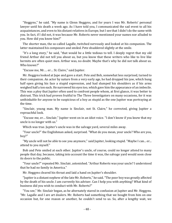"Heggyns," he said. "My name is Glenn Heggyns, and for years I was Mr. Roberts' personal lawyer until his death a week ago. As I have told you, I communicated the sad event to all his acquaintances, and even to his distant relatives in Europe, but I see that I didn't do the same with you. In fact, if I did not, it was because Mr. Roberts never mentioned your names nor alluded to you. How did you know him?"

The shorter man, the so-called Lagalle, twitched nervously and looked at his companion. The latter maintained his composure and smiled. Pete shuddered slightly at the smile.

"It's a long story," he said, "that would be a little tedious to tell. I deeply regret that my old friend Arthur did not tell you about us, but you know that these writers who like to live like hermits are often quiet men. Arthur was, no doubt. Maybe that's why he did not talk about us. Who knows?"

"Excuse me, Mr.… er… St. Claire," said Jupiter.

Mr. Heggyns looked at Jupe and gave a start. Pete and Bob, somewhat less surprised, turned to their companion. An actor by nature from a very early age, he had dropped his jaw, which hung half open giving his face a stupid expression, and had slumped his shoulders as if his arms weighed half a ton each. He narrowed his eyes too, which gave him the appearance of an imbecile. This was a ploy that Jupiter often used to confront people whom, at first glance, it was better to distrust. This trick had proven fruitful to The Three Investigators on many occasions, for it was unthinkable for anyone to be suspicious of a boy as stupid as the one Jupiter was portraying at the time.

"Sinclair, young man. My name is Sinclair, not St. Claire," he corrected, giving Jupiter a reproachful look.

"Excuse me, er… Sinclair," Jupiter went on in an idiot voice. "I don't know if you knew that my uncle is no longer with us."

Which was true. Jupiter's uncle was in the salvage yard, several miles away.

"Your uncle?" the Englishman asked, surprised. "What do you mean, your uncle? Who are you, boy?"

"My uncle will not be able to see you anymore," said Jupiter, looking stupid. "Maybe I can... er... attend to you myself."

Bob and Pete smiled at each other. Jupiter's uncle, of course, could no longer attend to many people that day, because, taking into account the time it was, the salvage yard would soon close its doors to the public.

"Your uncle?" repeated Mr. Sinclair, astonished. "Arthur Roberts was your uncle? I understood that he had no family in America."

Mr. Heggyns cleared his throat and laid a hand on Jupiter's shoulder.

"Jupiter is a distant nephew of the late Mr. Roberts," he said. "The poor boy was greatly affected by the death of his uncle. I am currently his adviser. Can I help you with anything? What kind of business did you wish to conduct with Mr. Roberts?"

"You see," Mr. Sinclair began, as he alternately stared in confusion at Jupiter and Mr. Heggyns. "Mr. Lagalle and I are art dealers. Mr. Roberts had something that we bought from him on one occasion but, for one reason or another, he couldn't send to us. So, after a lengthy wait, we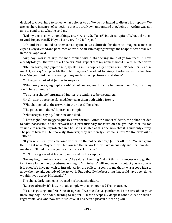decided to travel here to collect what belongs to us. We do not intend to disturb his nephew. We are just here in search of something that is ours. Now I understand that, being ill, Arthur was not able to send to us what he sold us."

"Did my uncle sell you something... er... Mr.... er... St. Claire?" inquired Jupiter. "What did he sell to you? Do you recall? Maybe I can... er... find it for you."

Bob and Pete smiled to themselves again. It was difficult for them to imagine a man as expensively dressed and perfumed as Mr. Sinclair rummaging through the heaps of scrap stacked in the salvage yard.

"Art, boy. Works of art," the man replied with a shuddering smile of yellow teeth. "I have already told you that we are art dealers. And I repeat that my name is not St. Claire, but Sinclair."

"Oh, I'm sorry, sir," Jupiter said, speaking in his hopelessly stupid voice. "Please... er... excuse me. Art, you say? Is it possible that... Mr. Heggyns," he added, looking at the lawyer with a helpless face, "do you think he is referring to my uncle's... er... pictures and statues?"

Mr. Heggyns looked at Jupiter in surprise.

"What are you saying, Jupiter? Ah! Oh, of course, yes. I'm sure he means them. Too bad they aren't here anymore."

"Yes... it's a shame," murmured Jupiter, pretending to be crestfallen.

Mr. Sinclair, appearing alarmed, looked at them both with a frown.

"What happened to the artwork in the house?" he asked.

"The police took them," Jupiter said simply.

"What are you saying?" Mr. Sinclair asked.

"That's right," Mr. Heggyns quickly corroborated. "After Mr. Roberts' death, the police decided to take possession of the artwork as a precautionary measure on the grounds that it's too valuable to remain unprotected in a house as isolated as this one, now that it is suddenly empty. The police have it all temporarily. However, they are merely custodians until Mr. Roberts' will is settled."

"If you wish... er... you can come with us to the police station," Jupiter offered. "We are going there right now. Maybe they'll let you see the artwork they have in custody and... er... maybe... maybe you'll find the one you say my uncle sold to you."

Mr. Sinclair glanced at his companion and took a step back.

"No, my boy, thank you very much," he said, still smiling. "I don't think it is necessary to go that far. Please follow the procedures relating to Mr. Roberts' will and we will contact you as soon as it is over. We have no wish to intrude. As for the police, it seems to me that it was a good idea to allow them to take custody of the artwork. Undoubtedly the best thing that could have been done, wouldn't you agree, Mr. Lagalle?"

The short, dark man just shrugged his broad shoulders.

"Let's go already. It's late," he said simply with a pronounced French accent.

"Yes, it is getting late," Mr. Sinclair agreed. "We must leave, gentlemen. I am sorry about your uncle, my boy," he added, turning to Jupiter. "Please accept my deepest condolences at such a regrettable loss. And now we must leave. It has been a pleasure meeting you."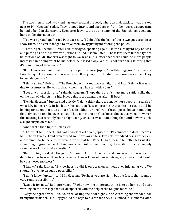The two men turned away and hastened toward the road, where a small black car was parked next to Mr. Heggyns' sedan. They jumped into it and sped away from the house, disappearing behind a bend in the canyon. Even after leaving, the strong smell of the Englishman's cologne hung in the afternoon air.

"You were great, Jupe!" cried Pete excitedly. "I didn't like the look of those two guys as soon as I saw them. And you managed to drive them away just by mentioning the police."

"That's right, Second," Jupiter acknowledged, speaking again like the intelligent boy he was, and putting aside the dimwitted persona he had just emulated. "Those two seem like the type to be cautious of. Mr. Roberts was right to warn us in his letter that there could be more people interested in finding what he hid before he passed away. Which is not surprising knowing that it's something of great value."

"It took me a moment to catch on to your performance, Jupiter," said Mr. Heggyns. "Fortunately, I reacted quickly enough and was able to follow your story. I didn't like those guys either. They looked dangerous."

"I think so too," Bob said. "The French guy's jacket was very tight, and I don't think it was all due to his muscles. He was probably wearing a holster with a gun."

"I got that impression also," said Mr. Heggyns. "I hope there aren't many more ruffians like that on the trail of what Arthur hid. Maybe this is too dangerous after all, boys."

"No, Mr. Heggyns," Jupiter said quickly. "I don't think there are many more people in search of what Mr. Roberts hid. In his letter, he said that 'it was possible' that someone else would be looking for it, not that it was a sure fact. In addition, he refers to the supposed loot as something that 'almost no one believes is lost.' That 'almost no one' excludes almost everyone. However, this meeting has certainly been enlightening, since it reveals something that until now was only a slight suspicion to me."

"And what's that, Jupe?" Bob asked.

"That what Mr. Roberts hid was a work of art," said Jupiter. "Let's connect the dots, Records. Mr. Roberts loved art and even owned some artwork. These two acknowledged being art dealers and claimed to be here to retrieve a work that Mr. Roberts sold them. The letter tells us it is something of great value. All this seems to point in one direction, the writer hid an extremely valuable work of art before he died."

"But, Jupiter," said Mr. Heggyns, "although Arthur loved art and possessed some works of definite value, he wasn't really a collector. I never knew of him acquiring any artwork that would be considered priceless."

"I know," said Jupiter. "But perhaps he did it on occasion without ever informing you. We shouldn't give up on such a possibility."

"I don't know, Jupiter," said Mr. Heggyns. "Perhaps you are right, but the fact is that seems a very remote possibility."

"Leave it for now," Bob intervened. "Right now, the important thing is to go home and start working on the message that we deciphered with the help of the Enigma machine."

Everyone agreed with Bob. So, after locking the door tightly, and clutching the wooden box firmly under his arm, Mr. Heggyns led the boys to his car and they all climbed in. Moments later,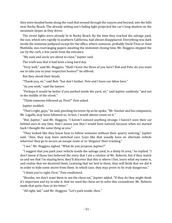they were headed home along the road that wound through the canyon and beyond, into the hills near Rocky Beach. The already setting sun's fading light projected the car's long shadow on the mountain slopes as they drove.

The street lights were already lit in Rocky Beach. By the time they reached the salvage yard, the sun, which sets rapidly in southern California, had almost disappeared. Everything was dark inside the immense junkyard except for the office, where someone, probably Uncle Titus or Aunt Mathilda, was rearranging papers awaiting the imminent closing time. Mr. Heggyns stopped the car by the curb, a few yards from the entrance.

"My aunt and uncle are about to close," Jupiter said.

The truth was that it had been a long hard day.

"Very well," said Mr. Heggyns. "Shall I leave the three of you here? Bob and Pete, do you want me to take you to your respective homes?" he offered.

But they shook their heads.

"Thank you, sir," said Bob, "but don't bother. Pete and I have our bikes here."

"As you wish," said the lawyer.

"Perhaps it would be better if you parked inside the yard, sir," said Jupiter suddenly, "and not in the middle of the street."

"Think someone followed us, First?" Pete asked.

Jupiter nodded.

"That's right, guys," he said, pinching his lower lip as he spoke. "Mr. Sinclair and his companion, Mr. Lagalle, may have followed us. In fact, I would almost count on it."

"But, Jupiter," said Mr. Heggyns, "I haven't noticed anything strange. I haven't seen their car behind ours at any time. And I assure you that I would have noticed, because when we started back I thought the same thing as you."

"They looked like they know how to follow someone without their quarry noticing," Jupiter said. "Also, they may have switched cars. Guys like that usually have an alternate vehicle wherever they go to secure an escape route or to 'disguise' their tracking."

"I see," Mr. Heggyns sighed. "What do you propose, Jupiter?"

"I suggest that you park your vehicle inside the salvage yard, in a dimly lit area," he replied. "I don't know if those two believed the story that I am a relative of Mr. Roberts, but if they watch us and see that I'm staying here, they'll discover that this is where I live, learn what my name is, and realize that we deceived them. Learning that we lied to them, they will think that we did it in order to hide some secret from them. In which case, they may prove to be *truly* dangerous."

"I think you're right, First," Pete swallowed.

"Besides, we don't want them to see the chess set," Jupiter added. "If they do they might think it's important and try to take it. And we need the chess set to solve this conundrum. Mr. Roberts made that quite clear in his letter."

"All right, lad," said Mr. Heggyns. "Let's park inside, then."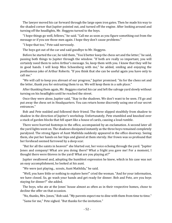The lawyer moved his car forward through the large open iron gates. Then he made his way to the shaded corner that Jupiter pointed out, and turned off the engine. After looking around and turning off the headlights, Mr. Heggyns turned to the boys.

"I hope things go well, fellows," he said. "Call me as soon as you figure something out from the message or if you see those men again. I hope they don't cause problems."

"I hope that too," Pete said nervously.

The boys got out of the car and said goodbye to Mr. Heggyns.

Before he started the car, he told them, "You'd better keep the chess set and the letter," he said, passing both things to Jupiter through the window. "If both are really so important, you will certainly need them to solve Arthur's message. So, keep them with you. I know that they will be in good hands. I will keep Miss Schoenberg with me," he added, smiling and enjoying the posthumous joke of Arthur Roberts. "If you think that she can be useful again you have only to call me."

"We will call to keep you abreast of our progress," Jupiter promised. "As for the chess set and the letter, thank you for entrusting them to us. We will keep them in a safe place."

After thanking them again, Mr. Heggyns started his car and left the salvage yard slowly without turning on his headlights until he reached the street.

Once they were alone, Jupiter said, "Stay in the shadows. We don't want to be seen. I'll go and put away the chess set in Headquarters. You can return home discreetly using one of our secret entrances."

Bob and Pete nodded and followed their friend. The three slipped stealthily from shadow to shadow in the direction of Jupiter's workshop. Unfortunately, Pete stumbled and knocked over a stack of garden blocks that fell apart like a house of cards, causing a loud rumble.

There were hurried footsteps in the office, accompanied by an exclamation. A second later all the yard lights went on. The shadows dissipated instantly as the three boys remained completely paralyzed. The strong figure of Aunt Mathilda suddenly appeared in the office doorway. Seeing them, she put her hands on her hips and glared at them sternly. Her frown was so profound that her forehead seemed furrowed by a deep scar.

"But for all the saints in heaven!" she blurted out, her voice echoing through the yard. "Jupiter Jones and company! What are you doing there? What a fright you gave me! For a moment, I thought there were thieves in the yard! What are you playing at?"

Jupiter swallowed and, adopting the humblest expression he knew, which in his case was not an easy accomplishment, he looked at his aunt.

"We were just playing... scouts, Aunt Mathilda," he said.

"Well, you have little or nothing to explore here!" cried the woman. "And for your information, we have closed. So, go wash your hands and get ready for dinner. Bob and Pete, are you boys staying for dinner?" she added.

The boys, who ate at the Jones' house almost as often as in their respective homes, chose to decline the offer on that occasion.

"No, thanks, Mrs. Jones," Bob said. "My parents expect me to dine with them from time to time." "Same for me," Pete sighed. "But thanks for the invitation."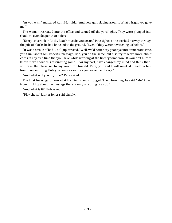"As you wish," muttered Aunt Mathilda. "And now quit playing around. What a fright you gave me!"

The woman retreated into the office and turned off the yard lights. They were plunged into shadows even deeper than before.

"Every last crook in Rocky Beach must have seen us," Pete sighed as he worked his way through the pile of blocks he had knocked to the ground. "Even if they weren't watching us before."

"It was a stroke of bad luck," Jupiter said. "Well, we'd better say goodbye until tomorrow. Pete, you think about Mr. Roberts' message. Bob, you do the same, but also try to learn more about chess in any free time that you have while working at the library tomorrow. It wouldn't hurt to know more about this fascinating game. I, for my part, have changed my mind and think that I will take the chess set to my room for tonight. Pete, you and I will meet at Headquarters tomorrow morning. Bob, you come as soon as you leave the library."

"And what will you do, Jupe?" Pete asked.

The First Investigator looked at his friends and shrugged. Then, frowning, he said, "Me? Apart from thinking about the message there is only one thing I can do."

"And what is it?" Bob asked.

"Play chess," Jupiter Jones said simply.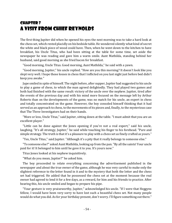## Chapter 7 A Visit from Chief Reynolds

The first thing Jupiter did when he opened his eyes the next morning was to take a hard look at the chess set, which rested placidly on his bedside table. He wondered silently what kind of secret the white and black piece of wood could have. Then, when he went down to the kitchen to have breakfast, his Uncle Titus, who had been sitting at the table for some time, set aside the newspaper he was reading and gave him a warm smile. Aunt Mathilda, standing behind her husband, said good morning as she fried bacon for breakfast.

"Good morning, Uncle Titus. Good morning, Aunt Mathilda," he said with a yawn.

"Good morning, Jupiter," his uncle replied. "How are you this morning? It doesn't look like you slept very well. I hope those losses in chess that I inflicted on you last night just before bed didn't keep you awake."

Jupe smiled in spite of himself. The night before, after supper, Jupiter had suggested to his uncle to play a game of chess, to which the man agreed delightedly. They had played two games and both had finished with the same result: victory of the uncle over the nephew. Jupiter, tired after the events of the previous day and with his mind more focused on the message left by Arthur Roberts than on the developments of the game, was no match for his uncle, an expert in chess and totally concentrated on the game. However, the boy consoled himself thinking that it had served as an approach to chess, to the movements of its pieces and, finally, to the mysterious case that The Three Investigators had on their hands.

"More or less, Uncle Titus," said Jupiter, sitting down at the table. "I must admit that you are an excellent player."

"Little can be done against the Jones opening if you're not a real expert," said his uncle, laughing. "It's all strategy, Jupiter," he said while touching his finger to his forehead. "Pure and simple strategy. The truth is that it's a pleasure to play with a chess set as finely crafted as yours."

"Yes, Uncle Titus," said Jupiter. "Although it's a pity that it really belongs to someone else."

"To someone else?" asked Aunt Mathilda, looking up from the pan. "By all the saints! Your uncle paid for it! It belonged to him until he gave it to you. It's yours now."

Titus Jones looked at his nephew inquisitively.

"What do you mean, Jupiter?" he asked him.

The boy proceeded to relate everything concerning the advertisement published in the newspaper and about the true owner of the game, although he was very careful to make only the slightest reference to the letter found in it and to the mystery that both the letter and the chess set had triggered. He added that he possessed the chess set at the moment because the real owner had agreed to lend it for a few days, as a reward, for him and his friends to practice. After hearing this, his uncle smiled and began to prepare his pipe.

"Your gesture is very praiseworthy, Jupiter," acknowledged his uncle. "If I were that Heggyns fellow, I would have been very sorry to have lost such a beautiful chess set. Not many people would do what you did. As for your birthday present, don't worry. I'll figure something out there."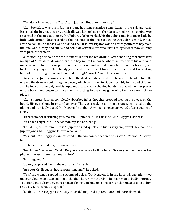"You don't have to, Uncle Titus," said Jupiter. "But thanks anyway."

After breakfast was over, Jupiter's aunt had him organize some items in the salvage yard. Resigned, the boy set to work, which allowed him to keep his hands occupied while his mind was absorbed in the message left by Mr. Roberts. As he worked, his thoughts came into focus little by little with certain ideas regarding the meaning of the message going through his mind. When, after half an hour, the task was finished, the First Investigator was an entirely different boy from the one who, sleepy and sulky, had come downstairs for breakfast. His eyes were now shining with pure excitement.

With nothing else to do for the moment, Jupiter looked around. After checking that there was no sign of Aunt Mathilda anywhere, the boy ran to the house where he lived with his aunt and uncle, went up to his room, picked up the chess set and, with it firmly tucked under his arm, ran back to the junkyard. Then he slyly entered the corner of his workshop, removed the grating behind the printing press, and scurried through Tunnel Two to Headquarters.

Once inside, Jupiter took a seat behind the desk and deposited the chess set in front of him. He opened the drawer containing the pieces, which continued to sit comfortably in the bed of foam, and he took out a knight, two bishops, and a pawn. With shaking hands, he placed the four pieces on the board and began to move them according to the rules governing the movement of the pieces.

After a minute, Jupiter, completely absorbed in his thoughts, stopped moving the pieces on the board. His eyes shone brighter than ever. Then, as if waking up from a trance, he picked up the phone and hurriedly dialed Mr. Heggyns' number. A woman's voice answered after a couple of rings.

"Excuse me for disturbing you, ma'am," Jupiter said. "Is this Mr. Glenn Heggyns' address?"

"Yes, that's right, but..." the woman replied nervously.

"Could I speak to him, please?" Jupiter asked quickly. "This is very important. My name is Jupiter Jones. Mr. Heggyns knows who I am."

"Yes, but... Mr. Heggyns cannot stand..." the woman replied in a whisper. "He's not... Anyway, he…"

Jupiter interrupted her, he was so excited.

"Not home?" he asked. "Well? Do you know when he'll be back? Or can you give me another phone number where I can reach him?"

"Mr. Heggyns..."

Jupiter, surprised, heard the woman stifle a sob.

"Are you Mr. Heggyns' housekeeper, ma'am?" he asked.

"Yes," the woman replied in a strangled voice. "Mr. Heggyns is in the hospital. Last night two unscrupulous men attacked him and... they hurt him severely. The poor man is badly injured... You found me at home by pure chance. I'm just picking up some of his belongings to take to him and... My Lord, what a disgrace!"

"Madam, is Mr. Heggyns seriously injured?" inquired Jupiter, more and more alarmed.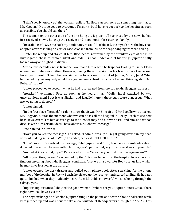"I don't really know yet," the woman replied. "I... How can someone do something like that to Mr. Heggyns? He is so good to everyone... I'm sorry, but I have to get back to the hospital as soon as possible. You should call there."

The woman on the other side of the line hung up. Jupiter, still surprised by the news he had just received, slowly hung up the receiver and stood motionless staring blankly.

"Rascal! Rascal! Give me back my doubloons, rascal!" Blackbeard, the mynah bird the boys had adopted after resolving an earlier case, croaked from inside the cage hanging from the ceiling.

Jupiter looked up and stared at him. Blackbeard, restrained by the attentive eyes of the First Investigator, chose to remain silent and hide his head under one of his wings. Jupiter finally looked away and sighed in dismay.

After a few seconds a noise from the floor made him react. The trapdoor leading to Tunnel Two opened and Pete was smiling. However, seeing the expression on his friend's face the Second Investigator couldn't help but exclaim as he took a seat in front of Jupiter, "Gosh, Jupe! What happened to you? Anybody would say you've seen a ghost. Did you fall asleep thinking about Mr. Roberts' riddle?"

Jupiter proceeded to recount what he had just learned from the call to Mr. Heggyns' address.

"Attacked!" exclaimed Pete as soon as he heard it all. "Golly, Jupe! Attacked by two unscrupulous men! I bet it was Sinclair and Lagalle! I knew those guys were dangerous! What are we going to do now?"

Jupiter sighed.

"In the first place," he said, "we don't know that it was Mr. Sinclair and Mr. Lagalle who attacked Mr. Heggyns, but for the moment what we can do is call the hospital in Rocky Beach to see how he is. If we can talk to him or even go to see him, we may find out who assaulted him, and we can discuss with him certain ideas I have about Mr. Roberts' message."

Pete blinked in surprise.

"Have you solved the message?" he asked. "I admit I was up all night going over it in my head without making sense of it. Well," he added, "at least until I fell asleep."

"I don't know if I've solved the message, Pete," Jupiter said. "But, I do have a definite idea about it. I would have liked to have gotten Mr. Heggyns' opinion. But, as you can see, it was impossible."

"And what idea is that, Jupe?" Pete asked simply. "What do you think the message means?"

"All in good time, Second," responded Jupiter. "First we have to call the hospital to see if we can find out anything about Mr. Heggyns' condition. Also, we must wait for Bob to let us know what he may have learned at the library."

Jupiter opened the desk drawer and pulled out a phone book. After searching for the phone number of the hospital in Rocky Beach, he picked up the receiver and started dialing. He had not quite finished when they suddenly heard Aunt Mathilda's powerful voice echoing through the salvage yard.

"Jupiter! Jupiter Jones!" shouted the good woman. "Where are you? Jupiter Jones! Get out here right now! You have a visitor!"

The boys exchanged a silent look. Jupiter hung up the phone and set the phone book aside while Pete jumped up and was about to take a look outside of Headquarters through the *See-All*. This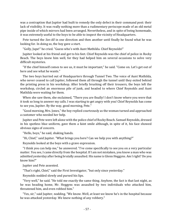was a contraption that Jupiter had built to remedy the only defect in their command post: their lack of visibility. It was really nothing more than a rudimentary periscope made of an old metal pipe inside of which mirrors had been arranged. Nevertheless, and in spite of being homemade, it was extremely useful to the boys to be able to inspect the vicinity of Headquarters.

Pete turned the *See-All* in one direction and then another until finally he found what he was looking for. In doing so, the boy gave a start.

"Golly, Jupe!" he cried. "Guess who's with Aunt Mathilda. Chief Reynolds!"

Jupiter looked at his friend and got to his feet. Chief Reynolds was the chief of police in Rocky Beach. The boys knew him well, for they had helped him on several occasions to solve very difficult mysteries.

"If the chief himself comes to see us, it must be important," he said. "Come on. Let's get out of here and see what he wants."

The two boys hurried out of Headquarters through Tunnel Two. The voice of Aunt Mathilda, who never ceased to call Jupiter, followed them all through the tunnel until they exited behind the printing press in his workshop. After briefly brushing off their trousers, the boys left the workshop, circled an enormous pile of junk, and headed to where Chief Reynolds and Aunt Mathilda were waiting for them.

When she saw them, she exclaimed, "There you are finally! I don't know where you were that it took so long to answer my calls. I was starting to get angry with you! Chief Reynolds has come to see you, Jupiter. By the way, good morning, Pete."

"Good morning, Mrs. Jones," the boy replied courteously as the woman turned and approached a customer who needed her help.

Jupiter and Pete were left alone with the police chief of Rocky Beach. Samuel Reynolds, dressed in his spotless blue uniform, gave them a faint smile although, in spite of it, his face showed obvious signs of concern.

"Hello, boys," he said, shaking hands.

"Hi, Chief," said Jupiter. "What brings you here? Can we help you with anything?"

Reynolds looked at the boys with a grave expression.

"I think you can help me," he answered. "I've come specifically to see you on a very particular matter. You see, I came directly from the hospital. If I am not mistaken, you know a man who was admitted yesterday after being brutally assaulted. His name is Glenn Heggyns. Am I right? Do you know him?"

Jupiter and Pete assented.

"That's right, Chief," said the First Investigator, "but only since yesterday."

Reynolds nodded slowly and pursed his lips.

"Very well," he said. "He told me exactly the same thing. Anyhow, the fact is that last night, as he was heading home, Mr. Heggyns was assaulted by two individuals who attacked him, threatened him, and even robbed him."

"Yes, sir," said Jupiter, nodding. "We know. Well, at least we know he's in the hospital because he was attacked yesterday. We knew nothing of any robbery."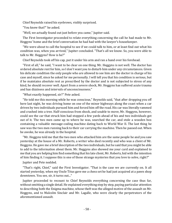Chief Reynolds raised his eyebrows, visibly surprised.

"You knew that?" he asked.

"Well, we actually found out just before you came," Jupiter said.

The First Investigator proceeded to relate everything concerning the call he had made to Mr. Heggyns' home and the brief conversation he had had with the lawyer's housekeeper.

"We were about to call the hospital to see if we could talk to him, or at least find out what his condition was, when you arrived," Jupiter concluded. "That's all we know. So, you were able to talk to Mr. Heggyns? How is he?"

Chief Reynolds took off his cap, put it under his arm and ran a hand over his forehead.

"First of all," he said, "I want to be clear on one thing. Mr. Heggyns is not well. The doctor has ordered absolute rest for him, so I don't want you to disturb him under any circumstances. Given his delicate condition the only people who are allowed to see him are the doctor in charge of his case and myself, since he asked for me personally. I will tell you that his condition is serious, but if he maintains absolute rest as prescribed by the doctor and is not subjected to stress of any kind, he should recover well. Apart from a severe shock, Mr. Heggyns has suffered acute trauma and has dizziness and intervals of unconsciousness."

"What exactly happened, sir?" Pete asked.

"He told me this morning while he was conscious," Reynolds said, "that after dropping you off here last night, he was driving home on one of the minor highways along the coast when a car driven by two individuals pursued him and forced him off the road. His car was literally rammed and crashed into a tree. Half-conscious from shock, and unable to move, Mr. Heggyns, however, could see the car that struck him had stopped a few yards ahead of his and two individuals got out of it. The two men came up to where he was, searched the car, and stole a wooden box containing a valuable message-coding machine dating back to World War II. The last thing he saw was the two men running back to their car carrying the machine. Then he passed out. When he awoke, he was already in the hospital.

"Mr. Heggyns told me that the two men who attacked him are the same people he and you saw yesterday at the house of a Mr. Roberts, a writer who died recently and who was a client of Mr. Heggyns. He gave me a brief description of the two individuals, but he said that you might be able to add to the information about them. Mr. Heggyns also showed me your card and explained to me that you are helping him find something that his late client, Mr. Roberts, hid with the intention of him finding it. I suppose this is one of those strange mysteries that you love to solve, right?"

Jupiter and Pete nodded.

"That's right, Chief," said the First Investigator. "That is the case we are currently on. It all started yesterday, when my Uncle Titus gave me a chess set he had just acquired at a pawn shop downtown. You see, sir, it turns out..."

Jupiter proceeded to recount to Chief Reynolds everything concerning the case thus far, without omitting a single detail. He explained everything step by step, paying particular attention to describing both the Enigma machine, whose theft was the alleged motive of the assault on Mr. Heggyns, and to Malcolm Sinclair and Mr. Lagalle, who were clearly the perpetrators of the aforementioned assault.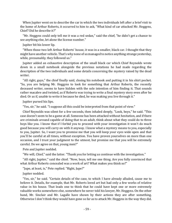When Jupiter went on to describe the car in which the two individuals left after a brief visit to the home of Arthur Roberts, it occurred to him to ask, "What kind of car attacked Mr. Heggyns, Chief? Did he describe it?"

"Mr. Heggyns could only tell me it was a red sedan," said the chief, "he didn't get a chance to see anything else, let alone the license number."

Jupiter bit his lower lip.

"When those two left Arthur Roberts' house, it was in a smaller, black car. I thought that they might have another vehicle. That's why none of us managed to notice anything strange yesterday, while, presumably, they followed us."

Jupiter added an exhaustive description of the small black car which Chief Reynolds wrote down in a small notebook alongside the previous notations he had made regarding the description of the two individuals and some details concerning the mystery raised by the dead writer.

"All right, guys," the chief finally said, closing his notebook and putting it in his shirt pocket. "So, you are helping Mr. Heggyns to look for something that Arthur Roberts, the recently deceased writer, seems to have hidden with the sole intention of him finding it. That sounds rather macabre and twisted, as if Roberts was trying to write a final mystery story even after he died. Or as if, unable to write it because he died, he was making you live through it."

Jupiter pursed his lips.

"Yes, sir," he said. "I suppose all this could be interpreted from that point of view."

Chief Reynolds was silent for a few seconds, then inhaled deeply, "Look, boys," he said. "This case doesn't seem to be a game at all. Someone has been attacked without hesitation, and if there are criminals around capable of doing that to an adult, think about what they could do to three boys like you. I know that if I forbid you to proceed with your investigation it won't do much good because you will carry on with it anyway. I know what a mystery means to you, especially to you, Jupiter. So, I want you to promise me that you will keep your eyes wide open and that you'll be careful at all times, without exception. You have proven yourselves on more than one occasion, and I trust your judgment to the utmost, but promise me that you will be extremely careful. Do we agree on that, young men?"

Pete and Jupiter nodded.

"We will, Chief," said the latter. "Thank you for letting us continue with the investigation."

"All right, Jupiter," said the chief. "Now, boys, tell me one thing. Are you fully convinced that what Arthur Roberts concealed was a work of art? What makes you think so?"

"Jupe, at least, is," Pete replied. "Right, Jupe?"

Jupiter nodded.

"Yes, sir," he said. "Certain details of the case, to which I have already alluded, cause me to believe it. Details, for example, that Mr. Roberts loved art but had only a few works of relative value in his house. That leads one to think that he could have kept one or more extremely valuable works somewhere else, somewhere he never told his lawyer, Mr. Heggyns. On the other hand, Mr. Sinclair and Mr. Lagalle have shown by their actions they are after something. Otherwise I don't think they would have gone so far as to attack Mr. Heggyns in the way they did.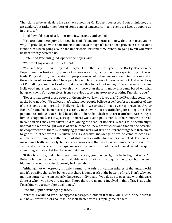They claim to be art dealers in search of something Mr. Roberts possessed. I don't think they are art dealers, but rather members of some gang of smugglers. In any event, art keeps popping up in this case."

Chief Reynolds stared at Jupiter for a few seconds and smiled.

"You are quite perceptive, Jupiter," he said. "That, and because I know that I can trust you, is why I'll provide you with some information that, although it's never been proven, is a consistent rumor that's been going around the underworld for some time. What I'm going to tell you must be kept strictly between us."

Jupiter and Pete, intrigued, opened their eyes wide.

"We won't say a word, sir," Pete said.

"You see, boys…" Chief Reynolds began. "Over the past few years, the Rocky Beach Police Department has broken up, on more than one occasion, bands of outlaws specializing in the art trade. For good or ill, the mansions of people connected to the movies abound in this area and in the environs of Los Angeles. These people are rich, and many of them collect art. And when I say art I'm talking about works of art that are worth a lot, a lot of money. There are walls in some Hollywood mansions that are worth much more than those in many museums based on what hangs on them. You yourselves, from a previous case, can attest to everything I'm telling you."

"Roberts was one of those people in the movie world who loved art," Chief Reynolds continued as the boys nodded. "Or at least that's what most people believe. A self-confessed member of one of these bands that operated in Hollywood, whom we arrested about a year ago, revealed Arthur Roberts' name has been heard persistently in the world of art trafficking for a long time. This person once told us that he had heard that Roberts had dealt with art traffickers. According to him, this happened, as I say, years ago, before I was even a policeman. But the rumor, widespread in some circles, may have taken hold following the death of Roberts. What is said specifically is not that the writer bought works of art, but that he knew of traffickers and that on one occasion he cooperated with them by identifying genuine works of art and differentiating them from mere forgeries. In other words, by virtue of his extensive knowledge of art, he came to act as an appraiser certifying the authenticity of stolen works with which others trafficked. This doesn't make him a trafficker really, but someone who knew that world, who maintained certain... let's say... risky contacts, and perhaps, on occasion, as a lover of the art world, would acquire something valuable that had to be kept hidden.

"If this is all true, which has never been proven, you may be right in believing that what Mr. Roberts hid before he died was a valuable work of art that he acquired long ago but has kept hidden for years in a safe place only he knew about.

"Although not widespread, it's only a rumor that exists in certain spheres of the underworld, and it's possible that a few believe that there is some truth at the bottom of it all. That's why you may encounter some particularly dangerous individuals if you decide to go ahead with this case. Some of whom you have already met. I hope there are no more involved in this affair. That's why I'm asking you to stay alert at all times."

Pete and Jupiter exchanged glances.

"Whew!" exclaimed Pete. "Encrypted messages, a hidden treasure, our client in the hospital, and now... art traffickers no less! And it all started with a simple game of chess!"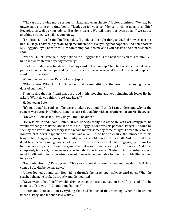"The case is growing more serious, intricate and even sinister," Jupiter admitted. "We may be unwittingly sitting on a time bomb. Thank you for your confidence in telling us all this, Chief Reynolds, as well as your advice. But don't worry. We will keep our eyes open. If we notice anything strange, we will let you know."

"I hope so, Jupiter," said Chief Reynolds. "I think it's the right thing to do. And now excuse me, but I must go. I have things to do. Keep me informed of everything that happens. And don't bother Mr. Heggyns. If you need to tell him something, come to me and I will pass it on to him as soon as I can."

"We will, Chief," Pete said. "Say hello to Mr. Heggyns for us the next time you talk to him. Tell him that we wish him a speedy recovery."

Chief Reynolds shook hands with the boys and put on his cap. Then he turned and went to his patrol car, which he had parked by the entrance of the salvage yard. He got in, started it up, and went down the street.

When they were alone, Pete looked at Jupiter.

"What a mess! When I think of how we could be sunbathing on the beach and enjoying the last days of summer..."

Then, seeing that his friend was absorbed in his thoughts and kept pinching his lower lip, he asked, "What do you think, Jupe? Any ideas?"

He looked at Pete.

"It's just that," he said, as if he were thinking out loud, "I think I can understand why, if the rumors were true, Mr. Roberts kept his past relationship with art traffickers from Mr. Heggyns."

"Oh yeah?" Pete asked. "Why do you think he did it?"

"He was his friend," said Jupiter. "If Mr. Roberts really did associate with art smugglers, he would probably break the law. If he told Mr. Heggyns, who was his personal lawyer, he could be seen by the law as an accessory if the whole matter someday came to light. Fortunately for Mr. Roberts, that never happened while he was alive. But he had to ensure the innocence of his lawyer, Mr. Heggyns, anyway. That's why he never told him anything at all. And now that he is dead, he conceives an ingenious plot by virtue of which he can make Mr. Heggyns, by finding the hidden treasure, able not only to gain fame but also to have a good plot for a novel. And he is completely innocent, for he never suspected Mr. Roberts' secret. No doubt Arthur Roberts was a most intelligent man. Otherwise he would never have been able to live the double life he lived for years."

"No doubt about it," Pete agreed. "This story is certainly complicated and besides... Hey! Here comes Bob. Maybe he has news."

Jupiter looked up and saw Bob riding through the large, open salvage-yard gates. When he reached them, he braked abruptly and dismounted.

"Guys, wasn't that Chief Reynolds driving the patrol car that just left here?" he asked. "Did he come to talk to you? Did something happen?"

Jupiter and Pete told him everything that had happened that morning. When he heard his friends' story, Bob let out a low whistle.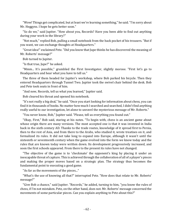"Wow! Things got complicated, but at least we're learning something," he said. "I'm sorry about Mr. Heggyns. I hope he gets better soon."

"So do we," said Jupiter. "How about you, Records? Have you been able to find out anything during your work in the library?"

"Not much," replied Bob, pulling a small notebook from the back pocket of his trousers. "But if you want, we can exchange thoughts at Headquarters."

"Great idea!" exclaimed Pete. "Did you know that Jupe thinks he has discovered the meaning of Mr. Roberts' message?"

Bob turned to Jupiter.

"Is that true, Jupe?" he asked.

"Mmm... It's possible," grumbled the First Investigator, slightly morose. "First let's go to Headquarters and hear what you have to tell us."

The three of them headed for Jupiter's workshop, where Bob parked his bicycle. Then they entered Headquarters through Tunnel Two. Jupiter took the swivel chair behind the desk. Bob and Pete took seats in front of him.

"And now, Records, tell us what you learned," Jupiter said.

Bob cleared his throat and opened his notebook.

"It's not really a big deal," he said. "Once you start looking for information about chess, you can find it in thousands of books. No matter how much I searched and searched, I didn't find anything really useful to our investigation, let alone to unravel the mysterious message of Mr. Roberts."

"You never know, Bob," Jupiter said. "Please, tell us everything you found out."

"Okay, First," Bob said, staring at his notes. "To begin with, chess is an ancient game about whose origin there are many versions. The most accepted one is that it was invented in India back in the sixth century AD. Thanks to the trade routes, knowledge of it spread first to Persia, then to the rest of Asia, and from there to the Arabs, who studied it, wrote treatises on it, and formalized its rules. It did not take long to expand into Europe, although it wasn't until the sixteenth or seventeenth century when the game evolved into the form we know today and the rules that are known today were written down. Its development progressively increased, and soon the first schools appeared. From there to the present its rules have not changed.

"The objective of the game is to 'checkmate' the opponent's king by placing it under an inescapable threat of capture. This is achieved through the collaboration of all of a player's pieces and making the proper moves based on a strategic plan. The strategy thus becomes the fundamental point to executing a good game.

"As far as the movements of the pieces..."

"What's the use of knowing all that?" interrupted Pete. "How does that relate to Mr. Roberts' message?"

"Give Bob a chance," said Jupiter. "Records," he added, turning to him, "you know the rules of chess, if I'm not mistaken. Pete, on the other hand, does not. Mr. Roberts' message concerned the movements of some particular pieces. Can you explain anything to Pete about this?"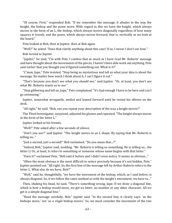"Of course, First," responded Bob. "If we remember the message, it alludes to the way the knight, the bishop and the pawn move. With regard to this we have the knight, which always moves in the form of an L, the bishop, which always moves diagonally regardless of how many squares it travels, and the pawn, which always moves forward, that is, vertically as we look at the board."

Pete looked at Bob, then at Jupiter, then at Bob again.

"Well?" he asked. "Does that clarify anything about this case? If so, I swear I don't see how."

Bob turned to Jupiter.

"Jupiter," he said, "I'm with Pete. I confess that as much as I have read Mr. Roberts' message and have thought about the movements of the pieces, I haven't been able work out anything. Pete said earlier that you thought you'd figured something out. What is it?"

"C'mon, Jupe," Pete insisted. "Stop being so mysterious and tell us what your idea is about the message. No matter how much I think about it, I can't figure it out."

"That's because you don't see what you should see," said Jupiter. "Or, at least, you don't see what Mr. Roberts wants us to see."

"Stop gibbering and tell us, Jupe," Pete complained. "It's bad enough I have to be here and can't go swimming."

Jupiter, somewhat arrogantly, smiled and leaned forward until he rested his elbows on the desk.

"All right," he said. "Bob, can you repeat your description of the way a knight moves?"

The Third Investigator, surprised, adjusted his glasses and repeated, "The knight always moves in the form of the letter L."

Jupiter looked at his friends.

"Well?" Pete asked after a few seconds of silence.

"Don't you see?" said Jupiter. "The knight moves in an L shape. By saying that Mr. Roberts is telling us..."

"Just a second, just a second!" Bob exclaimed. "Do you mean that...?"

"Indeed, Bob," Jupiter said, nodding. "Mr. Roberts is telling us something. He is telling us... the letter L! Or, at least, it refers to something or someone whose name begins with that letter."

"Darn it!" exclaimed Pete. "Bob said it before and I didn't even notice. It seems so obvious..."

"Often the most obvious is the most difficult to notice precisely because it's not hidden, Pete," Jupiter pointed out. "All right. So, the first line of the message left by Arthur Roberts refers to the letter L. What else do we have, Bob?"

"Well," said he, thoughtfully, "we have the movement of the bishop, which, as I said before, is always diagonal. So, if we follow the same method as with the knight's movement, we have to..."

Then, shaking his head, he said, "There's something wrong, Jupe. If we draw a diagonal line, which is how a bishop would move, we get no letter, no number or any other character. All we get is a simple diagonal line."

"Read the message carefully, Bob," Jupiter said. "In the second line, it clearly says: 'as the bishops move,' not 'as *a single* bishop moves.' So, we must consider the movement of the two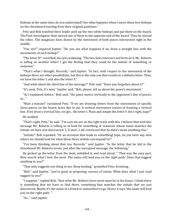bishops at the same time, do you understand? See what happens when I move these two bishops on the chessboard starting from their original positions."

Pete and Bob watched their leader pick up the two white bishops and put them on the board. The First Investigator then moved one of them to the opposite end of the board. Then he moved the other. The imaginary lines drawn by the movement of both pieces intersected right in the middle.

"You see?" inquired Jupiter. "Do you see what happens if we draw a straight line with the movements of each bishop?"

"The letter X!" cried Bob, his eyes widening. "The two lines intersect and form an X. Mr. Roberts is telling us another letter! I get the feeling that they could be the initials of something or someone."

"That's what I thought, Records," said Jupiter. "In fact, with respect to the movement of the bishops there are other possibilities, but this is the only one that results in a definite letter. Thus, we have the letter L and also the letter X."

"And what about the third line of the message?" Pete said. "Have you forgotten about it?"

"It's next, Pete, it's next," Jupiter said. "Bob, please, tell us about the pawn's movement."

"As I explained before," Bob said, "the pawn moves vertically to the opponent's line of pieces, so..."

"Wait a minute!" exclaimed Pete. "If we are drawing letters from the movements of specific chess pieces on the board, leave this to me. A vertical movement consist of drawing a vertical line. If we draw a vertical line, we get... the letter I. Plain and simple the letter I! Am I right, Jupe?"

He nodded.

"That's right, Pete," he said. "I'm sure we are on the right track with this. I believe that with this message Mr. Roberts is telling us to look for something or someone whose name matches the initials we have just discovered: L, X and I. I am convinced that he didn't mean anything else."

"Initials!" Bob repeated. "Or an acronym that leads to something! Jupe, do you have any idea where we should look for what these three initials correspond to?"

"I've been thinking about that too, Records," said Jupiter. "In the letter that he hid in the chessboard Mr. Roberts wrote, just after the encrypted message, the following."

He picked up the letter from the desk, unfolded it, and read aloud: " 'That was the easy part. Now search what I love the most. The name will lead you on the right path.' Does that suggest anything to you?"

"That only suggests one thing to me: Keep looking," grumbled Pete, frowning.

"Bob," said Jupiter, "you're good at proposing courses of action. What does what I just read suggest to you?"

"I suppose," replied Bob, "that what Mr. Roberts loves most must be in his house. I think there is something that we have to find there, something that matches the initials that we just discovered. Maybe it's the name of a friend or somewhere to go. Hence it says 'the name will lead you on the right path.' "

"So..." said Jupiter.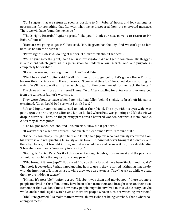"So, I suggest that we return as soon as possible to Mr. Roberts' house, and look among his possessions for something that fits with what we've discovered from the encrypted message. Then, we will have found the next clue."

"That's right, Records," Jupiter agreed. "Like you, I think our next move is to return to Mr. Roberts' house."

"How are we going to get in?" Pete said. "Mr. Heggyns has the key. And we can't go to him because he's in the hospital."

"Pete's right," Bob said, looking at Jupiter. "I didn't think about that detail."

"We'll figure something out," said the First Investigator. "We will get in somehow. Mr. Heggyns is our client which gives us his permission to undertake our search. And our purpose is completely honorable."

"If anyone sees us, they might not think so," said Pete.

"We'll be careful," Jupiter said. "Well, it's time for us to get going. Let's go ask Uncle Titus to borrow the small truck with Hans or Konrad. Given what time it is," he added after consulting his watch, "we'll have to wait until after lunch to go. But the sooner we ask for the truck, the better."

The three of them rose and entered Tunnel Two. After crawling for a few yards they emerged from the tunnel in Jupiter's workshop.

They were about to leave when Pete, who had fallen behind slightly to brush off his pants, exclaimed, "Gosh! Look! Do I see what I think I see?"

Bob and Jupiter stopped and turned to look at their friend. The boy, with his eyes wide, was pointing at the printing press. Bob and Jupiter looked where Pete was pointing and felt their jaws drop in surprise. There, on the printing press, was a battered wooden box with a metal handle. A box they all recognized.

"The Enigma machine!" shouted Bob, puzzled. "How did it get here?"

"It wasn't there when we entered Headquarters!" exclaimed Pete. "I'm sure of it."

"Evidently somebody brought it here and left it," said Jupiter, who had quickly recovered from his surprise and was pinching furiously on his lower lip. "And whoever brought it didn't leave it there by chance, but brought it to *us*, so that we would see and recover it. So, the valuable Miss Schoenberg reappears. Very, very interesting..."

"Good grief!" cried Pete. "As if all this weren't enough trouble, now we must add the puzzle of an Enigma machine that mysteriously reappears."

"Who brought it here, Jupe?" Bob asked. "Do you think it could have been Sinclair and Lagalle? They stole it yesterday. Perhaps, not knowing how to use it, they returned it thinking that we do, with the intention of letting us use it while they keep an eye on us. They'll track us while we lead them to the hidden treasure."

"Mmm... It's possible," Jupiter agreed. "Maybe it was them and maybe not. If there are more people involved in this affair, it may have been taken from them and brought to us on their own. Remember that we don't know how many people might be involved in this whole story. Maybe while Sinclair and Lagalle watch over us there are people who, in turn, are watching over them."

"Uh!" Pete growled. "To make matters worse, thieves who are being watched. That's what I call a tangled mess!"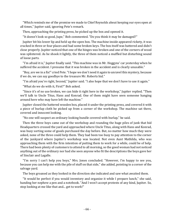"Which reminds me of the promise we made to Chief Reynolds about keeping our eyes open at all times," Jupiter said, ignoring Pete's remark.

Then, approaching the printing press, he picked up the box and opened it.

"It doesn't look so good, Jupe," Bob commented. "Do you think it may be damaged?"

Jupiter bit his lower lip and held up the open box. The machine inside appeared rickety, it was cracked in three or four places and had some broken keys. The box itself was battered and didn't close properly. Jupiter noticed that one of the hinges was broken and one of the corners of wood was splintered. As he shook it lightly, the three of them noticed a muffled but disturbing sound of loose parts.

"I'm afraid it is," Jupiter finally said. "This machine was in Mr. Heggyns' car yesterday when he suffered the accident. I presume that it was broken in the accident and is clearly unusable."

"Boy, are we in a fix!" cried Pete. "I hope we don't need it again to unravel this mystery, because if we do, we can say goodbye to the treasure Mr. Roberts hid."

"I'm afraid you're right, Second," Jupiter said. "I also hope that we don't have to use it again."

"What do we do with it, First?" Bob asked.

"Since it's of no use broken, we can hide it right here in the workshop," Jupiter replied. "Then we'll talk to Uncle Titus, Hans and Konrad. One of them might have seen someone hanging around here who may have left the machine."

Jupiter closed the battered wooden box, placed it under the printing press, and covered it with a piece of burlap cloth he picked up from a corner of the workshop. The machine sat there, covered and innocent looking.

"No one will suspect an ordinary looking bundle covered with burlap," he said.

Then the three boys came out of the workshop and rounding the huge piles of junk that hid Headquarters crossed the yard and approached where Uncle Titus, along with Hans and Konrad, was busy sorting some of goods purchased the day before. But, no matter how much they were asked, none of the three could help them. They had been too busy to pay attention to the corner of the junkyard where Jupiter's workshop was located. Not even Aunt Mathilda, who was approaching them with the firm intention of putting them to work for a while, could be of help. There had been plenty of customers to attend to all morning, so the good woman had not noticed anything out of the ordinary nor had she seen anyone who fit the descriptions the boys gave her of Sinclair and Lagalle.

"I'm sorry I can't help you boys," Mrs. Jones concluded. "However, I'm happy to see you, because you can help me with the pile of stuff on that side," she added, pointing to a corner of the salvage yard.

The boys groaned as they looked in the direction she indicated and saw what awaited them.

"It would be perfect if you would inventory and organize it while I prepare lunch," she said, handing her nephew a pen and a notebook. "And I won't accept protests of any kind, Jupiter. So, stop looking at me like that and... get to work!"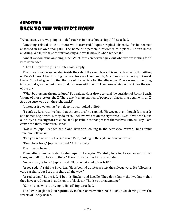## Chapter 8 Back to the Writer's House

"What exactly are we going to look for at Mr. Roberts' house, Jupe?" Pete asked.

"Anything related to the letters we discovered," Jupiter replied absently, for he seemed absorbed in his own thoughts. "The name of a person, a reference to a place... I don't know, anything. We'll just have to start looking and we'll know it when we see it."

"And if we don't find anything, Jupe? What if we can't even figure out what we are looking for?" Pete demanded.

"Then I'll start worrying," Jupiter said simply.

The three boys were crowded inside the cab of the small truck driven by Hans, with Bob sitting on Pete's knees. After finishing the inventory work assigned by Mrs. Jones, and after a quick meal, Uncle Titus had given Jupiter the use of the vehicle for the afternoon. There were no pending trips to make, so the junkman could dispense with the truck and one of his assistants for the rest of the day.

"What bothers me the most, Jupe," Bob said as Hans drove toward the outskirts of Rocky Beach, "is one of those letters, the X. There aren't many names, of people or places, that begin with an X. Are you sure we're on the right track?"

Jupiter, as if awakening from deep trance, looked at Bob.

"I confess, Records, I've had that thought too," he replied. "However, even though few words and names begin with X, they do exist. I believe we are on the right track. Even if we aren't, it is our duty as investigators to exhaust all possibilities that present themselves. But, as I say, I am convinced that... What is it, Hans?"

"Not sure, Jupe," replied the blond Bavarian looking in the rear-view mirror, "but I think someone follows us."

"Can you see who it is, Hans?" asked Pete, looking in the right side-view mirror.

"Don't look back," Jupiter warned. "Act normally."

The others obeyed.

Then, after a few seconds of calm, Jupe spoke again, "Carefully look in the rear-view mirror, Hans, and tell us if he's still there." Hans did as he was told and nodded.

"Act natural, fellows," Jupiter said. "Hans, what kind of car is it?"

"A red sedan," said the Bavarian. "He is behind us after we left the salvage yard. He follows us very carefully, but I see him there all the way."

"A red sedan!" Bob cried. "I bet it's Sinclair and Lagalle. They don't know that we know that they have a red sedan in addition to a black car. That's to our advantage."

"Can you see who is driving it, Hans?" Jupiter asked.

The Bavarian glanced surreptitiously in the rear-view mirror as he continued driving down the streets of Rocky Beach.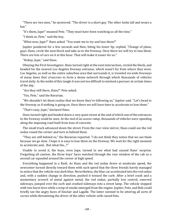"There are two men," he answered. "The driver is a short guy. The other looks tall and wears a hat."

"It's them, Jupe!" moaned Pete. "They must have been watching us all the time."

"I think so, Pete," said the boy.

"What now, Jupe?" Hans asked. "You want me to try and lose them?"

Jupiter pondered for a few seconds and then, biting his lower lip, replied, "Change of plans, guys. Hans, circle the next block and take us to the freeway. Once there we will try to lose them. There are lots of cars on it at this hour. That will make it easier for us."

"Hokay, Jupe," said Hans.

Obeying the First Investigator, Hans turned right at the next intersection, circled the block, and headed for the nearest Los Angeles freeway entrance, which wasn't far from where they were. Los Angeles, as well as the entire suburban area that surrounds it, is traveled via wide freeways of many lanes that crisscross to form a dense network through which thousands of vehicles travel daily. In the midst of this tangle it was not too difficult to mislead a pursuer at certain times of the day.

"Are they still there, Hans?" Pete asked.

"Yes, Pete," said the Bavarian.

"We shouldn't let them realize that we know they're following us," Jupiter said. "Let's head to the freeway as if nothing is going on. Once there we will have time to accelerate to lose them."

"That's easy, Jupe," declared Hans.

Hans turned right and headed down a very quiet street at the end of which one of the entrances to the freeway could be seen. At the end of an access ramp, thousands of vehicles were speeding along the imposing road built from tons of concrete.

The small truck advanced down the street. From the rear-view mirror, Hans could see the red sedan round the corner and turn in behind them.

"They are still behind us," the Bavarian reported. "I do not think they notice that we see them because we go slow. I hope it is easy to lose them on the freeway. We wait for the right moment to accelerate and... But what the...?"

Unable to avoid it, the boys, even Jupe, turned to see what had caused Hans' surprise. Forgetting all caution, the three boys' faces watched through the rear window of the cab as a second car squealed around the corner at high speed.

Everything happened in a flash. As Hans and the red sedan drove at moderate speed, the newcomer turned directly toward them with such speed that the three friends barely managed to notice that the vehicle was dark blue. Nevertheless, the blue car accelerated into the red sedan and, with a sudden change in direction, pushed it toward the curb. After a brief crash and a momentary screech of metal against metal, the red sedan, partially lost control, swerved sideways, jumped over the curb and crashed sideways into a street lamp. The vehicle stopped with two burst tires while a wisp of smoke emerged from the engine. Jupiter, Pete, and Bob could briefly see the angry faces of Sinclair and Lagalle. The latter seemed to be uttering all sorts of curses while threatening the driver of the other vehicle with raised fists.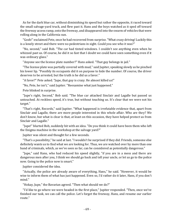As for the dark blue car, without diminishing its speed but rather the opposite, it raced toward the small salvage-yard truck, and flew past it. Hans and the boys watched as it sped off toward the freeway access ramp, onto the freeway, and disappeared into the swarm of vehicles that were rolling along in the California sun.

"Gosh!" exclaimed Pete, once he had recovered from surprise. "What crazy driving! Luckily this is a lonely street and there were no pedestrians in sight. Could you see who it was?"

"No, second," said Bob. "The car had tinted windows. I couldn't see anything even when he whizzed past us. Of course, he did it so fast that I doubt we could have seen something even if it was ordinary glass."

"Anyone see the license plate number?" Hans asked. "That guy belongs in jail."

"The license plate was partially covered with mud," said Jupiter, speaking slowly as he pinched his lower lip. "Possibly its occupants did it on purpose to hide the number. Of course, the driver deserves to be arrested, but the truth is he did us a favor."

"A favor?" Pete asked. "Jupe, that guy is crazy. He almost killed us!"

"No, Pete, he isn't," said Jupiter. "Reexamine what just happened."

Pete blinked in surprise.

"Jupe's right, Second," Bob said. "The blue car attacked Sinclair and Lagalle but passed us untouched. At reckless speed, it's true, but without touching us. It's clear that we were not his target."

"That's right, Records," said Jupiter. "What happened is irrefutable evidence that, apart from Sinclair and Lagalle, there are more people interested in this whole affair. Who are they? We don't know, but what is clear is that, at least on this occasion, they have helped protect us from Sinclair and Lagalle."

"Jupe!" blurted Bob, suddenly hit with an idea. "Do you think it could have been them who left the Enigma machine in the workshop at the salvage yard?"

Jupiter was silent and thought for a few seconds.

"That's a possibility," he said at last. "I wouldn't be surprised if they did. Friends, someone else definitely wants us to find what we are looking for. Thus, we are watched over by more than one band of criminals, which, as we've seen so far, can be considered as potentially dangerous."

"Jupe," said Hans, who had reduced his speed slightly, "if you are in a mess and there are dangerous men after you, I think we should go back and tell your uncle, or let us go to the police now. Going to the police now is smart."

Jupiter considered the idea.

"Actually, the police are already aware of everything, Hans," he said. "However, it would be wise to inform them of what has just happened. Even so, I'd rather do it later, Hans, if you don't mind."

"Hokay, Jupe," the Bavarian agreed. "Then what should we do?"

"I'd like to go where we were headed in the first place," Jupiter responded. "Then, once we've finished our task, we can call the police. Let's forget the freeway, Hans, and resume our earlier route."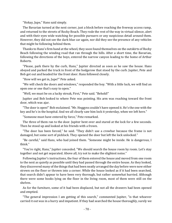"Hokay, Jupe," Hans said simply.

The Bavarian turned at the next corner, just a block before reaching the freeway access ramp, and returned to the streets of Rocky Beach. They rode the rest of the way in virtual silence, alert and with their eyes wide watching for possible pursuers or any suspicious detail around them. However, they did not see the dark blue car again, nor did they see the presence of any vehicles that might be following behind them.

Thanks to Hans's firm hand at the wheel, they soon found themselves on the outskirts of Rocky Beach following the winding road that ran through the hills. After a short time, the Bavarian, following the directions of the boys, entered the narrow canyon leading to the home of Arthur Roberts.

"Please, park there by the curb, Hans," Jupiter directed as soon as he saw the house. Hans obeyed and parked the truck in front of the hedgerow that stood by the curb. Jupiter, Pete and Bob got out and headed for the front door. Hans followed closely.

"How will we get in, Jupe?" Pete asked.

"We will check the doors and windows," responded the boy. "With a little luck, we will find an open one or one that's easy to open."

"Well, we must be on a lucky streak, First," Pete said. "Behold!"

Jupiter and Bob looked to where Pete was pointing. His arm was reaching toward the front door, which was ajar.

"The door is open!" Bob exclaimed. "Mr. Heggyns couldn't have opened it. He's the one with the key and he's in the hospital. And we all clearly saw him lock it yesterday, when we left here."

"Someone must have entered by force," Pete remarked.

The three of them ran to the door. Jupiter bent over and stared at the lock for a few seconds. Then he stood up and looked at his friends with a frown.

"The door has been forced," he said. "They didn't use a crowbar because the frame is not damaged, but some sort of picklock. They opened the door but left the lock unlocked."

"Be careful," said Hans, who had joined them. "Someone might be inside. He is dangerous, I think."

"You're right, Hans," Jupiter conceded. "We should search the house room by room. Let's stay together and not get separated. Above all, try not to make the slightest noise."

Following Jupiter's instructions, the four of them entered the house and moved from one room to the next as quietly as possible until they had passed through the entire house. As they looked, they discovered many of the things that had been neatly arranged the day before were now either strewn on the floor or thrown into a corner. While the house looked as if it had been searched, that search didn't appear to have been very thorough, but rather somewhat hurried. Although there were some books lying on the floor in the living room, most of them were still on the shelves.

As for the furniture, some of it had been displaced, but not all the drawers had been opened and emptied.

"The general impression I am getting of this search," commented Jupiter, "is that whoever carried it out was in a hurry and impatient. If they had searched the house thoroughly, surely we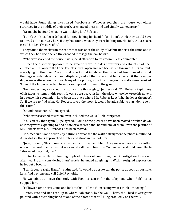would have found things like raised floorboards. Whoever searched the house was either surprised in the middle of their work, or changed their mind and simply walked away."

"Or maybe he found what he was looking for," Bob said.

"I don't think so, Records," said Jupiter, shaking his head. "If so, I don't think they would have followed us on our way here if they had found what they were looking for. No, Bob, the treasure is still hidden. I'm sure of it."

They found themselves in the room that was once the study of Arthur Roberts, the same one in which they had deciphered the encoded message the day before.

"Whoever searched the house paid special attention to this room," Pete commented.

In fact, the disorder appeared to be greater there. The desk drawers and cabinets had been emptied and thrown to the floor. The closet was open and had been rifled through. All its contents were lying on the floor. The unusual objects that inhabited the room had been moved around, the huge wooden desk had been displaced, and all the papers that had covered it the previous day were scattered on the floor. Many of the photographs that hung on the walls were crooked. Some of the larger ones had been picked up and thrown to the ground.

"No wonder they searched this study more thoroughly," Jupiter said. "Mr. Roberts kept many of his favorite items in this room. It was, so to speak, his lair, the place where he wrote his novels. In a sense this room might have been the place where Mr. Roberts kept 'what he loves the most'. So, if we are to find what Mr. Roberts loved the most, it would be advisable to start doing so in this room."

"Sounds reasonable," Pete agreed.

"Whoever searched this room even included the walls," Bob interjected.

"You can say that again," Jupe agreed. "Some of the pictures have been moved or taken down, as if they were expecting to find a safe or a secret panel behind one of them. Even the picture of Mr. Roberts with Mr. Hitchcock has been moved."

Bob, meticulous and orderly by nature, approached the wall to straighten the photo mentioned. As he did so, Hans approached Jupiter and stood in front of him.

"Jupe," he said, "this house is broken into and may be robbed. Also, we saw one car run another one off the road. I am sorry but we should call the police now. You know we should. Your Uncle Titus would say that, too."

Jupiter looked at Hans intending to plead in favor of continuing their investigation. However, after hearing and considering Hans' words, he ended up giving in. With a resigned expression, he let out a breath.

"I think you're right, Hans," he admitted. "It would be best to call the police as soon as possible. Let's find a phone and call Chief Reynolds."

He was about to leave the study with Hans to search for the telephone when Bob's voice stopped him.

"Fellows! Come here! Come and look at this! Tell me if I'm seeing what I think I'm seeing!"

Jupiter, Pete and Hans ran up to where Bob stood, by the wall. There, the Third Investigator pointed with a trembling hand at one of the photos that still hung crookedly on the wall.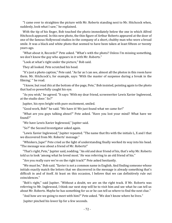"I came over to straighten the picture with Mr. Roberts standing next to Mr. Hitchcock when, suddenly, look what I saw," he explained.

With the tip of his finger, Bob touched the photo immediately below the one in which Alfred Hitchcock appeared. In this new photo, the thin figure of Arthur Roberts appeared at the door of one of the famous Hollywood studios in the company of a short, chubby man who wore a broad smile. It was a black and white photo that seemed to have been taken at least fifteen or twenty years ago.

"What about it, Records?" Pete asked. "What's with the photo? Unless I'm missing something, we don't know the guy who appears in it with Mr. Roberts."

"Look at what's right under the picture," Bob said.

They all looked. Pete scratched his head.

"It's just a photo caption," Pete said. "As far as I can see, almost all the photos in this room have them. Mr. Hitchcock's, for example, says: 'With the master of suspense during a break in the filming,' " he read.

"I know, but read *this* at the bottom of the page, Pete," Bob insisted, pointing again to the photo that had so powerfully caught his eye.

"As you wish," he agreed. "It says: 'With my dear friend, screenwriter Lewis Xavier Inglewood, at the studio door.' So?"

Jupiter, his eyes bright with pure excitement, smiled.

"Good work, Bob!" he said. "We have it! We just found what we came for!"

"What are you guys talking about?" Pete asked. "Have you lost your mind? What have we found?"

"We have Lewis Xavier Inglewood," Jupiter said.

"So?" the Second Investigator asked again.

"Lewis Xavier Inglewood," Jupiter repeated. "The name that fits with the initials L, X and I that we discovered from Mr. Roberts' message."

"Whiskers, Jupe!" Pete cried as the light of understanding finally worked its way into his head. "The message was about a friend of Mr. Roberts!"

"That's right, Pete," Jupiter said, nodding. "An old and dear friend of his, that's why Mr. Roberts told us to look 'among what he loved most.' He was referring to an old friend of his."

"Are you really sure we're on the right track?" Pete asked hesitantly.

"We must be," Bob said. "Xavier is not a common name in English. And finding someone whose initials exactly match the letters that we discovered in the message is already something that's difficult in and of itself. At least on this occasion, I believe that we can definitively rule out coincidences."

"Bob's right," said Jupiter. "Without a doubt, we are on the right track. If Mr. Roberts was referring to Mr. Inglewood, I think our next step will be to visit him and see what he can tell us about Mr. Roberts. Maybe he has something for us or he can tell us where to find the next clue."

"And how are we going to meet with him?" Pete asked. "We don't know where he lives."

Jupiter pinched his lower lip for a few seconds.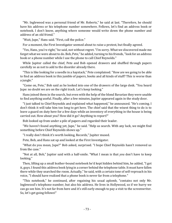"Mr. Inglewood was a personal friend of Mr. Roberts," he said at last. "Therefore, he should have his address or his telephone number somewhere. Fellows, let's find an address book or notebook. I don't know, anything where someone would write down the phone number and address of an old friend."

"Wait, Jupe," Hans said. "First, call the police."

For a moment, the First Investigator seemed about to raise a protest, but finally agreed.

"Yes, Hans, you're right," he said, not without regret. "I'm sorry. What we discovered made me forget what we were about to do. Bob, Pete," he added, turning to his friends, "look for an address book or a phone number while I use the phone to call Chief Reynolds."

While Jupiter called the chief, Pete and Bob opened drawers and shuffled through papers carefully so as not to add to the disorder already there.

"This is like looking for a needle in a haystack," Pete complained. "How are we going to be able to find an address book in this jumble of papers, books and all kinds of stuff? This is worse than a jungle."

"Come on, Pete," Bob said as he looked into one of the drawers of the large desk. "You heard Jupe: no doubt we are on the right track. Let's keep looking."

Hans joined them in the search, but even with the help of the blond Bavarian they were unable to find anything useful. Finally, after a few minutes, Jupiter appeared again in the study door.

"I just talked to Chief Reynolds and explained what happened," he announced. "He's coming. I don't think it will take him too long to get here. The chief said that the wisest thing to do is to leave a guard on duty here for a few days while an inventory of everything in the house is being carried out. How about you? How did it go? Anything to report?"

Bob looked up from under a pile of papers and regarded their leader.

"We haven't found anything yet, Jupe," he said. "Help us search. With any luck, we might find something before Chief Reynolds shows up."

"I really don't think it's worth looking, Records," Jupiter mused.

Pete, Bob, and Hans sat up and looked at the First Investigator.

"What do you mean, Jupe?" Bob asked, surprised. "I hope Chief Reynolds hasn't removed us from the case."

"Not at all, Bob," Jupiter said with a half-smile. "What I mean is that *you* don't have to keep looking."

Then, lifting up a small leather-bound notebook he'd kept hidden behind him, he added, "I got it, guys. I found this address book lying in a corner behind the telephone table. It must have fallen there while they searched the room. Actually," he said, with a certain tone of self-reproach in his voice, "I should have realized that a phone book is never far from a telephone."

"This notebook," he continued, after regaining his usual aplomb, "contains not only Mr. Inglewood's telephone number, but also his address. He lives in Hollywood, so if we hurry we can go see him. It's not far from here and it's still early enough to pay a visit to the screenwriter. So, let's get going fellows!"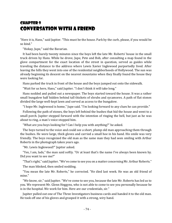# CHAPTER 9 Conversation with a Friend

"Here it is, Hans," said Jupiter. "This must be the house. Park by the curb, please, if you would be so kind."

"Hokay, Jupe," said the Bavarian.

It had been barely twenty minutes since the boys left the late Mr. Roberts' house in the small truck driven by Hans. While he drove, Jupe, Pete and Bob, after consulting a map found in the glove compartment for the exact location of the street in question, served as guides while traveling the distance to the address where Lewis Xavier Inglewood purportedly lived. After leaving the hills they went into one of the residential neighborhoods of Hollywood. The sun was already beginning its descent on the nearest mountains when they finally found the house they were looking for.

Hans parked the truck in front of the house and the boys jumped out onto the sidewalk.

"Wait for us here, Hans," said Jupiter. "I don't think it will take long."

Hans nodded and pulled out a newspaper. The boys started toward the house. It was a rather small bungalow half hidden behind tall thickets of shrubs and sycamores. A path of flat stones divided the large well-kept lawn and served as access to the bungalow.

"I hope Mr. Inglewood is home," Jupe said. "I'm looking forward to any clues he can provide."

Following the path of stones, the boys left behind the bushes that hid the house and went to a small porch. Jupiter stepped forward with the intention of ringing the bell, but just as he was about to ring, a man's voice stopped him.

"What are you boys looking for? Can I help you with anything?" he asked.

The boys turned to the voice and could see a short, plump old man approaching them through the bushes. He wore large, thick gloves and carried a small hoe in his hand. His smile was very friendly. The boys recognized the old man as the same man they had seen smiling with Arthur Roberts in the photograph taken years ago.

"Mr. Lewis Inglewood?" Jupiter asked.

"Yes, I am, lads," the man said softly. "Or at least that's the name I've always been known by. Did you want to see me?"

"That's right," said Jupiter. "We've come to see you on a matter concerning Mr. Arthur Roberts."

The man blinked, then smiled nodding.

"You mean the late Mr. Roberts," he corrected. "He died last week. He was an old friend of mine."

"We know, sir," said Jupiter. "We've come to see you, because the late Mr. Roberts has led us to you. We represent Mr. Glenn Heggyns, who is not able to come to see you personally because he is in the hospital. We work for him. Here are our credentials, sir."

Jupiter pulled out one of The Three Investigators business cards and handed it to the old man. He took off one of his gloves and grasped it with a strong, wiry hand.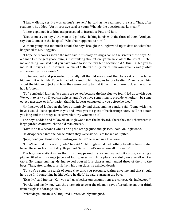"I know Glenn, yes. He was Arthur's lawyer," he said as he examined the card. Then, after reading it, he added: "An impressive card of yours. What do the question marks mean?"

Jupiter explained it to him and proceeded to introduce Pete and Bob.

"Nice to meet you boys," the man said politely, shaking hands with the three of them. "And you say that Glenn is in the hospital? What has happened to him?"

Without going into too much detail, the boys brought Mr. Inglewood up to date on what had happened to Mr. Heggyns.

"I hope he recovers soon," the man said. "It's crazy driving a car on the streets these days. An old man like me gets goose bumps just thinking about it every time he crosses the street. But tell me one thing: you said that you have come to see me for Glenn because old Arthur has led you to me. That intrigues me. It sounds like one of Arthur's old mysteries. Can you explain exactly what you meant by those words?"

Jupiter nodded and proceeded to briefly tell the old man about the chess set and the letter hidden in it which Mr. Roberts had addressed to Mr. Heggyns before he died. Then he told him about the hidden object and how they were trying to find it from the different clues the writer had left them.

"So," concluded Jupiter, "we came to see you because the last clue we found led us to visit you. We want to ask you if you can help us and if you have something to provide, whether it be some object, message, or information that Mr. Roberts entrusted to you before he died."

Mr. Inglewood looked at the boys attentively and then, smiling gently, said, "Come with me, boys. I would like to speak with you and invite you to a glass of fresh orange juice. I will not detain you long and the orange juice is worth it. My wife made it."

The boys nodded and followed Mr. Inglewood into the backyard. There they took their seats in large garden chairs which the old man offered.

"Give me a few seconds while I bring the orange juice and glasses," said Mr. Inglewood.

He disappeared into the house. When they were alone, Pete looked at Jupiter.

"Jupe, don't you think we're wasting our time?" he asked in a low voice.

"I don't get that impression, Pete," he said. "If Mr. Inglewood had nothing to tell us he wouldn't have offered us his hospitality. Be patient, Second. Let's see where all this leads."

The boys were silent when their host reappeared. He arrived loaded with a tray carrying a pitcher filled with orange juice and four glasses, which he placed carefully on a small wicker table. No longer smiling, Mr. Inglewood poured four glasses and handed three of them to the boys. Then, after taking a drink from his own glass, he exhaled deeply.

"So, you've come in search of some clue that, you presume, Arthur gave me and that should help you find something he hid before he died," he said, staring at the boys.

"Exactly," said Jupiter. "Can you tell us whether our assumptions are correct, Mr. Inglewood?"

"Partly, and partly not," was the enigmatic answer the old man gave after taking another drink from his glass of orange juice.

"What do you mean, sir?" inquired Jupiter, visibly intrigued.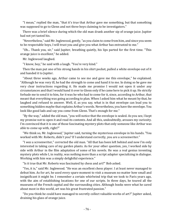"I mean," replied the man, "that it's true that Arthur gave me something, but that something was supposed to go to Glenn and not three boys claiming to be investigators."

There was a brief silence during which the old man drank another sip of orange juice. Jupiter had not yet tasted his.

"Nevertheless," said Mr. Inglewood, gently, "as you claim to come from him, and since you seem to be respectable boys, I will trust you and give you what Arthur has entrusted to me."

"Oh... Thank you, sir," said Jupiter, breathing quietly, his lips parted for the first time. "This orange juice is excellent," he added.

Mr. Inglewood laughed.

"I know, boy," he said with a laugh. "You're very kind."

Then the man put one of his strong hands in his shirt pocket, pulled a white envelope out of it and handed it to Jupiter.

"About three weeks ago, Arthur came to see me and gave me this envelope," he explained. "Although he was very ill, he had the strength to come and hand it to me. In doing so he gave me very clear instructions regarding it. He made me promise I would not open it under any circumstances and that I would hand it over to Glenn only if he came here to pick it up. He strictly forbade me to send it to him, for it was he who had to come for it, since, according to Arthur, that meant that everything was going according to plan. When I asked him what he meant by that, he laughed and refused to answer. Well, if, as you say, what is in that envelope can lead you to something hidden maybe that explains Arthur's words. Nevertheless, you have the envelope. You look like good lads and say you come from Glenn. That's enough for me."

"By the way," added the old man, "you will notice that the envelope is sealed. As you see, I kept my promise not to open it and read its contents. And all this, undoubtedly, arouses my curiosity. I'm convinced that it is one of those fascinating mystery plots that only someone like Arthur was able to come up with, right?"

"We think so, Mr. Inglewood," Jupiter said, turning the mysterious envelope in his hands. "You worked with Mr. Roberts, didn't you? If I understand correctly, you are a screenwriter."

"I *was* a screenwriter," corrected the old man. "All that has been left behind and now I'm only interested in taking care of my garden plants. As for your other question, yes, I worked side by side with Arthur in the film adaptation of some of his novels. He was a real genius inventing mystery plots while I, in reality, was nothing more than a script adapter specializing in dialogue. Working with him was a simply delightful experience."

"Is it true that Mr. Roberts was fascinated by chess and art?" Bob asked.

"Yes, it is," said Mr. Inglewood. "He was an excellent chess player. I at least never managed to defeat him. As for art, he used every spare moment to visit a museum no matter how small and insignificant it might be. I remember a certain whirlwind trip that we took to Paris years ago, with the aim of establishing locations for one of our scripts. In three days, he toured all the museums of the French capital and the surrounding cities. Although books were what he cared about most in this world, art was his great frustrated passion."

"Do you think he could have managed to secretly collect valuable works of art?" Jupiter asked, draining his glass of orange juice.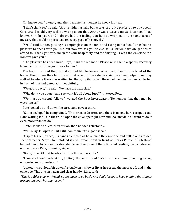Mr. Inglewood frowned, and after a moment's thought he shook his head.

"I don't think so," he said. "Arthur didn't usually buy works of art. He preferred to buy books. Of course, I could very well be wrong about that. Arthur was always a mysterious man. I had known him for years and I always had the feeling that he was wrapped in the same aura of mystery that could be perceived on every page of his novels."

"Well," said Jupiter, putting his empty glass on the table and rising to his feet, "it has been a pleasure to speak with you, sir, but now we ask you to excuse us, for we have obligations to attend to. Thank you very much for your hospitality and for trusting us with the envelope Mr. Roberts gave you."

"The pleasure has been mine, boys," said the old man. "Please wish Glenn a speedy recovery from me the next time you speak to him."

The boys promised they would and let Mr. Inglewood accompany them to the front of the house. From there they left him and returned to the sidewalk via the stone footpath. As they walked to where Hans was waiting for them, Jupiter raised the envelope they had just collected in front of him and gazed at it thoughtfully.

"We got it, guys," he said. "We have the next clue."

"Why don't you open it and see what it's all about, Jupe?" muttered Pete.

"We must be careful, fellows," warned the First Investigator. "Remember that they may be watching us."

Pete looked up and down the street and gave a snort.

"Come on, Jupe," he complained. "The street is deserted and there is no one here except us and Hans waiting for us in the truck. Open the envelope right now and look inside. You want to do it even more than we do."

Jupiter looked at Pete, then at Bob, then nodded reluctantly.

"Well okay. I'll open it. But I still don't think it's a good idea."

Despite his reluctance, his hands trembled as he opened the envelope and pulled out a folded sheet of paper. Slowly he unfolded it and spread it out in front of him as Pete and Bob stood behind him to look over his shoulder. When the three of them finished reading, despair showed on their faces. Pete, frowning, sighed.

"Golly, Jupe! All that trouble for this? It must be a joke."

"I confess I don't understand, Jupiter," Bob murmured. "We must have done something wrong or overlooked some detail."

Jupiter, incredulous, bit down furiously on his lower lip as he reread the message found in the envelope. This one, in a neat and clear handwriting, said:

*"This is a false clue, my friend, so you have to go back. And don't forget to keep in mind that things are not always what they seem."*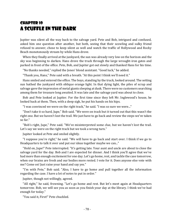## Chapter 10 A Scuffle in the Dark

Jupiter was silent all the way back to the salvage yard. Pete and Bob, intrigued and confused, asked him one question after another, but both, seeing that their scowling and sulky friend refused to answer, chose to keep silent as well and watch the traffic of Hollywood and Rocky Beach monotonously stream by while Hans drove.

When they finally arrived at the junkyard, the sun was already very low on the horizon and the sky was beginning to darken. Hans drove the truck through the large wrought-iron gates and parked in front of the office. Pete, Bob, and Jupiter got out slowly and thanked Hans for his time.

"No thanks needed," replied the Jones' blond assistant. "Good luck," he added.

"Thank you, Hans," Pete said with a breath. "At this point I think we'll need it."

Hans smiled and entered the office. The boys, standing by the truck, looked around. The setting sun bathed the junkyard with oblique orange light. In that dying light, the piles of scrap and salvage gave the impression of metal giants sleeping at dusk. There were no customers searching among them for treasure long awaited. It was late and the salvage yard was about to close.

Bob and Pete looked at Jupiter. For the first time since they left Mr. Inglewood's house, he looked back at them. Then, with a deep sigh, he put his hands on his hips.

"I was convinced we were on the right track," he said. "I was so sure we were..."

"Don't take it so hard, Jupe," Bob said. "We were on track but it turned out that this wasn't the right one. But we haven't lost the trail. We just have to go back and review the steps we've taken so far."

"Bob's right, Jupe," Pete said. "We've misinterpreted some clue, but we haven't lost the trail. Let's say we were on the right track but we took a wrong turn."

Jupiter looked at Pete and smiled slightly.

"I suppose you're right," he said. "We will have to go back and start over. I think if we go to Headquarters to talk it over and put our ideas together maybe we can..."

"Hold on, Jupe!" Pete interrupted. "It's getting late. Your aunt and uncle are about to close the salvage yard for the day. Bob and I are expected for dinner. And I think you'll agree that we've had more than enough excitement for one day. Let's go home, rest, and tackle the case tomorrow, when our brains are fresh and our bodies more rested. I vote for it. Does anyone else vote with me? Come on! Just raise your hand and say yes."

"I'm with Pete," Bob said. "Also, I have to go home and pull together all the information regarding the case. I have a lot of notes to put in order."

Jupiter, though not willingly, agreed.

"All right," he said, frowning. "Let's go home and rest. But let's meet again at Headquarters tomorrow. Bob, we will see you as soon as you finish your day at the library. I think we've had enough for today."

"You said it, First!" Pete chuckled.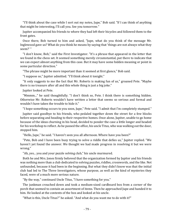"I'll think about the case while I sort out my notes, Jupe," Bob said. "If I can think of anything that might be interesting, I'll call you. See you tomorrow."

Jupiter accompanied his friends to where they had left their bicycles and followed them to the front gates.

Once there, Bob turned to him and asked, "Jupe, what do you think of the message Mr. Inglewood gave us? What do you think he means by saying that 'things are not always what they seem?' "

"I don't know, Bob," said the First Investigator. "It's a phrase that appeared in the letter that we found in the chess set. It seemed something merely circumstantial, put there to indicate that we can expect almost anything from this case. But it may have some hidden meaning or point in some particular direction."

"The phrase might be more important than it seemed at first glance," Bob said.

"I suppose so," Jupiter admitted. "I'll think about it tonight."

"It only suggests to me the fact that Mr. Roberts is making fun of us," groaned Pete. "Maybe there is no treasure after all and this whole thing is just a big joke."

Jupiter looked at Pete.

"Mmmm..." he said thoughtfully. "I don't think so, Pete. I think there is something hidden. Otherwise Mr. Roberts wouldn't have written a letter that seems so serious and formal and wouldn't have taken the trouble to hide it."

"I hope something occurs to you soon, Jupe," Pete said. "I admit that I'm completely stumped."

Jupiter said goodbye to his friends, who pedaled together down the street for a few blocks before separating and heading to their respective homes. Once alone, Jupiter, unable to go home because of the ideas churning in his head, decided to ponder the case a little longer and headed for his workshop to reflect. As he passed the office, his uncle Titus, who was walking out the door, stopped him.

"Hello, Jupe," he said. "I haven't seen you all afternoon. Where have you been?"

"Pete, Bob and I have been busy trying to solve a riddle that defies us," Jupiter replied. "We haven't yet found the answer. We thought we had made progress in resolving it but we were wrong."

"Ah, yes... you and your puzzle solving club," his uncle murmured.

Both he and Mrs. Jones firmly believed that the organization formed by Jupiter and his friends was nothing more than a club dedicated to solving puzzles, riddles, crosswords, and the like. Not unfounded, because it had been in the beginning. But what they didn't know was that the initial club had led to The Three Investigators, whose purpose, as well as the kind of mysteries they faced, were of a much more serious nature.

"By the way," continued Uncle Titus, "I have something for you."

The junkman crouched down and took a medium-sized cardboard box from a corner of the porch that seemed to contain an assortment of items. Then he approached Jupe and handed it to him. He looked at the contents of the box and looked at his uncle.

"What is this, Uncle Titus?" he asked. "And what do you want me to do with it?"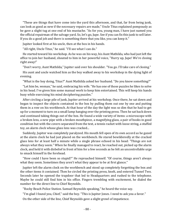"These are things that have come into the yard this afternoon, and that, far from being junk, can look as good as new if the necessary repairs are made," Uncle Titus explained pompously as he gave a slight tug at one end of his mustache. "As for you, young man, I have just named you the official repairman of the salvage yard. So, let's go, Jupe. See if you can fix this junk to sell later. If you do a good job and there is something there that you like, you can keep it."

Jupiter looked first at his uncle, then at the box in his hands.

"All right, Uncle Titus," he said. "I'll see what I can do."

He started toward his workshop. As he was on his way, his Aunt Mathilda, who had just left the office to join her husband, shouted to him in her powerful voice, "Hurry up, Jupe! We're closing right away!"

"Don't worry, Aunt Mathilda," Jupiter said over his shoulder. "You go. I'll take care of closing."

His aunt and uncle watched him as the boy walked away to his workshop in the dying light of evening.

"What is the boy doing, Titus?" Aunt Mathilda asked her husband. "Do you know something?"

"Let him be, woman," he said, embracing his wife. "He has one of those puzzles he likes to solve in his head. I've given him some manual work to keep him entertained. This will keep his hands busy while exercising his mind deciphering puzzles."

After circling a large pile of junk, Jupiter arrived at his workshop. Once there, he sat down and began to inspect the objects contained in the box by pulling them out one by one and putting them in a row on his workbench. At that hour of the day the light was so dim that he had to get up for a moment to turn on a small lamp hanging over the printing press. Then he sat back down and continued taking things out of the box. He found a wide variety of items: a microscope with a broken lens, a new pipe with a broken mouthpiece, a magnifying glass, a pair of books in good condition but with the covers separated from the text, a tennis racket with loose string, a stuffed toy, an alarm clock whose glass lens was cracked...

Suddenly, Jupiter was completely paralyzed. His mouth fell open of its own accord as he gazed at the alarm clock he had just placed on the workbench. He stared bewilderedly at the cracked glass lens for at least half a minute while a single phrase echoed in his head: "Things are not always what they seem." When he finally managed to react, he reached out, picked up the alarm clock, and held it with disbelief in front of him for a few seconds as he felt an uncontrollable urge to smack himself in the forehead.

"How could I have been so stupid?" He reproached himself. "Of course, things aren't always what they seem. Sometimes they aren't what they appear to be at first glance."

Jupiter left the alarm clock on the workbench and stood up completely forgetting the box and the other items it contained. Then he circled the printing press, knelt, and entered Tunnel Two. Seconds later he opened the trapdoor that led to Headquarters and rushed to the telephone. Maybe he could still find him in his office. Fingers trembling with excitement, he dialed the number for the direct line to Chief Reynolds.

"Rocky Beach Police Station. Samuel Reynolds speaking," he heard the voice say.

"I'm glad I found you, Chief," said the boy. "This is Jupiter Jones. I need to ask you a favor."

On the other side of the line, Chief Reynolds gave a slight growl of impatience.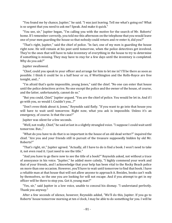"You found me by chance, Jupiter," he said. "I was just leaving. Tell me what's going on? What is so urgent that you need to ask me? Speak. And make it quick."

"You see, sir," Jupiter began, "I'm calling you with the motive for the search of Mr. Roberts' home. If I remember correctly, you told me this afternoon on the telephone that you would leave one of your men guarding the house so that nobody could return and re-enter it, did you?"

"That's right, Jupiter," said the chief of police. "In fact, one of my men is guarding the house right now. He will remain at his post until tomorrow, when the police detectives get involved. They're the ones that will have to take inventory of everything in the house to try to determine if something is missing. They may have to stay for a few days until the inventory is completed. Why do you ask?"

Jupiter swallowed.

"Chief, could you speak to your officer and arrange for him to let me in? I'll be there as soon as possible. I think it could be in a half hour or so, if Worthington and the Rolls-Royce are free tonight, and..."

"I'm afraid that's quite impossible, young Jones," said the chief. "No one can enter that house until the police detectives arrive. No one except the police and the owner of the house, of course, and the latter, unfortunately, cannot do so."

"But you could, Chief," Jupiter argued. "You are the chief of police. You would be let in. And if I go with you, so would I. Couldn't you...?"

"Don't even think about it, Jones," Reynolds said flatly. "If you want to go into that house you will have to wait until tomorrow. Right now, what you ask is impossible. Unless it's an emergency, of course. Is that the case?"

Jupiter was silent for a few seconds.

"Well, not really, Chief," he said at last in a slightly strangled voice. "I suppose I could wait until tomorrow. But..."

"What do you have to do that is so important in the house of an old dead writer?" inquired the chief. "Are you and your friends still in pursuit of the treasure supposedly hidden by old Mr. Roberts?"

"That's right, sir," Jupiter agreed. "Actually, all I have to do is find a book. I won't need to take it, not even read it. I just need to see the title."

"And you have to go there now to see the title of a book?" Reynolds asked, not without a trace of annoyance in his voice. "Jupiter," he added more calmly, "I highly commend your work and that of your friends, and I acknowledge that your help has been vital to the Rocky Beach police on more than one occasion. However, you'll have to wait until tomorrow to find that book. I have a reliable man at that house that will not allow anyone to approach it. Besides, books can't walk by themselves, so the one you are looking for will not escape. And if you attempt to get in my officer will be there to stop you. Got it, young man?"

"Yes, sir," said Jupiter in a low voice, unable to conceal his dismay. "I understand perfectly. Thank you anyway."

After a few seconds of silence, however, Reynolds added, "We'll do this, Jupiter. If you go to Roberts' house tomorrow morning at ten o'clock, I may be able to do something for you. I will be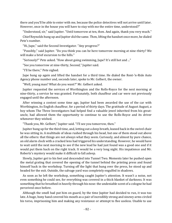there and you'll be able to enter with me, because the police detectives will not arrive until later. However, once in the house you will have to stay with me the entire time, understood?"

"Understood, sir," said Jupiter. "Until tomorrow at ten, then. And again, thank you very much."

Chief Reynolds hung up and Jupiter did the same. Then, lifting the handset once more, he dialed Pete's number.

"Hi, Jupe," said the Second Investigator. "Any progress?"

"Possibly," said Jupiter. "Do you think you can be here tomorrow morning at nine-thirty? We will make a brief excursion to the hills."

"Seriously?" Pete asked. "How about going swimming, Jupe? It's still hot and ..."

"See you tomorrow at nine-thirty, Second," Jupiter said.

"I'll be there," Pete sighed.

Jupe hung up again and lifted the handset for a third time. He dialed the Rent-'n-Ride Auto Agency phone number and, seconds later, spoke to Mr. Gelbert, the owner.

"Well, young man? What do you want?" Mr. Gelbert asked.

Jupiter requested the services of Worthington and the Rolls-Royce for the next morning at nine-thirty, a service he was granted. Fortunately, both chauffeur and car were not previously engaged until the afternoon.

After winning a contest some time ago, Jupiter had been awarded the use of the car with Worthington, its English chauffeur, for a period of thirty days. The gratitude of August August, a boy whom The Three Investigators had helped find a valuable jewel inherited from his greatuncle, had allowed them the opportunity to continue to use the Rolls-Royce and its driver whenever they wished.

"Thank you, Mr. Gelbert," Jupiter said. "I'll see you tomorrow, then."

Jupiter hung up for the third time, and, letting out a deep breath, leaned back in the swivel chair he was sitting in. A multitude of ideas rushed through his head, but one of them stood out above all the others: that things are not always what they seem. Curiously, and almost by pure chance, an old alarm clock with a cracked lens had triggered his understanding. However, he would have to wait until the next morning to see if the new lead he had just found was a good one and if it would put them back on the right track. It would be a very long night. His impatience and Mr. Roberts's mystery would make it difficult to fall asleep.

Slowly, Jupiter got to his feet and descended into Tunnel Two. Moments later he pushed open the metal grating that covered the opening of the tunnel behind the printing press and found himself back in the workshop. Turning off the light that hung over the press, he stood up and headed for the exit. Outside, the salvage yard was completely engulfed in shadows.

As soon as he left the workshop, something caught Jupiter's attention. It wasn't a noise, not even something he could see, for everything was covered in a thick blanket of darkness. It was something that he breathed in heavily through his nose: the undeniable scent of a cologne he had perceived once before.

Although the smell had put him on guard, by the time Jupiter had decided to run, it was too late. A huge, bony hand covered his mouth as a pair of incredibly strong and sinewy arms circled his torso, imprisoning him and making any resistance or attempt to flee useless. Unable to use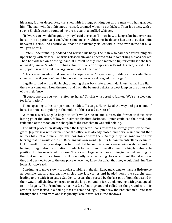his arms, Jupiter desperately thrashed with his legs, striking out at the men who had grabbed him. The man who kept his mouth closed, groaned when he got kicked. Then his voice, with a strong English accent, sounded next to his ear in a muffled whisper.

"If I were you I would be quiet, my boy," said the voice. "I know how to keep calm, but my friend here, is not as patient as I am. When someone is troublesome, he doesn't hesitate to stick a knife between his ribs. And I assure you that he is extremely skilled with a knife even in the dark. So, will you be still?"

Jupiter, understanding, nodded and relaxed his body. The man who had been restraining his upper body with his vice-like arms released him and appeared to take something out of a pocket. Then he switched on a flashlight and lit himself briefly. For a moment, Jupiter could see the face of Lagalle, Sinclair's cohort, smiling at him with an eerie expression. Beside his face, raised in the air, Jupiter saw the glint of a large intimidating knife blade.

"This is what awaits you if you do not cooperate, lad," Lagalle said, nodding at the knife. "Now come with us if you don't want to have six inches of steel tangled in your gut."

Lagalle turned off the flashlight, plunging them back into gloomy darkness. What little light there was came only from the moon and from the beam of a distant street lamp on the other side of the high fence.

"If you cooperate you won't suffer any harm," Sinclair whispered to Jupiter. "We're just looking for information."

Then, speaking to his companion, he added, "Let's go, Henri. Lead the way and get us out of here. I cannot see anything in the middle of this cursed darkness."

Without a word, Lagalle began to walk while Sinclair and Jupiter, the former without ever letting go of the latter, followed in almost absolute darkness. Jupiter could see the timid, pale reflection of the moon on the sharp knife the Frenchman was still holding.

The silent procession slowly circled the large scrap heaps toward the salvage yard's wide main gates. Jupiter saw with dismay that the office was already closed and dark, which meant that neither his aunt and uncle nor Hans nor Konrad were there. Surely, they had gone home after hearing that he would close up. Recalling his own words, Jupiter felt an uncontrollable desire to kick himself for being so stupid as to forget that he and his friends were being watched and for having brought about a situation in which he had found himself alone in a highly vulnerable position. Jupiter wondered how long Sinclair and Lagalle had been hiding in the junk waiting for the right moment to capture him. Undoubtedly, after suffering the car accident that afternoon, they had decided to go to the one place where they knew for a fact that they would find him: The Jones Salvage Yard.

Continuing to move slowly to avoid stumbling in the dim light, and trying to make as little noise as possible, captors and captive circled one last corner and headed down the straight path leading to the wide iron gates. Suddenly, just as they passed by the last pile of junk that stood in their way, a tall shadow emerged from the large mound of junk, and, moving with great speed, fell on Lagalle. The Frenchman, surprised, stifled a groan and rolled on the ground with his attacker, both locked in a flailing mass of arms and legs. Jupiter saw the Frenchman's knife soar through the air and, with one last ghostly flash, it was lost in the shadows.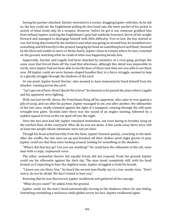Seeing his partner attacked, Sinclair retreated to a corner, dragging Jupiter with him. As he did so, the boy could see the Englishman poking his free hand into the inner pocket of his jacket in search of what could only be a weapon. However, before he got it out, someone grabbed him from behind. Jupiter, noticing the Englishman's grip had suddenly loosened, threw all his weight forward and managed to disengage himself with little difficulty. Free at last, the boy started to run, but being disoriented by the darkness and what was going on around him, he stumbled over something and fell heavily to the ground, banging his head on something hard and blunt. Stunned by the blow and unable to move or think clearly, Jupiter chose to remain where he was, crouched on the ground, watching what he could of what was happening beside him.

Apparently, Sinclair and Lagalle had been attacked by members of a rival gang, perhaps the same ones that forced them off the road that afternoon, although this detail was impossible to verify, since Jupiter had not been able to see the faces of those men then nor was able to see them now. All Jupiter could see were human-shaped bundles that, in a fierce struggle, seemed to leap in a ghostly struggle through the shadows of the yard.

At one point, Jupiter heard Sinclair, who seemed to have momentarily freed himself from his attacker, running across the yard.

"Let's get out of here, Henri! Quick! He is here!" he shouted as he passed the place where Lagalle and his opponent were fighting.

With one last terrific shove, the Frenchman flung off his opponent, who came to rest against a pile of scrap, and ran after his partner. Jupiter managed to see, one after another, the silhouettes of the two men, neatly trimmed against the light of a lamppost, running through the still open wrought-iron gates. Seconds later there was the sound of an engine starting, followed by a sudden squeal of tires as the car sped off into the night.

Once the two men had left, Jupiter remained motionless, not even daring to breathe, lying on the earthen floor of the courtyard. After all, he was not alone. A few yards away there were still at least two people whose intentions were not yet clear.

Though his head ached horribly from the blow, Jupiter listened quietly, crouching in the dark. After the scuffle, the two men sat up and brushed off their clothes amid slight grunts of pain. Jupiter could see that they were looking around, looking for something in the shadows.

"Where did that boy go? Can you see anything?" He could hear the silhouette of the tall, stout man with a raspy, unpleasant voice.

The other, somewhat shorter but equally broad, did not respond. From the ground, Jupiter could see his silhouette against the dark sky. The man stood completely still, with his head bowed, as if expecting to hear the slightest noise. Jupiter struggled to hold his breath.

"I know you are there, boy," he heard the second man finally say in a low, manly voice. "Don't worry, do not be afraid. We don't intend to hurt you."

Knowing that he was discovered, Jupiter swallowed and gathered all his courage.

"What do you want?" he asked, from the ground.

Jupiter could see the man's head automatically turning to the shadows where he was hiding. Something resembling a malicious smile glided across his face. Jupiter swallowed again.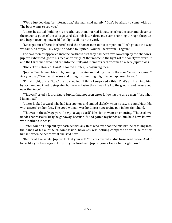"We're just looking for information," the man said quietly. "Don't be afraid to come with us. The boss wants to see you."

Jupiter hesitated, holding his breath. Just then, hurried footsteps echoed closer and closer to the entrance gates of the salvage yard. Seconds later, three men came running through the gates and began focusing powerful flashlights all over the yard.

"Let's get out of here, Norbert!" said the shorter man to his companion. "Let's go out the way we came. As for you, my boy," he added to Jupiter, "you will hear from us again."

The two men disappeared into the darkness as if they had been swallowed up by the shadows. Jupiter, exhausted, got to his feet laboriously. At that moment, the lights of the courtyard were lit and the three men who had run into the junkyard moments earlier came to where Jupiter was.

"Uncle Titus! Konrad! Hans!" shouted Jupiter, recognizing them.

"Jupiter!" exclaimed his uncle, coming up to him and taking him by the arm. "What happened? Are you okay? We heard noises and thought something might have happened to you."

"I'm all right, Uncle Titus," the boy replied. "I think I surprised a thief. That's all. I ran into him by accident and tried to stop him, but he was faster than I was. I fell to the ground and he escaped over the fence."

"Thieves!" cried a fourth figure Jupiter had not seen enter following the three men. "Just what I imagined!"

Jupiter looked toward who had just spoken, and smiled slightly when he saw his aunt Mathilda with a scowl on her face. The good woman was holding a huge frying pan in her right hand.

"Thieves in the salvage yard! In *my* salvage yard!" Mrs. Jones went on shouting. "That's all we need! That rascal is lucky he got away, because if I had gotten my hands on him he'd have known who Mathilda Jones is!"

Jupiter couldn't help but sympathize with any thief who ever had the misfortune of falling into the hands of his aunt. Such compassion, however, was nothing compared to what he felt for himself when he heard what she said next:

"But for all the saints! Jupiter, look at yourself! You are covered in dirt from head to toe! And it looks like you have a good lump on your forehead! Jupiter Jones, take a bath right now!"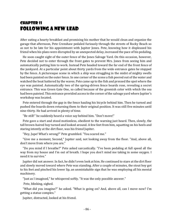## Chapter 11 Following a New Lead

After eating a hearty breakfast and promising his mother that he would clean and organize the garage that afternoon, Pete Crenshaw pedaled furiously through the streets of Rocky Beach so as not to be late for his appointment with Jupiter Jones. Pete, knowing how it displeased his friend when his plans were disrupted by an unexpected delay, increased the pace of his pedaling.

He soon caught sight of the outer fence of the Jones Salvage Yard. On this occasion, however, Pete decided not to enter through the front gates to prevent Mrs. Jones from seeing him and automatically putting him to work. Instead Pete headed toward the far end of the front fence of the junkyard. At a particular point about thirty yards from the wide entrance gates he stopped by the fence. A picturesque scene in which a ship was struggling in the midst of mighty swells had been painted on the outer fence. In one corner of the scene a fish peered out of the water and watched the boat battered by the waves. Pete came up to the fish and pressed the spot where the eye was painted. Automatically two of the spring-driven fence boards rose, revealing a secret entrance. This was Green Gate One, so called because of the greenish color with which the sea had been painted. This entrance provided access to the corner of the salvage yard where Jupiter's workshop was located.

Pete entered through the gap in the fence hauling his bicycle behind him. Then he turned and pushed the boards down returning them to their original position. It was still five minutes until nine-thirty. He had arrived in plenty of time.

"Be still!" he suddenly heard a voice say behind him. "Don't move!"

Pete gave a start and stood motionless, obedient to the warning just heard. Then, slowly, the tall brown-haired boy turned and looked around. A few feet from him, squatting on his heels and staring intently at the dirt floor, was his friend Jupiter.

"Hey, Jupe! What's wrong?" Pete grumbled. "You scared me."

"Give me a moment, Second," Jupiter said, not looking away from the floor. "And, above all, don't move from where you are."

"Do you mind if I breathe?" Pete asked sarcastically. "I've been pedaling at full speed all the way from my house and I'm out of breath. I hope you don't mind me taking in some oxygen. I need it to survive."

Jupiter did not answer. In fact, he didn't even look at him. He continued to stare at the dirt floor and slowly moved toward where Pete was standing. After a couple of minutes, the stout boy got to his feet and pinched his lower lip, an unmistakable sign that he was employing all his mental machinery.

"Just as I imagined," he whispered softly. "It was the only possible answer."

Pete, blinking, sighed.

"What did you imagine?" he asked. "What is going on? And, above all, can I move now? I'm getting a statue complex."

Jupiter, distracted, looked at his friend.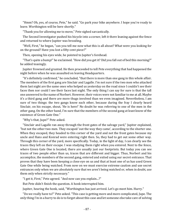"Hmm? Oh, yes, of course, Pete," he said. "Go park your bike anywhere. I hope you're ready to leave. Worthington will be here shortly."

"Thank you for allowing me to move," Pete sighed sarcastically.

The Second Investigator pushed his bicycle into a corner, left it there leaning against the fence and returned to where Jupiter was brooding.

"Well, First," he began, "can you tell me now what this is all about? What were you looking for on the ground? Have you lost a fifty-cent piece?"

Then, opening his eyes wide, he pointed to Jupiter's forehead.

"That's quite a bump!" he exclaimed. "How did you get it? Did you fall out of bed this morning?" he added teasingly.

Jupiter frowned and grunted. He then proceeded to tell Pete everything that had happened the night before when he was assaulted on leaving Headquarters.

"It's definitely confirmed," he concluded, "that there is more than one gang in this whole affair. The members of the first gang are Sinclair and Lagalle. I'm not sure if the two men who attacked them last night are the same ones who helped us yesterday on the road since I couldn't see their faces then nor could I see their faces last night. The only thing I can say for sure is that the tall one answered to the name of Norbert. However, their voices were not familiar to me at all. Maybe it's a third gang and there are more thugs involved than we even imagined. Nevertheless, I am sure of two things: the two gangs know each other, because during the fray I clearly heard Sinclair, on his escape, shout, 'He is here!' No doubt he was referring to one of the men in the other gang. On the other hand, I'm sure that the members of the second gang at least know of the existence of Green Gate One."

"Why's that, Jupe?" Pete asked.

"Sinclair and Lagalle ran away through the front gates of the salvage yard," Jupiter explained, "but not the other two men. They escaped 'out the way they came', according to the shorter one. When they escaped, they headed to this corner of the yard and not the front gates because my uncle and Hans and Konrad were entering right then. So, they had to get out some other way. Through this corner of the yard, more specifically. Today, in the light of day, I can clearly see the traces they left on their escape. I was studying them right when you entered. Next to the fence, where Green Gate One is located, there are usually just our footprints. But today you can see traces of two people other than us, traces that are different and bigger. Thus, Norbert and his accomplice, the members of the second gang, entered and exited using our secret entrance. That proves that they have been keeping a close eye on us and that at least one of us has used Green Gate One while being watched. From now on we must exercise extreme caution and use secret entrances only when we are absolutely sure that we aren't being watched or, when in doubt, use them only when strictly necessary."

"I get it, First," Pete agreed. "And now can you explain...?"

But Pete didn't finish the question. A honk interrupted him.

Jupiter, hearing the honk, said, "Worthington has just arrived. Let's go meet him. Hurry."

"Do we really have to?" Pete asked. "This case is getting more and more complicated, Jupe. The only thing I'm in a hurry to do is to forget about this case and let someone else take care of solving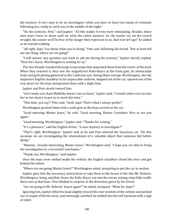the mystery. It isn't easy to be an investigator when you have at least two bands of criminals following you, ready to catch you in the middle of the night."

"On the contrary, Pete," said Jupiter. "All this makes it even more stimulating. Besides, these men won't leave us alone until we solve the entire mystery. So, the sooner we set the record straight, the sooner we'll be free of the danger they represent to us. And now let's go!" he added as he started walking.

"All right, Jupe. You know what you're doing," Pete said, following his friend. "But at least tell me one thing: where are we going?"

"I will answer any question you want to ask me during the journey," Jupiter merely replied. "Now let's hurry. Worthington is waiting for us."

The two friends rounded the large scrap heaps that separated them from the center of the yard. When they reached it, they saw the magnificent Rolls-Royce at the front gate, its immaculate body and gold-plating glistened in the California sun. Seeing them emerge, Worthington, the tall, impassive English chauffeur in his impeccable uniform, stepped out of the car, opened one of the rear doors for the boys and greeted them with a slight bow.

Jupiter and Pete strode toward him.

"Let's make sure Aunt Mathilda doesn't see us leave," Jupiter said. "I would rather not run into her or her desire to put us to work this time."

"This time, you say?" Pete said. "Gosh, Jupe! That's what I *always* prefer!"

Worthington greeted them with a wide grin as the boys arrived at the car.

"Good morning, Master Jones," he said. "Good morning, Master Crenshaw. Nice to see you again."

"Good morning, Worthington," Jupiter said. "Thanks for coming."

"It's a pleasure," said the English driver. "A new mystery to investigate?"

"That's right, Worthington," Jupiter said as he and Pete entered the luxurious car. "On this occasion we are investigating the whereabouts of a valuable object that someone hid before dying."

"Mmmm... Sounds interesting, Master Jones," Worthington said. "I hope you are able to bring the investigation to a successful conclusion."

"Thank you, Worthington," said Jupiter.

Once the boys were settled inside the vehicle, the English chauffeur closed the door and got behind the wheel.

"Where are we going, Master Jones?" Worthington asked, preparing to put the car in motion.

Jupiter gave him the necessary instructions to take them to the house of the late Mr. Roberts. Worthington, being satisfied, drove the Rolls-Royce out into the street, joining what little traffic there was at that hour. Pete blinked in surprise at the directions given by his friend.

"Are we going to Mr. Roberts' house again?" he asked, intrigued. "What for, Jupe?"

Ignoring him, Jupiter tilted his head slightly toward the rear window of the vehicle and peeked out. A couple of blocks away, and seemingly satisfied, he settled into the soft backseat with a sigh of relief.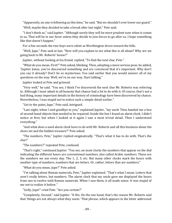"Apparently, no one is following us this time," he said. "But we shouldn't ever lower our guard."

"Well, maybe they decided to take a break after last night," Pete said.

"I don't think so," said Jupiter. "Although surely they will be more prudent now when it comes to us. That will be in our favor unless they decide to join forces to go after us. I hope something like that doesn't happen."

For a few seconds the two boys were silent as Worthington drove toward the hills.

"Well, Jupe," Pete said at last. "Now will you explain to me what this is all about? Why are we going back to Mr. Roberts' house?"

Jupiter, without looking at his friend, replied, "To find the next clue, Pete."

"What do you mean, First?" Pete asked, blinking. Then, adopting a more serious pose, he added, "Jupiter Jones, you've discovered something and are convinced that it's important. Why don't you say it already? Don't be so mysterious. You said earlier that you would answer all of my questions on the way. Well, we're on our way. Start talking."

Jupiter looked at Pete and grinned.

"Very well," he said. "You see, I think I've discovered the next clue Mr. Roberts was referring to. Although I must admit in all honesty that chance had a lot to do with it. Of course, that's not a bad thing, many important details in the history of criminology have been discovered by chance. Nevertheless, I was stupid not to notice such a simple detail earlier."

"Get to the point, Jupe," Pete said, intrigued.

"Last night, when I said goodbye to you," explained Jupiter, "my uncle Titus handed me a box of second-hand objects that needed to be repaired. Inside the box I found an alarm clock. I didn't notice at first, but when I looked at it again I saw a most trivial detail. Then I understood everything."

"And what does a used alarm clock have to do with Mr. Roberts and all this business about the chess set and the hidden treasure?" Pete asked.

"The numbers, Pete," Jupiter replied enigmatically. "That's what it has to do with. That's the clue!"

"The numbers?" repeated Pete, confused.

"That's right," continued Jupiter. "You see, on most clocks the numbers that appear on the dial indicating the different hours are conventional numbers, also called Arabic numbers. These are the numbers we use every day. The 1, 2, 3, etc. But many other clocks mark the hours with another type of numbers, numbers that are letters. Or, rather, letters that are numbers."

"What do you mean, Jupe?" Pete asked.

"I'm talking about Roman numerals, Pete," Jupiter explained. "That's what I mean. Letters that aren't really letters, but numbers. The alarm clock that my uncle gave me displayed the hours from one to twelve with Roman numerals. When I saw them, it all made sense. It was stupid of me not to realize it before."

"Golly, Jupe!" cried Pete. "Are you certain?"

"Completely, Second," said Jupiter. "It fits. On the one hand, that's the reason Mr. Roberts said that 'things are not always what they seem.' That phrase, which appears in the letter addressed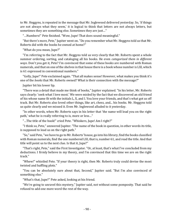to Mr. Heggyns, is repeated in the message that Mr. Inglewood delivered yesterday. So, 'if things are not always what they seem,' it is logical to think that letters are not always letters, but sometimes they are something else. Sometimes they are just…"

"…Numbers!" Pete finished. "Wow, Jupe! That does sound meaningful."

"But there's more, Pete," Jupiter went on. "Do you remember what Mr. Heggyns told us that Mr. Roberts did with the books he owned at home?"

"What do you mean, Jupe?"

"I'm referring to the fact that Mr. Heggyns told us very clearly that Mr. Roberts spent a whole summer ordering, sorting, and cataloging all his books. He even *categorized them in different ways*. Don't you get it, Pete? I'm convinced that some of these books are numbered with Roman numerals, and that on one of the shelves in that house there is a book whose number is LXI, which is 61 expressed in conventional numbers."

"Golly, Jupe!" Pete exclaimed again. "That all makes sense! However, what makes you think it's one of the *books* that Mr. Roberts owned? What is their connection with the message?"

Jupiter bit his lower lip.

"There was a detail that made me think of books," Jupiter explained. "In his letter, Mr. Roberts says clearly: 'seek what I love most.' We were misled by the fact that we discovered an old friend of his whose name fit with the initials L, X, and I. You love your friends, and that's what got us off track. But Mr. Roberts also loved other things, like art, chess, and... his books. Mr. Heggyns told us quite clearly and we missed it. Even Mr. Inglewood alluded to it yesterday.

"In other words, when Mr. Roberts says in his letter that 'the name will lead you on the right path,' what he is really referring to is, more or less…"

"...The title of the book!" cried Pete. "Whiskers, Jupe! Am I right?"

"I think so, Pete," answered Jupiter. "The name of the book in question, in other words its title, is supposed to lead us on the right path."

"So," said Pete, "we have to go to Mr. Roberts' house, go into his library, find the books classified with Roman numerals, find the one numbered LXI, that is, number 61, and read the title. And that title will point us to the next clue. Is that it, Jupe?"

"That's right, Pete," said the First Investigator. "Or, at least, that's what I've concluded from my deductions. I firmly believe in my theory, and I'm convinced that this time we are on the right track."

"Whew!" whistled Pete. "If your theory is right, then Mr. Roberts truly could devise the most twisted and baffling plots."

"You can be absolutely sure about that, Second," Jupiter said. "But I'm also convinced of something else."

"What's that, Jupe?" Pete asked, looking at his friend.

"We're going to unravel this mystery," Jupiter said, not without some pomposity. That said he refused to add one more word the rest of the way.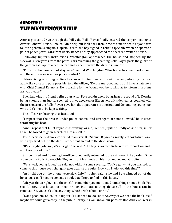### Chapter 12 The Mysterious Title

After a pleasant drive through the hills, the Rolls-Royce finally entered the canyon leading to Arthur Roberts' house. Pete couldn't help but look back from time to time to see if anyone was following them. Seeing no suspicious cars, the boy sighed in relief, especially when he spotted a pair of police patrol cars from Rocky Beach as they approached the deceased writer's house.

Following Jupiter's instructions, Worthington approached the house and stopped by the sidewalk a few yards from the patrol cars. Watching the gleaming Rolls-Royce park, the guard at the garden gate approached the car and leaned toward the driver's window.

"I'm sorry, but you cannot stay here," he told Worthington. "This house has been broken into and the entire area is under police control."

Before giving Worthington time to answer, Jupiter lowered his window and, adopting the most adult-like voice and pose possible, told the officer, "Excuse me, good man, but I have a date here with Chief Samuel Reynolds. He is waiting for me. Would you be so kind as to inform him of my arrival, please?"

Even knowing his friend's gifts as an actor, Pete couldn't help but grin at the sound of it. Despite being a young man, Jupiter seemed to have aged ten or fifteen years. His demeanor, coupled with the presence of the Rolls-Royce, gave him the appearance of a serious and demanding young man who didn't like to be kept waiting.

The officer, on hearing this, hesitated.

"I repeat that the area is under police control and strangers are not allowed," he insisted scratching his head.

"And I repeat that Chief Reynolds is waiting for me," replied Jupiter. "Kindly advise him, sir, or I shall be forced to go in search of him myself. "

The officer seemed more confused than ever. But Samuel Reynolds' manly, authoritative voice, who appeared behind the dazed officer, put an end to the discussion.

"It's all right, Johnson, it's all right," he said. "The boy is correct. Return to your position and I will take care of him."

Still confused and frowning, the officer obediently retreated to the entrance of the garden. Once alone by the Rolls-Royce, Chief Reynolds put his hands on his hips and looked at Jupiter.

"Very well, young Jones," he said, not without some severity. "You've got what you wanted: to come to this house even though it goes against the rules. How can I help you this time?"

"As I told you on the phone yesterday, Chief," Jupiter said as he and Pete climbed out of the luxurious car, "I need to consult a book that I hope to find in this house."

"Ah, yes, that's right," said the chief. "I remember you mentioned something about a book. You see, Jupiter... this house has been broken into, and nothing that's still in the house can be removed. So, you can't take anything, whether it's a book or not."

"Not a problem, Chief," said Jupiter. "I just need to look at it. Anyway, if we need the book itself maybe we could get a copy in the public library. As you know, our partner, Bob Andrews, works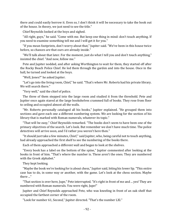there and could easily borrow it. Even so, I don't think it will be necessary to take the book out of the house. In theory, we just need to see the title."

Chief Reynolds looked at the boys and sighed.

"All right, guys," he said. "Come with me. But keep one thing in mind: don't touch anything. If you need to examine something tell me and I will get it for you."

"If you mean footprints, don't worry about that," Jupiter said. "We've been in this house twice before, so chances are that ours are already inside."

"We'll talk about that later. For the moment, just do what I tell you and don't touch anything," insisted the chief. "And now, follow me."

Pete and Jupiter nodded, and after asking Worthington to wait for them, they started off after the Rocky Beach Police Chief. He led them through the garden and into the house. Once in the hall, he turned and looked at the boys.

"Well, Jones?" he asked Jupiter.

"Let's go into the living room, Chief," he said. "That's where Mr. Roberts had his private library. We will search there."

"Very well," said the chief of police.

The three of them stepped into the large room and studied it from the threshold. Pete and Jupiter once again stared at the large bookshelves crammed full of books. They rose from floor to ceiling and occupied almost all the walls.

"Mr. Roberts personally cataloged all his books," Jupiter explained. "He grouped them into sections and gave each one a different numbering system. We are looking for the section of his library that is marked with Roman numerals, whatever its topic."

"That will be easy," Chief Reynolds remarked. "The books don't seem to have been one of the primary objectives of the search. Let's look. But remember we don't have much time. The police detectives will arrive soon, and I'd rather you weren't here then."

"It should just take a few minutes, Chief," said Jupiter, who, being careful not to touch anything, had already approached the first shelf to see the numbering of the books there.

Each of them approached a different wall and began to look at the shelves.

"Every book has a label on the bottom of the spine," Jupiter commented after looking at the books in front of him. "That's where the number is. These aren't the ones. They are numbered with the Greek alphabet."

They kept looking.

"Maybe the book we're looking for is about chess," Jupiter said, biting his lower lip. "This entire case has to do, in some way or another, with the game. Let's look at the chess section. Maybe there ..."

"That section is over here, Jupe," Pete interrupted. "It's right in front of me and ... yes! They are numbered with Roman numerals. You were right, Jupe!"

Jupiter and Chief Reynolds approached Pete, who was kneeling in front of an oak shelf that occupied the farthest corner of the room.

"Look for number 61, Second," Jupiter directed. "That's the number LXI."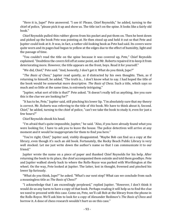"Here it is, Jupe!" Pete answered. "I see it! Please, Chief Reynolds," he added, turning to the chief of police, "please pick it up and show us. The title isn't on the spine. It looks like a fairly old book."

Chief Reynolds pulled thin rubber gloves from his pocket and put them on. Then he bent down and picked up the book Pete was pointing at. He then stood up and held it out so that Pete and Jupiter could look at it. It was, in fact, a rather old-looking book as Pete had said. Its covers were quite worn and its pages had begun to yellow at the edges due to the effect of humidity, light and the passage of time.

"You couldn't read the title on the spine because it was covered up, Pete," Chief Reynolds explained. "Doubtless the covers fell off at some point, and Mr. Roberts repaired it to keep it from deteriorating more. However, the title appears on the front, boys. Read it for yourself."

"We did, Chief," Pete said. "And, honestly, I don't get it. What do you think, Jupe?"

"*The Basis of Chess*," Jupiter read quietly, as if distracted by his own thoughts. Then, as if returning to himself, he added, "The truth is... I don't know what to say. I had hoped the title of the book would be somewhat more descriptive. *The Basis of Chess*. Such a title, which says so much and so little at the same time, is extremely intriguing."

"Jupiter, what sort of title is that?" Pete asked. "It doesn't really tell us anything. Are you sure this is the clue we are looking for?"

"It has to be, Pete," Jupiter said, still pinching his lower lip. "I'm absolutely sure that my theory is correct. Mr. Roberts was referring to the title of *this* book. We have to think about it, Second. Chief," he added, turning to the chief of police, "can't we take the book to study it, even for just a few hours?"

Chief Reynolds shook his head.

"I'm afraid that's quite impossible, Jupiter," he said. "Also, if you have already found what you were looking for, I have to ask you to leave the house. The police detectives will arrive at any moment and it would be inappropriate for them to find you here."

"You're right, Chief," Jupiter said, visibly disappointed. "Maybe Bob can find us a copy at the library, even though it's such an old book. Fortunately, the Rocky Beach Public Library is very well stocked. Let me just write down the author's name so that I can communicate it to our friend."

Jupiter wrote the name on a piece of paper and thanked Chief Reynolds for his help. After returning the book to its place, the chief accompanied them outside and told them goodbye. Pete and Jupiter walked slowly back to where the Rolls-Royce was parked with Worthington at the wheel. On the way, Pete looked at Jupiter. The latter, lost in thought, frowned and pinched his lower lip furiously.

"What do you think, Jupe?" he asked. "What's our next step? What can we conclude from such a meaningless title as *The Basis of Chess*?"

"I acknowledge that I am exceedingly perplexed," replied Jupiter. "However, I don't think it would do us any harm to have a copy of that book. Perhaps reading it will help us to find the clue we need to proceed with this case. Come on, Pete, we'll call Bob at the library from the phone in the Rolls-Royce. We'll ask him to look for a copy of Alexander Redimov's *The Basis of Chess* and borrow it. A dose of chess research wouldn't hurt us on this case."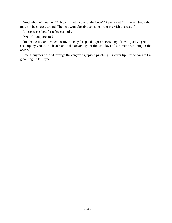"And what will we do if Bob can't find a copy of the book?" Pete asked. "It's an old book that may not be so easy to find. Then we won't be able to make progress with this case?"

Jupiter was silent for a few seconds.

"Well?" Pete persisted.

"In that case, and much to my dismay," replied Jupiter, frowning, "I will gladly agree to accompany you to the beach and take advantage of the last days of summer swimming in the ocean."

Pete's laughter echoed through the canyon as Jupiter, pinching his lower lip, strode back to the gleaming Rolls-Royce.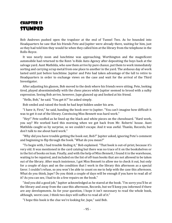### Chapter 13 **STUMPED**

Bob Andrews pushed open the trapdoor at the end of Tunnel Two. As he bounded into Headquarters he saw that his friends Pete and Jupiter were already there, waiting for him, just as they had told him they would be when they called him at the library from the telephone in the Rolls-Royce.

It was nearly noon and lunchtime was approaching. Worthington and the magnificent automobile had returned to the Rent-'n-Ride Auto Agency after depositing the boys back at the salvage yard. Aunt Mathilda, who saw them arrive by pure chance, put them to work immediately sorting and carrying scrap metal from one place to another in the yard. The arduous day of work lasted until just before lunchtime. Jupiter and Pete had taken advantage of the lull to retire to Headquarters in order to exchange views on the case and wait for the arrival of the Third Investigator.

After adjusting his glasses, Bob moved to the desk where his friends were sitting. Pete, looking tired, played absentmindedly with the chess pieces while Jupiter seemed to brood with a sulky expression. Seeing Bob arrive, however, Jupe glanced up and looked at his friend.

"Hello, Bob," he said. "You get it?" he asked simply.

Bob smiled and raised the book he had kept hidden under his arm.

"I have it, First," he said, handing the book over to Jupiter. "You can't imagine how difficult it was to get it out of the library. Convincing Miss Bennett was hard work."

"Hey!" Pete scoffed as he lined up the black and white pieces on the chessboard. "Hard work, you say? We worked hard this morning when we got back from Mr. Roberts' house. Aunt Mathilda caught us by surprise, so we couldn't escape. And it was awful. Thanks, Records, but don't talk to me about hard work."

"Why did you have trouble getting the book out, Bob?" Jupiter asked, ignoring Pete's comment and beginning to flip through the book. "What do you mean?"

"To begin with, I had trouble finding it," Bob explained. "That book is out-of-print, because it's very old. It was mentioned in the card catalog but there was no trace of it on the bookshelves or in the list of books on loan. Finally, and with the help of Miss Bennett, I found it in the warehouse, waiting to be repaired, and included on the list of off-loan books that are not allowed to be taken out of the library. After much insistence, I got Miss Bennett to allow me to check it out, but only for a couple of days and on the condition that I work in the library this afternoon as a special favor. I couldn't refuse, so you won't be able to count on me to help with the case this afternoon. What do you think, Jupe? Do you think a couple of days will be enough if you have to read all of it? As you can see, I had to do a few repairs on the book."

"And you did a good job," Jupiter acknowledged as he stared at the book. "I'm sorry you'll be at the library and away from the case this afternoon, Records, but we'll keep you informed if there are any developments. As for your question, I hope it isn't necessary to read the whole book, although, worst case, I think two days will suffice to read all of it."

"I hope this book is the clue we're looking for, Jupe," said Bob.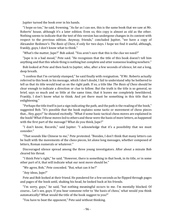Jupiter turned the book over in his hands.

"I hope so too," he said, frowning. "As far as I can see, this is the same book that we saw at Mr. Roberts' house, although it's a later edition. Even so, this copy is almost as old as the other. Nothing seems to indicate that the text of this version has undergone changes in its content with respect to the previous edition. Anyway, friends," concluded Jupiter, "we have a copy of Alexander Redimov's *The Basis of Chess*, if only for two days. I hope we find it useful, although, frankly, guys, I don't know what to think."

"What's the matter, Jupe?" Bob asked. "You aren't sure that this is the clue we need?"

"Jupe is in a bad mood," Pete said. "He recognizes that the title of this book doesn't tell him anything and that this whole thing is nothing but complete and utter nonsense leading nowhere."

Bob looked at Pete and then back to Jupiter, who, after a few seconds of silence, let out a long, deep breath.

"I confess that I'm certainly stumped," he said finally with resignation. "If Mr. Roberts actually referred to this book in his message, which I don't doubt, I fail to understand why he bothered to tell us that its title would lead us on the right path. If so, a title like *The Basis of Chess* should be clear enough to indicate a direction or clue to follow. But the truth is the title is so general, so brief, says so much and so little at the same time, that it leaves me completely bewildered. Frankly, I don't know what to think. And yet there must be something in this title that is enlightening."

"Perhaps the title itself is just a sign indicating the path, and the path is the reading of the book," suggested Bob. "It's possible that the book explains some tactic or movement of chess pieces that... Hey, guys!" he shouted excitedly. "What if some basic tactical chess moves are explained in the book? What if these moves led to others and these were the basis of more letters, as happened with the first part of the message? What do you think, Jupe?"

"I don't know, Records," said Jupiter. "I acknowledge that it's a possibility that we must consider."

"That sounds like Chinese to me," Pete protested. "Besides, I don't think that many letters can be built with the movements of the chess pieces, let alone long messages, whether composed of letters, Roman numerals or whatever."

Discouraged silence spread among the three young investigators. After about a minute Bob cleared his throat.

"I think Pete's right," he said. "However, there is something in that book, in its title, or in some other part of it, that will indicate what our next move should be."

"We agree, Bob," Pete conceded. "But, what can it be?"

"Any ideas, Jupe?"

Pete and Bob looked at their friend. He pondered for a few seconds as he flipped through pages and pages of the book until, shaking his head, he looked back at his friends.

"I'm sorry, guys," he said, "but nothing meaningful occurs to me. I'm mentally blocked. Of course... Let's see, guys. If you hear someone refer to 'the basis of chess,' what would you think automatically? What would the title of the book suggest to you?"

"You have to beat the opponent," Pete said without thinking.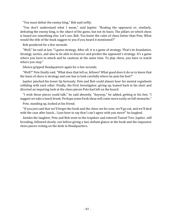"You must defeat the enemy king," Bob said softly.

"You don't understand what I mean," said Jupiter. "Beating the opponent or, similarly, defeating the enemy king, is the *object* of the game, but not its basis. The pillars on which chess is based are something else. Let's see, Bob. You know the rules of chess better than Pete. What would the title of the book suggest to you if you heard it mentioned?"

Bob pondered for a few seconds.

"Well," he said at last. "I guess strategy. After all, it is a game of strategy. That's its foundation. Strategy, tactics, and also to be able to discover and predict the opponent's strategy. It's a game where you have to attack and be cautious at the same time. To play chess, you have to watch where you step."

Silence gripped Headquarters again for a few seconds.

"Well?" Pete finally said. "What does that tell us, fellows? What good does it do us to know that the basis of chess is strategy and one has to look carefully where he puts his feet?"

Jupiter pinched his lower lip furiously. Pete and Bob could almost hear his mental cogwheels colliding with each other. Finally, the First Investigator, giving up, leaned back in his chair and directed an inquiring look at the chess pieces Pete had left on the board.

"I wish those pieces could talk," he said absently. "Anyway," he added, getting to his feet, "I suggest we take a lunch break. Perhaps some fresh ideas will come more easily on full stomachs."

Pete, standing up, looked at his friend.

"If you just said that we'll forget the book and the chess set for now, we'll go eat, and we'll deal with the case after lunch... I just have to say that I can't agree with you more!" he laughed.

Amidst the laughter, Pete and Bob went to the trapdoor and entered Tunnel Two. Jupiter, still brooding, followed slowly, not before giving a last, defiant glance at the book and the impassive chess pieces resting on the desk in Headquarters.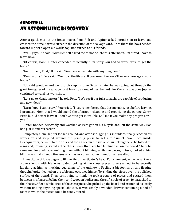# Chapter 14 An Astonishing Discovery

After a quick meal at the Jones' house, Pete, Bob and Jupiter asked permission to leave and crossed the dirty, narrow street in the direction of the salvage yard. Once there the boys headed toward Jupiter's open-air workshop. Bob turned to his friends.

"Well, guys," he said. "Miss Bennett asked me to not be late this afternoon. I'm afraid I have to leave now."

"Of course, Bob," Jupiter conceded reluctantly. "I'm sorry you had to work extra to get the book."

"No problem, First," Bob said. "Keep me up to date with anything new."

"Don't worry," Pete said. "We'll call the library. If you aren't there we'll leave a message at your house."

Bob said goodbye and went to pick up his bike. Seconds later he was going out through the great iron gates of the salvage yard, leaving a cloud of dust behind him. Once he was gone Jupiter continued toward his workshop.

"Let's go to Headquarters," he told Pete. "Let's see if our full stomachs are capable of producing any new ideas."

"Darn, Jupe! I can't stay," Pete cried. "I just remembered that this morning, just before leaving, I promised Mom that I would spend the afternoon cleaning and organizing the garage. Sorry, First, but I'd better leave if I don't want to get in trouble. Call me if you make any progress, will you?"

Jupiter nodded dejectedly and watched as Pete got on his bicycle and left the same way Bob had just moments earlier.

Completely alone, Jupiter looked around, and after shrugging his shoulders, finally reached his workshop and stepped around the printing press to get into Tunnel Two. Once inside Headquarters, he went to the desk and took a seat in the swivel chair. Sitting there, he folded his arms and, frowning, stared at the chess pieces that Pete had left lined up on the board. There he remained for a while, examining them without blinking, while the pieces, in turn, looked at him blindly as small silent witnesses of a mystery they had no intention of revealing.

A multitude of ideas began to fill the First Investigator's head. For a moment, while he sat there alone silently with his arms folded looking at the chess pieces, they seemed to be secretly laughing at him, as mocking guardians of the unknown. Feeling a bit foolish at this fleeting thought, Jupiter leaned on the table and occupied himself by sliding the pieces over the polished surface of the board. Then, continuing to think, he took a couple of pieces and rotated them between his fingers, feeling their solid wooden bodies and the soft circle of green felt attached to their bases. After a while, tired of the chess pieces, he picked up the board and examined it closely without finding anything special about it. It was simply a wooden drawer containing a bed of foam in which the pieces could be safely stored.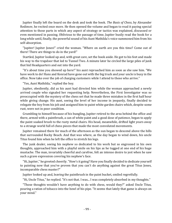Jupiter finally left the board on the desk and took the book. *The Basis of Chess*, by Alexander Redimov, he recited once more. He then opened the volume and began to read it paying special attention to those parts in which any aspect of strategy or tactics was explained, discussed or even mentioned in passing. Oblivious to the passage of time, Jupiter busily read the book for a long while until, finally, the powerful sound of his Aunt Mathilda's voice summoned him from his self-absorption.

"Jupiter! Jupiter Jones!" cried the woman. "Where on earth are you this time? Come out of there! There are things to do in the yard!"

Startled, Jupiter looked up and, with great care, set the book aside. He got to his feet and made his way to the trapdoor that led to Tunnel Two. A minute later he circled the large piles of junk that hid Headquarters and out into the yard.

"It's about time you showed up here!" his aunt reproached him as soon as she saw him. "We have work to do! Hans and Konrad have gone out with the big truck and your uncle is busy in the office. Now take over the job of charging customers while I attend to those who arrive."

"Yes, Aunt Mathilda," replied the boy.

Jupiter, obediently, did as his aunt had directed him while the woman approached a newly arrived couple who signaled her requesting help. Nevertheless, the First Investigator was so preoccupied with the mystery of the chess set that he made three mistakes in the first half hour while giving change. His aunt, seeing the level of her income in jeopardy, finally decided to relegate the boy from his job and assigned him to paint white garden chairs which, despite some rust, were not in poor condition.

Grumbling to himself because of his bungling, Jupiter retired to the area behind the office and there, armed with a paintbrush, a can of white paint and a good dose of patience, began to apply the paint soaked brush to the rusty metal chairs. His head, meanwhile, drifted light years away to a strange world full of chess pieces that made the most convoluted movements.

Jupiter remained there for much of the afternoon as the sun began to descend above the hills that surrounded Rocky Beach. And that was where, as the day began to wind down, his uncle Titus found him when he left the office to stretch his legs.

The junk dealer, seeing his nephew so dedicated to his work but so engrossed in his own thoughts, approached him with a playful smile on his lips as he tugged at one end of his huge mustache. The man, invariably cheerful and carefree, felt an intense desire to jest when he saw such a grave expression covering his nephew's face.

"Hi, Jupiter," he greeted cheerily. "How's it going? Have you finally decided to dedicate yourself to painting now that you've proven that you can't do anything against the great Titus Jones, incomparable chess master?"

Jupiter looked up and, leaving the paintbrush in the paint bucket, smiled regretfully.

"Hi, Uncle Titus," he replied. "It's not that. I was... I was completely absorbed in my thoughts."

"Those thoughts wouldn't have anything to do with chess, would they?" asked Uncle Titus, pouring a ration of tobacco into the bowl of his pipe. "It seems that lately that game is always on your mind."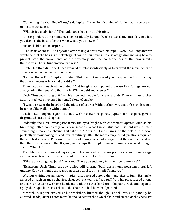"Something like that, Uncle Titus," said Jupiter. "In reality it's a kind of riddle that doesn't seem to make much sense."

"What is it exactly, Jupe?" The junkman asked as he lit his pipe.

Jupiter pondered for a moment. Then, resolutely, he said, "Uncle Titus, if anyone asks you what you think is the basis of chess, what would you answer?"

His uncle blinked in surprise.

"The basis of chess?" he repeated after taking a draw from his pipe. "Wow! Well, my answer would be that the basis is the strategy, of course. Pure and simple strategy. And knowing how to predict both the movements of the adversary and the consequences of the movements themselves. That is fundamental in chess."

Jupiter felt that Mr. Roberts had weaved his plot so intricately as to prevent the movements of anyone who decided to try to unravel it.

"I know, Uncle Titus," Jupiter insisted. "But what if they asked you the question in such a way that it was necessarily a kind of riddle?"

Then, suddenly inspired, he added, "And imagine you applied a phrase like: 'things are not always what they seem' to that riddle. What would you answer?"

Uncle Titus took a long puff from his pipe and thought for a few seconds. Then, without further ado, he laughed, enveloped in a small cloud of smoke.

"I would answer the board and the pieces, of course. Without them you couldn't play. It would be almost like walking without feet."

Uncle Titus laughed again, satisfied with his own response. Jupiter, for his part, gave a disgruntled smile and sighed.

Suddenly, the First Investigator froze. His eyes, bright with excitement, opened wide as his breathing halted completely for a few seconds. What Uncle Titus had just said was in itself something apparently absurd. But what if...? After all, that answer fit the title of the book perfectly without having to read it in its entirety. Often the more complicated questions required the simplest answers. Plus, on the one hand, things were not always what they seemed, and on the other, chess was a difficult game, so perhaps the simplest answer, however absurd it might seem... What if...?

Trembling with excitement, Jupiter got to his feet and ran to the opposite corner of the salvage yard, where his workshop was located. His uncle blinked in surprise.

"Where are you going, Jupe?" he asked. "Have you suddenly felt the urge to exercise?"

"Excuse me, Uncle Titus," the boy replied, still running, "but I just remembered something I left undone. Can you handle those garden chairs until it's finished? Thank you!"

Without waiting for an answer, Jupiter disappeared among the huge piles of junk. His uncle, amused at such strange behavior, shrugged, sucked in a deep puff from his pipe, tugged at one end of his mustache with one hand, and with the other hand took the paintbrush and began to apply short, quick brushstrokes to the chair that had been half painted.

Meanwhile, Jupiter arrived at his workshop, hurried though Tunnel Two, and panting, he entered Headquarters. Once more he took a seat in the swivel chair and stared at the chess set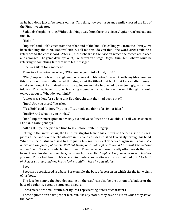as he had done just a few hours earlier. This time, however, a strange smile crossed the lips of the First Investigator.

Suddenly the phone rang. Without looking away from the chess pieces, Jupiter reached out and took it.

"Hello?"

"Jupiter," said Bob's voice from the other end of the line, "I'm calling you from the library. I've been thinking about Mr. Roberts' riddle. Tell me this: do you think the word *basis* could be a reference to the chessboard? After all, a chessboard is the *base* on which the pieces are placed and arranged. The game develops on it, like actors on a stage. Do you think Mr. Roberts could be referring to something like that with his message?"

Jupe was silent for a moment.

Then, in a low voice, he asked, "What made you think of that, Bob?"

"Well," replied Bob, with a slight embarrassment in his voice, "it wasn't really my idea. You see, this afternoon I was so distracted thinking about the title of that book that I asked Miss Bennett what she thought. I explained what was going on and she happened to say, jokingly, what I just told you. The idea hasn't stopped bouncing around in my head for a while and I thought I should tell you about it. What do you think?"

Jupiter was silent for so long that Bob thought that they had been cut off.

"Jupe? Are you there?" he asked.

"Yes, Bob," said Jupiter. "My uncle Titus made me think of a similar idea."

"Really? And what do you think...?"

"Bob," Jupiter interrupted in a visibly excited voice, "try to be available. I'll call you as soon as I find out. Now, goodbye."

"All right, Jupe," he just had time to say before Jupiter hung up.

Sitting in the swivel chair, the First Investigator leaned his elbows on the desk, set the chess pieces aside, and took the chessboard in his hands as ideas rushed feverishly through his head. What his uncle Titus had said to him just a few minutes earlier echoed again in his ears: *The board and the pieces, of course. Without them you couldn't play. It would be almost like walking without feet*. The words whirled in his head. Then he remembered briefly other words that had been uttered inside Headquarters, just a few hours earlier. *To play chess, you have to watch where you step*. Those had been Bob's words. And Pete, shortly afterwards, had pointed out: *The basis of chess is strategy, and one has to look carefully where he puts his feet.*

Feet.

Feet can be considered as a base. For example, the base of a person on which sits the full weight of his body.

The feet (or simply the foot, depending on the case) can also be the bottom of a ladder or the base of a column, a tree, a statue or... a figure.

Chess pieces are small statues, or figures, representing different characters.

These figures don't have proper feet, but, like any statue, they have a *base* on which they set on the board.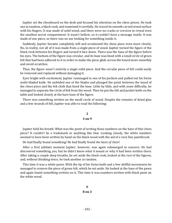Jupiter set the chessboard on the desk and focused his attention on the chess pieces. He took one at random, a black rook, and examined it carefully. He traced its smooth carved wood surface with his fingers. It was made of solid wood, and there were no cracks or crevices to reveal even the smallest secret compartment. It wasn't hollow, so it couldn't have a message inside. It was made of one piece, so there was no use looking for something inside it.

Suddenly, Jupiter became completely still and scrutinized the chess piece even more closely. No, in reality, not all of it was made from a single piece of wood. Jupiter turned the figure of the black rook between his fingers and turned it face down. There was the base of the figure before his eyes. The bottom of the figure was circular, and its base was lined with a small circle of green felt that had been adhered to it in order to make the piece glide across the board more smoothly and avoid scratches.

Thus, the figure wasn't entirely a single solid piece. And the circular piece of felt could easily be removed and replaced without damaging it.

Eyes bright with excitement, Jupiter rummaged in one of his pockets and pulled out his Swiss multi-bladed knife. He unfolded one of the blades and plunged the point between the wood of the chess piece and the felt cloth that lined the base. Little by little, and with some difficulty, he managed to separate the circle of felt from the wood. Then he put the felt and pocket knife on the table and looked closely at the bare base of the figure.

There was something written on the small circle of wood. Despite the remains of dried glue and a few strands of felt, Jupiter was able to read the following:

### **2 3 on 9**

Jupiter held his breath. What was the point of writing those numbers on the base of this chess piece? It couldn't be a trademark or anything like that. Looking closely, the white numbers seemed to have been written by hand on the black wood with the aid of a very fine paintbrush.

He had finally found something! He had finally found *the basis of chess*!

After a first jubilant moment Jupiter, however, was again submerged in concern. He had discovered something, yes, but he didn't know what it meant or why it had been written there. After taking a couple deep breaths, he set aside the black rook, looked at the rest of the figures, and, without thinking twice, he took another at random.

This time it was a white pawn. With the tip of his Swiss knife and a few skillful movements he managed to remove the piece of green felt, which he set aside. He looked at the base of the pawn and again found something written on it. This time it was numbers written with black paint on the white wood.

#### **6 8 on 3**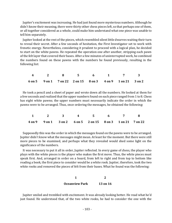Jupiter's excitement was increasing. He had just found more mysterious numbers. Although he didn't know their meaning, there were thirty other chess pieces left, so that perhaps one of them, or all together considered as a whole, could make him understand what one piece was unable to tell him separately.

Jupiter looked at the rest of the pieces, which resembled silent little dwarves waiting their turn to reveal their secret. After a few seconds of hesitation, the First Investigator set to work with frenetic energy. Nevertheless, considering it prudent to proceed with a logical plan, he decided to start on the white pawns. He repeated the operation one after another, stripping each pawn of the felt layer that covered their bases. After a few minutes of uninterrupted work, he combined the numbers found on these pawns with the numbers he found previously, resulting in the following list:

|  |  |  | 4 2 8 5 6 1 7 3                                            |  |
|--|--|--|------------------------------------------------------------|--|
|  |  |  | 6 on 5 9 on 1 7 on 22 2 on 15 8 on 3 4 on 9 1 on 21 3 on 2 |  |

He took a pencil and a sheet of paper and wrote down all the numbers. He looked at them for a few seconds and realized that the upper numbers found on each piece ranged from 1 to 8. Chess has eight white pawns; the upper numbers must necessarily indicate the order in which the pawns were to be arranged. Thus, once ordering the messages, he obtained the following:

|  |  | $1 \qquad 2 \qquad 3 \qquad 4 \qquad 5 \qquad 6 \qquad 7 \qquad 8$ |  |  |
|--|--|--------------------------------------------------------------------|--|--|
|  |  | 4 on 9 9 on 1 3 on 2 6 on 5 2 on 15 8 on 3 1 on 21 7 on 22         |  |  |

Supposedly this was the order in which the messages found on the pawns were to be arranged. Jupiter didn't know what the messages might mean. At least for the moment. But there were still more pieces to be examined, and perhaps what they revealed would shed some light on the significance of the numbers.

It was necessary to put it all in order, Jupiter reflected. In every game of chess, the player who plays with the white pieces is the player who makes the first move. Thus, the white pieces must speak first. And, arranged in order on a board, from left to right and from top to bottom like reading a book, the first piece to consider would be a white rook. Jupiter, therefore, took the two white rooks and removed the pieces of felt from their bases. What he found was the following:

| <b>Oceanview Park</b> | <b>13 on 16</b> |
|-----------------------|-----------------|

Jupiter smiled and trembled with excitement. It was already looking better. He read what he'd just found. He understood that, of the two white rooks, he had to consider the one with the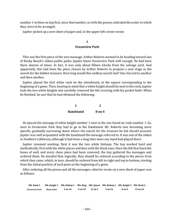number 1 written on top first, since that number, as with the pawns, indicated the order in which they were to be arranged.

Jupiter picked up a new sheet of paper and, in the upper left corner wrote:

#### **1 Oceanview Park**

This was the first piece of the new message. Arthur Roberts seemed to be heading toward one of Rocky Beach's oldest public parks. Jupiter knew Oceanview Park well enough. He had been there dozens of times. In fact, it was only about fifteen blocks from the salvage yard. And apparently, this had been the place chosen by Arthur Roberts to propose a new stage in the search for the hidden treasure. How long would this endless search last? One clue led to another and then another.

Jupiter placed the first white rook on the chessboard, at the square corresponding to the beginning of a game. Then, bearing in mind that a white knight should be next to the rook, Jupiter took the two white knights and carefully removed the felt covering with his pocket knife. When he finished, he saw that he had obtained the following:

| <b>Bandstand</b> | 8 on 4 |
|------------------|--------|

He placed the message of white knight number 1 next to the one found on rook number 1. So, once in Oceanview Park they had to go to the bandstand. Mr. Roberts was becoming more specific, gradually narrowing down where the search for the treasure he hid should proceed. Jupiter was well acquainted with the bandstand the message referred to. It was one of the oldest in Southern California, although it had been a long time since any band had played there.

Jupiter resumed working. Next it was the two white bishops. The boy worked hard and methodically, first with the white pieces and then with the black ones. Once the felt that lined the bases of each and every chess piece had been removed, the boy gathered the messages and ordered them. He decided that, logically, they should be ordered according to the pieces from which they came, which, in turn, should be ordered from left to right and top to bottom, starting from the initial position of each piece at the beginning of a game.

After ordering all the pieces and all the messages, what he wrote on a new sheet of paper was as follows:

| Wh. Rook 1            |            | Wh. Knight 1 Wh. Bishop 1 Wh. King Wh. Queen Wh. Bishop 2 Wh. Knight 2 Wh. Rook 2 |         |         |         |        |          |
|-----------------------|------------|-----------------------------------------------------------------------------------|---------|---------|---------|--------|----------|
| <b>Oceanview Park</b> | Band stand | 5 on 14                                                                           | 6 on 10 | 12 on 1 | 2 on 24 | 8 on 4 | 13 on 16 |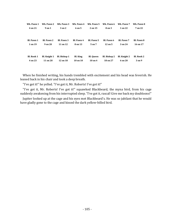| Wh. Pawn 1        |                   | Wh. Pawn 2 Wh. Pawn 3 Wh. Pawn 4 |                   | Wh. Pawn 5        | Wh. Pawn 6   | Wh. Pawn 7        | Wh. Pawn 8        |
|-------------------|-------------------|----------------------------------|-------------------|-------------------|--------------|-------------------|-------------------|
| 4 on 21           | 9 on 1            | 3 on 2                           | 6 on 5            | 2 on 15           | 8 on 3       | 1 on 22           | 7 on 22           |
|                   |                   |                                  |                   |                   |              |                   |                   |
|                   |                   |                                  |                   |                   |              |                   |                   |
| <b>Bl. Pawn 1</b> | <b>Bl. Pawn 2</b> | <b>Bl. Pawn 3</b>                | <b>Bl. Pawn 4</b> | <b>Bl. Pawn 5</b> | Bl. Pawn 6   | <b>Bl. Pawn 7</b> | <b>Bl. Pawn 8</b> |
| 1 on 19           | 9 on 20           | 11 on 12                         | 8 on 13           | 5 on 7            | 12 on 5      | 3 on 24           | 16 on 17          |
|                   |                   |                                  |                   |                   |              |                   |                   |
|                   |                   |                                  |                   |                   |              |                   |                   |
| <b>Bl. Rook 1</b> | Bl. Knight 1      | <b>Bl. Bishop 1</b>              | <b>Bl.</b> King   | Bl. Queen         | Bl. Bishop 2 | Bl. Knight 2      | <b>Bl. Rook 2</b> |
| 4 on 23           | 11 on 28          | 12 on 18                         | $10$ on $10$      | $10$ on $4$       | 18 on 27     | 6 on 20           | 3 on 9            |

When he finished writing, his hands trembled with excitement and his head was feverish. He leaned back in his chair and took a deep breath.

"I've got it!" he yelled. "I've got it, Mr. Roberts! I've got it!"

"I've got it, Mr. Roberts! I've got it!" squawked Blackbeard, the myna bird, from his cage suddenly awakening from his interrupted sleep. "I've got it, rascal! Give me back my doubloons!"

Jupiter looked up at the cage and his eyes met Blackbeard's. He was so jubilant that he would have gladly gone to the cage and kissed the dark yellow-billed bird.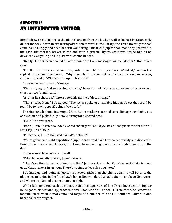# Chapter 15 An Unexpected Visitor

Bob Andrews kept looking at the phone hanging from the kitchen wall as he hastily ate an early dinner that day. After an exhausting afternoon of work in the library, the Third Investigator had come home hungry and tired but still wondering if his friend Jupiter had made any progress in the case. His mother, brown-haired and with a graceful figure, sat down beside him as he devoured everything on his plate with canine hunger.

"Really? Jupiter hasn't called all afternoon or left any messages for me, Mother?" Bob asked again.

"For the third time in five minutes, Robert, your friend Jupiter has *not* called," his mother replied both amused and angry. "Why so much interest in that call?" added the woman, looking at him quizzically. "What are you up to this time?"

Bob swallowed a piece of sausage.

"We're trying to find something valuable," he explained. "You see, someone hid a letter in a chess set, we found it and..."

"A letter in a chess set?" interrupted his mother. "How strange!"

"That's right, Mom," Bob agreed. "The letter spoke of a valuable hidden object that could be found by following specific clues. We tried..."

The ringing telephone interrupted him. At his mother's stunned stare, Bob sprang nimbly out of his chair and picked it up before it rang for a second time.

"Hello?" he answered.

"Bob?" Jupiter's voice sounded excited and urgent. "Could you be at Headquarters after dinner? Let's say... in an hour?"

"I'll be there, First," Bob said. "What's it about?"

"We're going on a night expedition," Jupiter answered. "We have to act quickly and discreetly. Don't forget they're watching us, but it may be easier to go unnoticed at night than during the day."

Bob was unable to contain himself.

"What have you discovered, Jupe?" he asked.

"There's no time for explanations now, Bob," Jupiter said simply. "Call Pete and tell him to meet us at Headquarters in an hour. There's no time to lose. See you later."

Bob hung up and, doing as Jupiter requested, picked up the phone again to call Pete. As the phone began to ring in the Crenshaw's home, Bob wondered what Jupiter might have discovered and where he planned to take them that night.

While Bob pondered such questions, inside Headquarters of The Three Investigators Jupiter Jones got to his feet and approached a small bookshelf full of books. From these, he removed a medium-sized volume that contained maps of a number of cities in Southern California and began to leaf through it.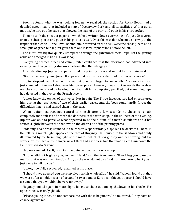Soon he found what he was looking for. As he recalled, the section for Rocky Beach had a detailed street map that included a map of Oceanview Park and all its facilities. With a quick motion, he tore out the page that showed the map of the park and put it in his shirt pocket.

Then he took the sheet of paper on which he'd written down everything he'd just discovered from the chess pieces and put it in his pocket as well. Once this was done, he made his way to the trapdoor that led to Tunnel Two. Behind him, scattered on the desk, were the chess pieces and a small pile of green felt. Jupiter gave them one last triumphant look before he left.

The First Investigator quickly scampered through the galvanized metal pipe, set the grating aside and emerged inside his workshop.

Everything seemed quiet and calm. Jupiter could see that the afternoon had advanced into evening, and that growing shadows had engulfed the salvage yard.

After standing up, Jupiter stepped around the printing press and set out for the main yard.

"Good afternoon, young Jones. It appears that our paths are destined to cross once more."

Jupiter stopped dead. Alarmed, his heart skipped and began to beat wildly. The words that had just sounded in the workshop took him by surprise. However, it was not the words themselves nor the surprise caused by hearing them that left him completely petrified, but something Jupe had detected in that voice: the French accent.

Jupiter knew the owner of that voice. Not in vain, The Three Investigators had encountered him during the resolution of two of their earlier cases. And the boys could hardly forget the difficulties that he had caused them in the past.

When Jupiter had regained control of himself after a few seconds, he chose to remain completely motionless and search the darkness in the workshop. In the stillness of the evening, Jupiter was able to perceive what appeared to be the outline of a man's shoulders and a hat shifted slightly between the shadows on the other side of the printing press.

Suddenly, a faint rasp sounded in the corner. A spark timidly dispelled the darkness. There, in the faltering match light, appeared the face of Huganay. Half-buried in the shadows and dimly illuminated by the trembling light of the match, which threw ghostly outlines throughout the workshop, the face of the dangerous art thief had a ruthless hue that made a chill run down the First Investigator's spine.

Huganay smiled. A soft, malicious laughter echoed in the workshop.

"I hope I did not frighten you, my dear friend," said the Frenchman. "If so, I beg you to excuse me, for that was not my intention. And, by the way, do not be afraid. I am not here to hurt you. I just came to talk to you."

Jupiter, now fully recovered, remained in his place.

"I should have guessed you were involved in this whole affair," he said. "When I found out that we were after a hidden work of art and I saw a band of European thieves appear, I should have assumed that you wouldn't be very far away."

Huganay smiled again. In match light, his mustache cast dancing shadows on his cheeks. His appearance was truly ghostly.

"Please, young Jones, do not compare me with those beginners," he muttered. "They have no chance against me."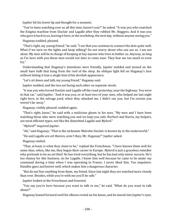Jupiter bit his lower lip and thought for a moment.

"You've been watching over us all this time, haven't you?" he asked. "It was you who snatched the Enigma machine from Sinclair and Lagalle after they robbed Mr. Heggyns. And it was you who gave it back to us, leaving it here, in the workshop, the next day, without anyone seeing you."

Huganay nodded, pleased.

"That's right, my young friend," he said. "I see that you continue to connect the dots quite well. What if we turn on the lights and keep talking? Do not worry about who can see us. I am not alone. My men will be in charge of keeping at bay anyone who tries to bother us. Anyway, as long as I'm here with you those men would not dare to come near. They fear me too much to even try."

Understanding that Huganay's intentions were friendly, Jupiter nodded and turned on the small bare bulb that hung from the roof of the shop. An oblique light fell on Huganay's face without letting it lose a single hint of his devilish appearance.

"Let's sit down and talk, my young friend," Huganay said.

Jupiter nodded, and the two sat facing each other on separate stools.

"It was you who forced Sinclair and Lagalle off the road yesterday, near the highway. You were in that car," said Jupiter. "And it was you, or at least two of your men, who helped me last night right here, in the salvage yard, when they attacked me. I didn't see you, but I'm certain you weren't far away."

Huganay, visibly pleased, nodded again.

"That's right, Jones," he said with a malicious gleam in his eyes. "My men and I have been watching those who were watching you and we kept you safe. Norbert and Harris, my helpers, are most efficient types, not like the dimwitted Lagalle and *Mylord*."

"*Mylord*?" inquired Jupiter.

"Ah," said Huganay. "That is the nickname Malcolm Sinclair is known by in the underworld."

"He and Lagalle are art thieves, aren't they, Mr. Huganay?" Jupiter asked.

Huganay smiled.

"That, at least, is what they claim to be," replied the Frenchman. "I have known them well for some time, when, like me, they began their career in Europe. *Mylord* is just a graceless swindler who pretends to be an art thief. He has tried everything, but he has had only minor success. He's too clumsy for this business. As for Lagalle, I know him well because he came to be under my command during a time when I was operating in France. I never liked him. Too impulsive. Handles guns and knives well, which makes him a dangerous character.

"But do not fear anything from them, my friend. Since last night they are watched more closely than ever. Besides, while you're with me you'll be safe."

Jupiter looked at the Frenchman and frowned.

"You say you're here because you want to talk to me," he said. "What do you want to talk about?"

Huganay leaned forward until his elbows rested on his knees, and he stared into Jupiter's eyes.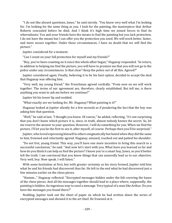"I do not like absurd questions, Jones," he said sternly. "You know very well what I'm looking for. I'm looking for the same thing as you. I look for the painting, the masterpiece that Arthur Roberts concealed before he died. And I think it's high time we joined forces to find its whereabouts. You and your friends have the means to find the painting but you lack protection. I do not have the means but I can offer you the protection you need. We will work better, faster, and more secure together. Under these circumstances, I have no doubt that we will find the picture."

Jupiter considered for a moment.

"Can I count on your full protection for myself and my friends?"

"Boy, you've been counting on it since this whole affair began," Huganay responded. "In return, in addition to helping me find the picture, you will have to promise me that you will not go to the police under any circumstances. Is that clear? Keep the police out of all this. Agreed?"

Jupiter considered again. Finally, believing it to be his best option, decided to accept the deal that Huganay was offering him.

"Very well, my young friend," the Frenchman agreed cordially. "From now on we will work together. The terms of our agreement are, therefore, clearly established. But tell me, is there anything you want to ask me before we continue?"

Jupiter bit his lower lip and nodded.

"What exactly are we looking for, Mr. Huganay? What painting is it?"

Huganay looked at Jupiter silently for a few seconds as if pondering the fact that the boy was asking him that question.

"Well," he said at last, "I thought you knew. Of course," he added, reflecting, "it's not surprising that you don't know which picture it is, since, in truth, almost nobody knows the secret. So, let me reserve the answer to your question. However, I will do something for you. When we find the picture, I'll let you be the first to see it, after myself, of course. Perhaps then you'll be surprised."

Jupiter, who loved expressing himself to others enigmatically but hated when they did the same to him, frowned and reluctantly agreed. Huganay, amused, reached out and patted his shoulder.

"Do not fret, young friend. This way, you'll have one more incentive to bring this search to a successful conclusion," he said. "And now let's start with you. What have you learned so far and how do you think it can help us find the picture? I know you're a smart boy, Jones, so you'd better tell the truth. I am convinced that you know things that can assuredly lead us to our objective. Very well, boy. Now speak. I will listen."

With some hesitation at first, but with greater certainty as his story formed, Jupiter told him what he and his friends had discovered thus far. He left to the end what he had discovered just a few minutes earlier on the chess pieces.

"Hmmm..." Huganay reflected. "Encrypted messages hidden under the felt covering the bases of the chess pieces. And all the messages together should lead to a place where, supposedly, the painting is hidden. An ingenious way to send a message. Very typical of a man like Arthur. Do you have the messages you found there?"

Nodding, Jupiter took out the sheet of paper on which he had written down the series of encrypted messages and showed it to the art thief. He frowned at it.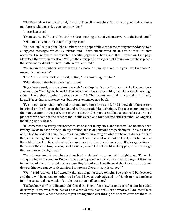"The Oceanview Park bandstand," he said. "That all seems clear. But what do you think all these numbers could mean? Do you have any idea?"

Jupiter hesitated.

"I'm not sure, sir," he said, "but I think it's something to be solved once we're at the bandstand."

"What makes you think that?" Huganay asked.

"You see, sir," said Jupiter, "the numbers on the paper follow the same coding method as certain encrypted messages which my friends and I have encountered on an earlier case. On that occasion, the numbers represented specific pages of a book and the number on that page identified the word in question. Well, in the encrypted messages that I found on the chess pieces the same method and the same pattern are repeated."

"You mean the numbers refer to words in a book?" Huganay asked. "Do you have that book? I mean... do we have it?"

"I don't think it's a book, sir," said Jupiter, "but something simpler."

"What do you think he's referring to, then?"

"If you look closely at pairs of numbers, sir," said Jupiter, "you will notice that the first numbers are not large. The highest is an 18. The second numbers, meanwhile, also don't reach very high values. The highest number is, let me see ... a 28. That makes me think of a text that isn't very large. Bigger than a sentence, yes, but not as extensive as a book.

"I've known Oceanview park and the bandstand since I was a kid. And I know that there is text inscribed on the floor of the bandstand with a mosaic-like technique. The text commemorates the inauguration of the park, one of the oldest in this part of California, and refers to the old pioneers who came to the coast of the Pacific Ocean and founded the cities around Los Angeles, including Rocky Beach.

"If I remember correctly, this text consists of about thirty lines, and there will be no more than twenty words in each of them. In my opinion, these dimensions are perfectly in line with those of the text to which the numbers refer. So, either I'm wrong or what we have to do next to find the picture is to go to the bandstand in the park and see what words of that text, inscribed on the floor, Mr. Roberts referred to with the numbers he hid on the chess pieces. If after gathering all the words the resulting message makes sense, which I don't doubt will happen, it will be a sign that we are on the right path."

"Your theory sounds completely plausible!" exclaimed Huganay, with bright eyes. "Plausible and quite ingenious. Arthur Roberts was able to pose the most convoluted riddles, but it seems to me that what you just said makes sense. Boy, I think you have the next clue in your hand. When do you think we can go to Oceanview Park to see if your theory is correct?"

"Well," said Jupiter, "I had actually thought of going there tonight. The park will be deserted and there will be no one to bother us. In fact, I have already advised my friends to meet me here in"---he consulted his watch---"a little more than half an hour."

"Half an hour, eh?" said Huganay, his face dark. Then, after a few seconds of reflection, he added decisively: "Very well, then. We will not alter what is planned. Here's what we'll do: meet here with your friends. When the three of you are together, exit through the secret entrance there, in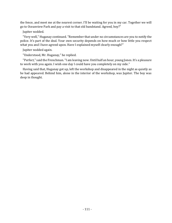the fence, and meet me at the nearest corner. I'll be waiting for you in my car. Together we will go to Oceanview Park and pay a visit to that old bandstand. Agreed, boy?"

Jupiter nodded.

"Very well," Huganay continued. "Remember that under no circumstances are you to notify the police. It's part of the deal. Your own security depends on how much or how little you respect what you and I have agreed upon. Have I explained myself clearly enough?"

Jupiter nodded again.

"Understood, Mr. Huganay," he replied.

"Perfect," said the Frenchman. "I am leaving now. Until half an hour, young Jones. It's a pleasure to work with you again. I wish one day I could have you completely on my side."

Having said that, Huganay got up, left the workshop and disappeared in the night as quietly as he had appeared. Behind him, alone in the interior of the workshop, was Jupiter. The boy was deep in thought.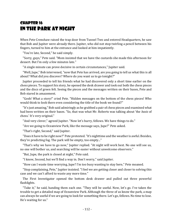### Chapter 16 In the Park at Night

When Pete Crenshaw raised the trap door from Tunnel Two and entered Headquarters, he saw that Bob and Jupiter were already there. Jupiter, who did not stop twirling a pencil between his fingers, turned to him at the entrance and looked at him impatiently.

"You're late, Second," he said simply.

"Sorry, guys," Pete said. "Mom insisted that we have the custards she made this afternoon for dessert. But I'm only a few minutes late."

"A single minute can prove decisive in certain circumstances," Jupiter said.

"Well, Jupe," Bob intervened, "now that Pete has arrived, are you going to tell us what this is all about? What did you discover? Where do you want us to go tonight?"

Jupiter proceeded to tell his friends what he had discovered only a short time earlier on the chess pieces. To support his story, he opened the desk drawer and took out both the chess pieces and the discs of green felt. Seeing the pieces and the messages written on their bases, Pete and Bob stared in amazement.

"Gosh! What a story!" cried Pete. "Hidden messages on the bottom of the chess pieces! Who would think to look there even considering the title of the book we found?"

"It's just amazing," Bob said admiringly as he grabbed a pair of chess pieces and examined what had been written on their bases. "So, that was what Mr. Roberts was talking about 'the *basis* of chess.' It's very original."

"And very clever," agreed Jupiter. "Now let's hurry, fellows. We have things to do."

"Are we going to Oceanview Park, like the message says, Jupe?" Pete asked.

"That's right, Second," said Jupiter.

"Does it have to be right now?" Pete protested. "It's nighttime and the weather is awful. Besides, they're predicting fog. The park will be empty, too empty..."

"That's why we have to go now," Jupiter replied. "At night will work best. No one will see us, no one will bother us, and searching will be easier without unwelcome observers."

"But, Jupe, the park is closed at night," Pete said.

"I know, Second, but we'll find a way in. Don't worry," said Jupiter.

"How can I waste time worrying, Jupe? I'm too busy wanting to stay here," Pete moaned.

"Stop complaining, Pete," Jupiter insisted. "I feel we are getting closer and closer to solving this case and we can't afford to waste any more time."

The First Investigator opened the bottom desk drawer and pulled out three powerful flashlights.

"Take it," he said, handing them each one. "They will be useful. Now, let's go. I've taken the trouble to get a detailed map of Oceanview Park. Although the three of us know the park, a map can always be useful if we are going to look for something there. Let's go, fellows. No time to lose. He's waiting for us."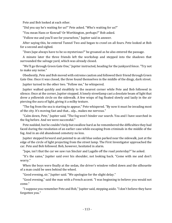Pete and Bob looked at each other.

"Did you say he's waiting for us?" Pete asked. "Who's waiting for us?"

"You mean Hans or Konrad? Or Worthington, perhaps?" Bob asked.

"Follow me and you'll see for yourselves," Jupiter said in answer.

After saying this, he entered Tunnel Two and began to crawl on all fours. Pete looked at Bob for a second and sighed.

"Does Jupe always have to be so mysterious?" he groaned as he also entered the passage.

A minute later the three friends left the workshop and stepped into the shadows that surrounded the salvage yard, which was already closed.

"We'll go through Green Gate One," Jupiter instructed, heading for the junkyard fence. "Try not to make any noise."

Obediently, Pete and Bob moved with extreme caution and followed their friend through Green Gate One. Once it was closed, the three found themselves in the middle of the dingy, dark street.

Jupiter turned to the other two. "Follow me," he whispered.

Jupiter walked quickly and stealthily to the nearest corner while Pete and Bob followed in silence. Once at the corner, Jupiter stopped. A lonely streetlamp cast a desolate beam of light that drew a yellowish circle on the sidewalk. A few wisps of fog floated slowly and lazily in the air piercing the aura of light, giving it a milky texture.

"The fog from the sea is starting to appear," Pete whispered. "By now it must be invading most of the city. It's moving fast and that... ulp... makes me nervous."

"Calm down, Pete," Jupiter said. "The fog won't hinder our search. You and I have searched in the fog before. And we were successful."

Pete nodded, but he couldn't help but swallow hard as he remembered the difficulties they had faced during the resolution of an earlier case while escaping from criminals in the middle of the fog. And in an old abandoned cemetery no less.

Jupiter stepped forward and pointed to an old blue sedan parked near the sidewalk, just at the edge of the circle of light projecting from the street lamp. The First Investigator approached the car. Pete and Bob followed. Bob, however, hesitated in alarm.

"Jupe, isn't that the car we saw run Sinclair and Lagalle off the road yesterday?" he asked.

"It's the same," Jupiter said over his shoulder, not looking back. "Come with me and don't worry."

When the boys were finally at the sedan, the driver's window rolled down and the silhouette of a man could be seen behind the wheel.

"Good evening, sir," Jupiter said. "We apologize for the slight delay."

"Good evening," said the man with a French accent. "I was beginning to believe you would not come."

"I suppose you remember Pete and Bob," Jupiter said, stepping aside. "I don't believe they have forgotten you."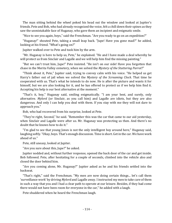The man sitting behind the wheel poked his head out the window and looked at Jupiter's friends. Pete and Bob, who had already recognized the voice, felt a chill down their spines as they saw the unmistakable face of Huganay, who gave them an incipient and enigmatic smile.

"Nice to see you again, boys," said the Frenchman. "Are you ready to go on an expedition?"

"Huganay!" shouted Pete, taking a small leap back. "Jupe! Have you gone mad?" he added, looking at his friend. "What's going on?"

Jupiter walked over to Pete and took him by the arm.

"Mr. Huganay is here to help us, Pete," he explained. "He and I have made a deal whereby he will protect us from Sinclair and Lagalle and we will help him find the missing painting."

"But we can't trust him, Jupe!" Pete insisted. "He isn't on our side! Have you forgotten that chase in the Merita Valley cemetery, when we solved the *Mystery of the Stuttering Parrot*?"

"Think about it, Pete," Jupiter said, trying to convey calm with his voice. "He helped us get Harry's father out of jail when we solved the *Mystery of the Screaming Clock*. That time he cooperated with us. That's what he intends to do now. He is after the picture and wants it for himself, but we are also looking for it, and he has offered to protect us if we help him find it. Accepting his help is our best alternative at the moment."

"That's it, boy," Huganay said, smiling enigmatically. "I am your best, and surely, only alternative. *Mylord* (or Sinclair, as you call him) and Lagalle are idiots, but they are also dangerous. And only I can help you deal with them. If you stay with me they will not dare to approach you."

Bob, who had recovered from his surprise, looked at Pete.

"They're right, Second," he said. "Remember this was the car that came to our aid yesterday, when Sinclair and Lagalle were after us. Mr. Huganay was protecting us then. And there's no doubt that he knows how to do it."

"I'm glad to see that young Jones is not the only intelligent boy around here," Huganay said, laughing softly. "Okay, boys. That's enough discussion. Time is short. Get in the car. We have work ahead of us."

Pete, still uneasy, looked at Jupiter.

"Are you sure about this, Jupe?" he asked.

Jupiter nodded and, without further response, opened the back door of the car and got inside. Bob followed. Pete, after hesitating for a couple of seconds, climbed into the vehicle also and closed the door behind him.

"Are you coming alone, Mr. Huganay?" Jupiter asked as he and his friends settled into the backseat.

"That's right," said the Frenchman. "My men are now doing certain things... let's call them 'surveillance work' by driving *Mylord* and Lagalle away. I instructed my men to take care of them in such a way that you and I had a clear path to operate at our leisure. Besides, if they had come there would not have been room for everyone in the car," he added with a laugh.

Pete shuddered when he heard the Frenchman laugh.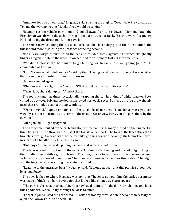"And now let's be on our way," Huganay said, starting the engine. "Oceanview Park awaits us. Tell me the way, my young friends, if you would be so kind."

Huganay set the vehicle in motion and pulled away from the sidewalk. Moments later the Frenchman was driving the sedan through the dark streets of Rocky Beach toward Oceanview Park following the directions Jupiter gave him.

The sedan traveled along the city's side streets. The closer they got to their destination, the thicker and more disturbing the presence of the fog became.

Not in vain, wisps of mist licked the car and collided softly against its surface like ghostly fingers. Huganay, behind the wheel, frowned, and for a moment lost his sardonic smile.

"We didn't choose the best night to go hunting for treasure, did we, young Jones?" He commented as he drove.

"I don't know what to tell you, sir," said Jupiter. "The fog could play in our favor if we consider that it can make it harder for them to follow us."

Huganay smiled again.

"Obviously, you're right, boy," he said. "What do I do at the next intersection?"

"Turn right, sir," said Jupiter. "Almost there."

The fog thickened at times, occasionally wrapping the car in a kind of white blanket. Pete, curled up between Bob and the door, swallowed nervously several times as the fog drew ghostly faces that crumpled against the car window.

"We've arrived," Jupiter announced after a couple of minutes. "That dense mass you can vaguely see there in front of us is some of the trees in Oceanview Park. You can park there by the curb, sir."

"All right, lad," Huganay agreed.

The Frenchman pulled to the curb and stopped the car. As Huganay turned off the engine, the three friends peered through the mist at the fog-shrouded park. The tops of the trees stuck their branches through the tendrils of white mist like grieving souls desperately stretching their arms in search of a handhold. Pete shivered again.

"Out, boys," Huganay said, opening the door and getting out of the car.

The boys obeyed and got out of the vehicle. Automatically, the fog and the cold night clung to their bodies like invisible ghostly breath. The boys, unable to suppress a shiver, looked around as far as the fog allowed them to see. The street was deserted except for themselves. The night and the fog covered everything like a fateful shroud.

"Lead me to the entrance, boys," Huganay said. "It would appear that this park is surrounded by a high fence."

The boys looked to where Huganay was pointing. The fence surrounding the park's perimeter was made of thick iron bars having tips that looked like ominously sharp spears.

"The park is closed at this hour, Mr. Huganay," said Jupiter. "All the doors are chained and have thick padlocks. We could try forcing the locks to enter."

"Forget it, Jones," said the Frenchman. "Locks are not my forte. When it becomes necessary to open one I always turn to a specialist."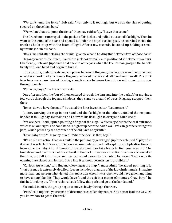"We can't jump the fence," Bob said. "Not only is it too high, but we run the risk of getting speared on those high bars."

"We will not have to jump the fence," Huganay said softly. "Leave that to me."

The Frenchman rummaged in the pocket of his jacket and pulled out a small flashlight. Then he went to the trunk of the car and opened it. Under the boys' curious gaze, he searched inside the trunk as he lit it up with the beam of light. After a few seconds, he stood up holding a small hydraulic jack in his hand.

"Boys," he said after closing the trunk, "give me a hand holding this between two of those bars."

Huganay went to the fence, placed the jack horizontally and positioned it between two bars. Obediently, Pete and Jupe each held one end of the jack while the Frenchman grasped the handle firmly with one hand and began to turn it.

Little by little, under the strong and powerful arm of Huganay, the jack grew and bent the bars on either side of it. After a minute Huganay removed the jack and left it on the sidewalk. The thick iron bars were now bowed, leaving enough space between them to permit a person to pass through cleanly.

"Come on, boys," the Frenchman said.

One after another, the four of them entered through the bars and into the park. After moving a few yards through the fog and shadows, they came to a stand of trees. Huganay stopped them there.

"Jones, do you have the map?" he asked the First Investigator. "Let me see it."

Jupiter, carrying the map in one hand and the flashlight in the other, unfolded the map and handed it to Huganay. He took it and lit it with his flashlight so everyone could see it.

"We are here," said Jupiter, pointing a finger at the map. "We're very close to the east entrance, which is on our right. The bandstand is higher up near the north wall. We can get there using this path, which passes by the entrance of the old Cave-Labyrinth."

"Cave-Labyrinth?" Huganay asked. "What the devil is that, boy?"

"It's an old attraction that was built in the park many years ago," Jupiter explained. "I played in it when I was little. It's an artificial cave whose underground paths split in multiple directions to form an actual labyrinth of tunnels. It could sometimes take hours to find your way out. The tunnels extend over much of the subsoil of the park. It was an attraction that was successful at the time, but fell into disuse and has remained closed to the public for years. That's why its openings are closed and fenced. Entry into it without permission is prohibited."

"Curious attraction," said Huganay, looking at the map. "I must admit," he added, pointing to it, "that this map is extremely detailed. It even includes a diagram of the labyrinth tunnels. I imagine more than one person who visited this attraction when it was open would have given anything to have a map like this. They would have found the exit in a matter of minutes. Okay, boys," he finished, looking up. "Time is short. Let's follow this path and go to the bandstand."

Shrouded in mist, the group began to move slowly through the trees.

"Pete," said Jupiter, "your sense of direction is excellent by nature. You better lead the way. Do you know how to get to the trail?"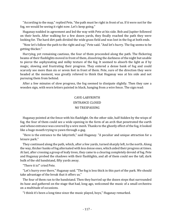"According to the map," replied Pete, "the path must be right in front of us. If it were not for the fog, we would be seeing it right now. Let's keep going."

Huganay nodded in agreement and led the way with Pete at his side. Bob and Jupiter followed on their heels. After walking for a few dozen yards, they finally reached the path they were looking for. The hard dirt path divided the wide grass field and was lost in the fog at both ends.

"Now let's follow the path to the right and up," Pete said. "And let's hurry. The fog seems to be getting thicker."

Hurrying, yet remaining cautious, the four of them proceeded along the path. The flickering beams of their flashlights moved in front of them, dissolving the darkness of the night but unable to pierce the asphyxiating and milky texture of the fog. It seemed to absorb the light as if by magic, slowing and frustrating their progress. They entered a dense bank of fog and could scarcely see more than six or seven feet in front of them. Pete, sure of the direction they were headed at the moment, was greatly relieved to think that Huganay was at his side and not pursuing them from behind.

After a few minutes of slow progress, the fog seemed to dissipate slightly. Then they saw a wooden sign, with worn letters painted in black, hanging from a wire fence. The sign read:

### CAVE-LABYRINTH ENTRANCE CLOSED NO TRESPASSING

Huganay pointed at the fence with his flashlight. On the other side, half-hidden by the wisps of fog, the four of them could see a wide opening in the form of an arch that penetrated the earth and whose entrance was covered by a wire mesh. Thanks to the ghostly effect of the fog, it looked like a huge mouth trying to yawn through a gag.

"Here is the entrance to the labyrinth," said Huganay. "A peculiar and unique attraction for a leisure park."

They continued along the path, which, after a few yards, turned sharply left, to the north. Along the way, thicker banks of fog alternated with less dense ones, which aided their progress at times. At last, after crossing a group of leafy trees, they came to a clearing completely devoid of fog. Pete and Huganay probed the shadows with their flashlights, and all of them could see the tall, dark bulk of the old bandstand, fifty yards away.

"There it is!" cried Pete.

"Let's hurry over there," Huganay said. "The fog is less thick in this part of the park. We should take advantage of the break that it offers us."

The four of them ran to the bandstand. Then they hurried up the dozen steps that surrounded its base and gathered on the stage that had, long ago, welcomed the music of a small orchestra on a multitude of occasions.

"I think it's been a long time since the music played, boys," Huganay remarked.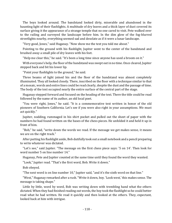The boys looked around. The bandstand looked dirty, miserable and abandoned in the haunting light of their flashlights. A multitude of dry leaves and a thick layer of dust covered its surface giving it the appearance of a strange temple that no one cared to visit. Pete walked over to the railing and surveyed the landscape before him. In the dim glow of the fog-blurred streetlights nearby, everything seemed sad and desolate as if it were a lunar landscape.

"Very good, Jones," said Huganay. "Now show me the text you told me about."

Pointing to the ground with his flashlight, Jupiter went to the center of the bandstand and brushed away a small pile of dry leaves with his feet.

"Help me clear this," he said. "It's been a long time since anyone has used a broom on it."

With everyone's help, the floor of the bandstand was swept out in no time. Once cleared, Jupiter stepped back and bit his lower lip.

"Point your flashlights to the ground," he said.

Three beams of light joined his and the floor of the bandstand was almost completely illuminated. They all looked closely. There, inscribed on the floor with a technique similar to that of a mosaic, words and entire lines could be read clearly, despite the dust and the passage of time. The body of the text occupied nearly the entire surface of the central part of the stage.

Huganay stepped forward and focused on the heading of the text. There the title could be read followed by the name of its author, an old local poet.

"You were right, Jones," he said. "It is a commemorative text written in honor of the old pioneers of Southern California. Let's see if you were also right in your assumptions. We must act quickly."

Jupiter, nodding, rummaged in his shirt pocket and pulled out the sheet of paper with the numbers he had found written on the bases of the chess pieces. He unfolded it and held it up in front of him.

"Bob," he said, "write down the words we read. If the message we get makes sense, it means we are on the right track."

After putting his flashlight aside, Bob dutifully took out a small notebook and a pencil preparing to write whatever was dictated.

"Let's see," said Jupiter. "The message on the first chess piece says: '5 on 14'. Then look for word number 5 on line number 14."

Huganay, Pete and Jupiter counted at the same time until they found the word they wanted.

"Look," Jupiter read. "That's the first word, Bob. Write it down."

Bob obeyed.

"The next word is on line number 10," Jupiter said, "and it's the sixth word on that line."

"West," Huganay remarked after a rush. "Write it down, boy. 'Look west,' this makes sense. The message is taking shape."

Little by little, word by word, Bob was writing down with trembling hand what the others dictated. When they had finished reading out words, the boy took the flashlight so he could better read what he had written. He read it quickly and then looked at the others. They, expectant, looked back at him with intrigue.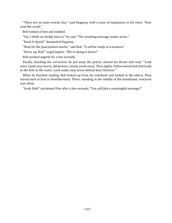"There are no more words, boy," said Huganay with a trace of impatience in his voice. "Now read the result."

Bob looked at him and nodded.

"Yes, I think we finally have it," he said. "The resulting message makes sense."

"Read it! Quick!" demanded Huganay.

"Wait for the punctuation marks," said Bob. "It will be ready in a moment."

"Hurry up, Bob!" urged Jupiter. "We're dying to know!"

Bob worked eagerly for a few seconds.

Finally, finishing the correction, he put away the pencil, cleared his throat and read, "'Look west. Guide your horse, old pioneer, ninety yards away. Then eighty. Follow metal look that leads to the hole in the water. Look under step seven behind door thirteen.'"

When he finished reading, Bob looked up from his notebook and looked at the others. They stared back at him in bewilderment. There, standing in the middle of the bandstand, everyone was silent.

"Gosh, Bob!" exclaimed Pete after a few seconds. "You call that a meaningful message?"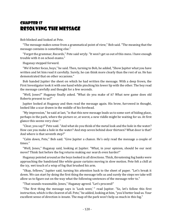# Chapter 17 Resolving the Message

Bob blinked and looked at Pete.

"The message makes sense from a grammatical point of view," Bob said. "The meaning that the message contains is something else."

"Forget the grammar, Records," Pete said wryly. "It won't get us out of this mess. I have enough trouble with it on school exams."

Huganay stepped forward.

"We'd better focus, boys," he said. Then, turning to Bob, he added, "Show Jupiter what you have written and let him read it carefully. Surely, he can think more clearly than the rest of us. He has demonstrated that on other occasions."

Bob handed Jupiter the sheet on which he had written the message. With a deep frown, the First Investigator took it with one hand while pinching his lower lip with the other. The boy read the message carefully and thought for a few seconds.

"Well, Jones?" Huganay finally asked. "What do you make of it? What new game does old Roberts present to us?"

Jupiter looked at Huganay and then read the message again. His brow, furrowed in thought, looked like a scar drawn in the middle of his forehead.

"My impression," he said at last, "is that this new message leads us to some sort of hiding place, perhaps in the park, where the picture or, at worst, a new riddle might be waiting for us. At first glance this seems very clear."

"Clear, you say?" Pete said. "And what do you think of the metal look and the hole in the water? How can you make a hole in the water? And step seven behind door thirteen? What door is that? And where is that seventh step?"

"Calm down, Pete," Bob said. "Give Jupiter a chance. He's only read the message a couple of times."

"Well, Jones," Huganay said, looking at Jupiter. "What, in your opinion, should be our next move? Think fast before the fog returns making our search even harder!"

Huganay pointed around as the boys looked in all directions. Thick, threatening fog banks were approaching the bandstand like white gauze curtains moving in slow motion. Pete felt a chill at the icy, wet touch of a wisp of fog that brushed his arm.

"Okay, fellows," Jupiter said, turning his attention back to the sheet of paper. "Let's break it down. We can start by doing the first thing the message tells us and surely the steps we take will allow us to figure out on the way what the following sentences of the message refer to."

"That sounds reasonable, Jones," Huganay agreed. "Let's proceed!"

"The first thing the message says is 'Look west,' " read Jupiter. "So, let's follow this first instruction, which is the clearest of all. Pete," he added, looking at him, "you'd better lead us. Your excellent sense of direction is innate. The map of the park won't help us much in this fog."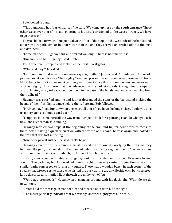Pete looked around.

"This bandstand has four entrances," he said. "We came up here by the south entrance. Those other steps over there," he said, pointing to his left, "correspond to the west entrance. We have to go that way."

They all looked to where Pete pointed. At the foot of the steps on the west side of the bandstand, a narrow dirt path, similar but narrower than the one they arrived on, trailed off into the mist and darkness.

"Come on, then," Huganay said, and started walking. "There is no time to lose."

"One moment, Mr. Huganay," said Jupiter.

The Frenchman stopped and looked at the First Investigator.

"What is it, boy?" he asked.

"Let's keep in mind what the message says right after," Jupiter said. " 'Guide your horse, old pioneer, ninety yards away. Then eighty.' We must proceed carefully and obey these instructions. Mr. Roberts tells us that we must go ninety yards west. Once this is done, we must move forward another eighty. I propose that we advance the first ninety yards taking ninety steps of approximately one yard each. Let's go down to the base of the bandstand and start walking from the trailhead."

Huganay was satisfied, and he and Jupiter descended the steps of the bandstand making the beams of their flashlights dance before them. Pete and Bob followed.

"Mr. Huganay," said Jupiter when they were all there, "you have the longest legs. Could you give us ninety steps of about a yard each?"

"I suppose if I came here all the way from Europe to look for a painting I can do what you ask, boy," the Frenchman said smiling.

Huganay marked two steps at the beginning of the trail and Jupiter bent down to measure them. After making a quick calculation with the width of his hand, he rose again and looked at the trail that was lost in the fog.

"Ninety steps will suffice," he said. "Let's begin."

Huganay advanced while counting his steps and was followed closely by the boys. As they followed the path, the bandstand disappeared behind as the fog engulfed them. They were alone and abandoned again, surrounded by a blanket of indolent white mist.

Finally, after a couple of minutes, Huganay took his final step and stopped. Everyone looked around. The path they had followed led them straight to the very center of a junction where four similar paths converged to form a tiny square. There was a wooden bench in each corner of the square that offered rest to those who visited the park during the day. Beside each bench a street lamp threw its dim, muffled light through the milky veil of fog.

"We're at a crossroads," Huganay said, glancing around with his flashlight. "What do we do now, Jones?"

Jupiter held the message in front of him and focused on it with his flashlight.

"The message clearly indicates that we must go another eighty yards," he said.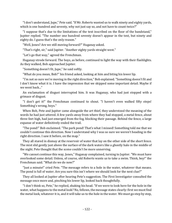"I don't understand, Jupe," Pete said. "If Mr. Roberts wanted us to walk ninety and eighty yards, which is one hundred and seventy, why not just say so, and not have to count twice?"

"I suppose that's due to the limitations of the text inscribed on the floor of the bandstand," Jupiter replied. "The number one hundred seventy doesn't appear in the text, but ninety and eighty do. I guess that's the only reason."

"Well, Jones? Are we still moving forward?" Huganay asked.

"That's right, sir," said Jupiter. "Another eighty yards straight west."

"Let's go that way," agreed the Frenchman.

Huganay strode forward. The boys, as before, continued to light the way with their flashlights. As they walked, Bob approached Jupiter.

"Something doesn't fit, Jupe," he said softly.

"What do you mean, Bob?" his friend asked, looking at him and biting his lower lip.

"I'm not so sure we're moving in the right direction," Bob explained. "Something doesn't fit and I don't know what it is. I have the impression that we skipped some important detail. Maybe if we went back..."

An exclamation of disgust interrupted him. It was Huganay, who had just stopped with a grimace of disgust.

"I don't get it!" the Frenchman continued to shout. "I haven't even walked fifty steps! Something's wrong, boys."

When Bob, Pete and Jupiter came alongside the art thief, they understood the meaning of the words he had just uttered. A few yards away from where they had stopped, a metal fence, about three feet high, had just emerged from the fog, blocking their passage. Behind the fence, a large expanse of water definitively ended the trail.

"The pond!" Bob exclaimed. "The park pond! That's what I missed! Something told me that we couldn't continue this direction. Now I understand why I was so sure we weren't heading in the right direction. I saw it before, on the map."

They all stared in dismay at the reservoir of water that lay on the other side of the short fence. The mist slid gently just above the surface of the dark waters like a ghostly halo in the middle of the night. Pete thought that the scene couldn't be more unnerving.

"We cannot continue this way, Jones," Huganay complained, turning to Jupiter. "We must have overlooked some detail. Unless, of course, old Roberts wants us to take a swim. Think, boy!" the Frenchman said. "What do we do now?"

"Just a minute!" cried Pete. "The message refers to a hole in the water, whatever that means. The pond is full of water. Are you sure this isn't where we should look for the next clue?"

They all looked at Jupiter after hearing Pete's suggestion. The First Investigator consulted the message once more and, pinching his lower lip, looked back thoughtfully.

"I don't think so, Pete," he replied, shaking his head. "If we were to look here for the hole in the water, what happens to the metal look? No, fellows, the message states clearly: first we must find the metal look, whatever it is, and it will take us to the hole in the water. We must go step by step,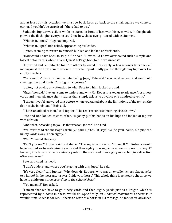and at least on this occasion we must go back. Let's go back to the small square we came to earlier. I wouldn't be surprised if there had to be..."

Suddenly, Jupiter was silent while he stared in front of him with his eyes wide. In the ghostly glow of the flashlights everyone could see how those eyes glittered with excitement.

"What is it, Jones?" Huganay inquired.

"What is it, Jupe?" Bob asked, approaching his leader.

Jupiter, seeming to return to himself, blinked and looked at his friends.

"How could I have been so stupid?" he said. "How could I have overlooked such a simple and logical detail in this whole affair? Quick! Let's go back to the crossroads!"

He turned and ran into the fog. The others followed him closely. A few seconds later they all met again at the little square where the four lampposts sadly poured their gloomy light over the empty benches.

"You shouldn't just run like that into the fog, Jupe," Pete said. "You could get lost, and we should stay together at all costs. This fog is dangerous."

Jupiter, not paying any attention to what Pete told him, looked around.

"Guys," he said, "I've just come to understand why Mr. Roberts asked us to advance first ninety yards and then advance eighty rather than simply ask us to advance one hundred seventy."

"I thought you'd answered that before, when you talked about the limitations of the text on the floor of the bandstand," Bob said.

"That's an added reason," said Jupiter. "The real reason is something else, fellows."

Pete and Bob looked at each other. Huganay put his hands on his hips and looked at Jupiter with a frown.

"And what, according to you, is that reason, Jones?" he asked.

"We must read the message carefully," said Jupiter. "It says: 'Guide your horse, old pioneer, ninety yards away. Then eighty.'"

"Well?" roared Huganay.

"Can't you see?" Jupiter said in disbelief. "The key is in the word 'horse'. If Mr. Roberts would have wanted us to walk ninety yards and then eighty in *a single direction*, why not just say it? Instead, it tells us to advance ninety yards to the west and then eighty more, but, in a direction *other than west*."

Pete scratched his head.

"I don't understand where you're going with this, Jupe," he said.

"It's very clear!" said Jupiter. "Why does Mr. Roberts, who was an excellent chess player, refer to a horse? In the message, it says: 'Guide your horse'. This whole thing is related to chess, so we have to guide our horse *according to the rules of chess*."

"You mean...?" Bob asked.

"I mean that we have to go ninety yards and then eighty yards just as a knight, which is represented by a *horse* in chess, would do. Specifically, an *L-shaped* movement. Otherwise it wouldn't make sense for Mr. Roberts to refer to a horse in his message. So far, we've advanced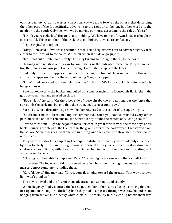our horse ninety yards in a westerly direction. Now we move forward the other eighty describing the other part of the L, specifically, advancing to the right or to the left. In other words, to the north or to the south. Only then will we be moving our horse according to the rules of chess."

"I think you're right, lad," Huganay said, nodding. "We have to move forward just as a knight in chess would. This is another of the tricks that old Roberts devised to confuse us."

"That's right," said Jupiter.

"Okay," Pete said. "If we are in the middle of this small square, we have to advance eighty yards either to the north or to the south. Which direction should we go, Jupe?"

"Let's find out," Jupiter said simply. "Let's try turning to the right, that is, to the north."

Huganay was satisfied and began to count steps in the indicated direction. They all moved together along a narrow path that led through the twisted shapes of the trees.

Suddenly the path disappeared completely, leaving the four of them in front of a thicket of shrubs that appeared before them out of the fog. They all stopped.

"I don't think we're going in the right direction," Bob said. "We hardly took thirty steps and this hedge cut us off."

Pete walked over to the bushes and pulled out some branches. He focused his flashlight in the gap between them and peered on tiptoe.

"Bob's right," he said. "On the other side of these shrubs there is nothing but the fence that surrounds the park and, beyond that, the street. Let's turn around, guys."

Sure as to which direction to go now, the four returned to the center of the square again.

"South must be the direction," Jupiter commented. "Once you have eliminated every other possibility, the one that remains must be, without any doubt, the correct one. Let's go south."

For the third time Huganay began to move forward in great strides with the three boys at his heels. Counting the steps of the Frenchman, the group entered the narrow path that started from the square. Soon it was behind them, lost in the fog, and they advanced through the dark shapes of the trees.

They were still short of completing the required distance when they were suddenly enveloped by a particularly thick bank of fog. It was so dense that they were forced to slow down and continue almost blindly, with their hands outstretched in front of them to avoid colliding with any unseen obstacle.

"This fog is unbearable!" complained Pete. "The flashlights are useless in these conditions."

It was true. The fog was so thick it seemed to reflect back their flashlight beams as if it were a mirror, almost completely blinding them.

"Careful, boys," Huganay said. "Direct your flashlights toward the ground. That way our own light won't blind us."

The boys obeyed and the four of them advanced painstakingly and silently.

When Huganay finally counted the last step, they found themselves facing a clearing that had just opened in the fog. The thick fog-bank they had just passed through was now behind them, hanging from the air like a heavy white curtain. The visibility in the clearing before them was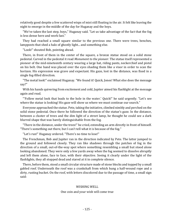relatively good despite a few scattered wisps of mist still floating in the air. It felt like leaving the night to emerge in the middle of the day for Huganay and the boys.

"We've taken the last step, boys," Huganay said. "Let us take advantage of the fact that the fog is less dense here and work fast."

They had reached a small square similar to the previous one. There were trees, benches, lampposts that shed a halo of ghostly light... and something else.

"Look!" shouted Bob, pointing ahead.

There, in front of them in the center of the square, a bronze statue stood on a solid stone pedestal. Carved in the pedestal it read *Monument to the pioneer*. The statue itself represented a pioneer of the mid-nineteenth century wearing a large hat, riding pants, neckerchief and pistol on his belt. One hand was placed over the eyes shading them like a visor in order to scan the horizon. His expression was grave and expectant. His gaze, lost in the distance, was fixed in a single fog-filled direction.

"The metal look!" exclaimed Huganay. "We found it! Quick, Jones! What else does the message say?"

With his hands quivering from excitement and cold, Jupiter aimed his flashlight at the message again and read.

"'Follow metal look that leads to the hole in the water.' Quick!" he said urgently. "Let's see where the statue is looking! His gaze will show us where we must continue our search."

Everyone approached the statue. Pete, taking the initiative, climbed nimbly and perched on the solid stone pedestal. Once there he followed the direction of the statue's gaze. In the distance, between a cluster of trees and the dim light of a street lamp, he thought he could see a dark blurred shape that was barely distinguishable from the fog.

"There in the distance, under the trees!" he cried, extending an arm directly in front of himself. "There's something out there, but I can't tell what it is because of the fog."

"Let's run!" Huganay ordered. "There's no time to lose!"

The Frenchman, Bob and Jupiter ran in the direction indicated by Pete. The latter jumped to the ground and followed closely. They ran like shadows through the patches of fog in the direction of a small, out-of-the-way spot where something resembling a small hut stood alone looking abandoned. They were only a few yards away when the fog seemed to dissolve abruptly and left them alone, face to face, with their objective. Seeing it clearly under the light of the flashlights, they all stopped dead and stared at it in complete silence.

There, before them, stood a small circular structure made of stone blocks and topped by a small gabled roof. Underneath the roof was a crankshaft from which hung a half-wound rope and a dirty, rusting bucket. On the roof, with letters discolored due to the passage of time, a small sign said:

#### WISHING WELL

#### One coin and your wish will come true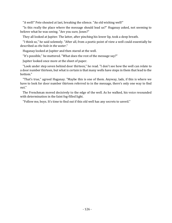"A well!" Pete shouted at last, breaking the silence. "An old wishing well!"

"Is this really the place where the message should lead us?" Huganay asked, not seeming to believe what he was seeing. "Are you sure, Jones?"

They all looked at Jupiter. The latter, after pinching his lower lip, took a deep breath.

"I think so," he said solemnly. "After all, from a poetic point of view a well could essentially be described as *the hole in the water*."

Huganay looked at Jupiter and then stared at the well.

"It's possible," he muttered. "What does the rest of the message say?"

Jupiter looked once more at the sheet of paper.

"Look under step seven behind door thirteen," he read. "I don't see how the well can relate to a door number thirteen, but what is certain is that many wells have steps in them that lead to the bottom."

"That's true," agreed Huganay. "Maybe this is one of them. Anyway, lads, if this is where we have to look for door number thirteen referred to in the message, there's only one way to find out."

The Frenchman moved decisively to the edge of the well. As he walked, his voice resounded with determination in the faint fog-filled light.

"Follow me, boys. It's time to find out if this old well has any secrets to unveil."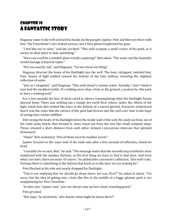# Chapter 18 A Fantastic Story

Huganay came to the well and laid his hands on the parapet. Jupiter, Pete and Bob met there with him. The Frenchman's face looked serious, but a fiery gleam brightened his gaze.

"I feel like we're close," said the art thief. "This well occupies a small corner of the park, so it seems an ideal place to hide something."

"How can a well be a suitable place to hide a painting?" Bob asked. "The water and the humidity would damage it beyond repair."

"Not necessarily, lad," said Huganay. "Let me check one thing."

Huganay directed the beam of his flashlight into the well. The boys, intrigued, imitated him. Four beams of light walked toward the bottom of the hole without revealing the slightest reflection of water.

"Just as I imagined," said Huganay. "This well doesn't contain water. Actually, I don't think it ever had the smallest trickle. It's nothing more than a hole in the ground, a pretext for this park to have a wishing well."

For a few seconds the four of them stood in silence contemplating what the flashlight beams showed them. There was nothing but a simple dry earth floor where, under the effects of the light, small dots that looked like stars at the bottom of a tunnel glowed. Everyone understood that it was the coins that the visitors of the park had thrown into the well over time in the hope of seeing their wishes fulfilled.

Bob swung the beam of his flashlight down the inside wall of the well. He could see how, out of the solid stone blocks that formed it, some stood out from the rest like small sculpted steps. These, situated a short distance from each other, formed a precarious staircase that spiraled downward.

"Steps!" Bob exclaimed. "One of them must be number seven!"

Jupiter focused on the inner wall of the shaft and, after a few seconds of reflection, shook his head.

"I wouldn't be so sure, Bob," he said. "The message states that the seventh step is behind a door numbered with the number thirteen, so the first thing we have to find is that door. And from what I see here, there are none. Of course," he added after a moment's reflection, "this well is dry. Perhaps there is something at the bottom that leads us to the door we are looking for."

Pete flinched at his side and nearly dropped his flashlight.

"You're not implying that we should go down there, are you, First?" he asked in alarm. "I'm sorry, but the idea of getting into a hole like this in the middle of a foggy, gloomy park is too unappetizing for Pete Crenshaw."

"In that case," Jupiter said, "you can always stay up here alone, standing guard."

Pete groaned.

"But, Jupe," he protested, "who knows what might be down there?"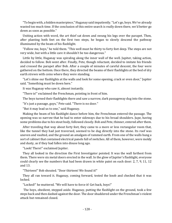"To begin with, a hidden masterpiece," Huganay said impatiently. "Let's go, boys. We've already wasted too much time. If the conclusion of this entire search is really down there, we'd better go down as soon as possible."

Uniting action with word, the art thief sat down and swung his legs over the parapet. Then, after planting both feet on the first two steps, he began to slowly descend the pathway illuminated by the beam of his flashlight.

"Follow me, boys," he told them. "This well must be thirty to forty feet deep. The steps are not very wide, but with a little care it shouldn't be too dangerous."

Little by little, Huganay was spiraling along the inner wall of the well. Jupiter, taking action, decided to follow. Bob went after. Finally, Pete, though reluctant, decided to imitate his friends and crossed the parapet after Bob. After a couple of minutes of careful descent, the four were gathered on the bottom. Once there, they directed the beams of their flashlights at the bed of dry earth strewn with coins where they were standing.

"Let's shine our flashlights at the walls and look for some opening, crack or even door," Jupiter said. "Something must be down here."

It was Huganay who saw it, almost instantly.

"There is!" exclaimed the Frenchman, pointing in front of him.

The boys turned their flashlights there and saw a narrow, dark passageway dug into the stone.

"It's just a passage, guys," Pete said. "There is no door."

"But it may lead us to one," said Huganay.

Making the beam of his flashlight dance before him, the Frenchman entered the passage. The opening was so narrow that he had to enter sideways due to his broad shoulders. Jupe, having some problems due to his stout body, followed closely. Bob and Pete, thinner, entered after them.

After traveling that way about forty feet, they came to a more or less rectangular room that, like the tunnel they had just traversed, seemed to be dug directly into the stone. Its roof was uneven and vaulted, and the ground an amalgam of rammed earth. From one of the walls hung a sort of cabinet that contained electrical panels full of switches. All of them, however, were moldy and dusty, as if they had fallen into disuse long ago.

"Look! There!" exclaimed Jupiter.

They all looked in the direction the First Investigator pointed. It was the wall farthest from them. There were six metal doors erected in the wall. In the glow of Jupiter's flashlight, everyone could clearly see the numbers that had been drawn in white paint on each door: 2, 7, 9, 11, 12 and 13.

"Thirteen!" Bob shouted. "Door thirteen! We found it!"

They all ran toward it. Huganay, coming forward, tested the knob and checked that it was locked.

"Locked!" he muttered. "We will have to force it! Get back, boys!"

The boys, obedient, stepped aside. Huganay, putting the flashlight on the ground, took a few steps back and then dashed against the door. The door shuddered under the Frenchman's violent attack but remained closed.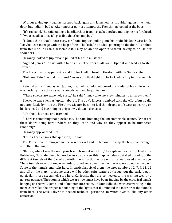Without giving up, Huganay stepped back again and launched his shoulder against the metal door, but it didn't budge. After another pair of attempts the Frenchman looked at the boys.

"It's too solid," he said, taking a handkerchief from his jacket pocket and wiping his forehead. "If we tried all at once it's possible that then maybe..."

"I don't think that's necessary, sir," said Jupiter, pulling out his multi-bladed Swiss knife. "Maybe I can manage with the help of this. The lock," he added, pointing to the door, "is bolted from this side. If I can disassemble it, I may be able to open it without having to bruise our shoulders."

Huganay looked at Jupiter and pulled at his thin mustache.

"Agreed, Jones," he said with a faint smile. "The door is all yours. Open it and lead us to step seven."

The Frenchman stepped aside and Jupiter knelt in front of the door with his Swiss knife.

"Help me, Pete," he told his friend. "Focus your flashlight on the lock while I try to disassemble it."

Pete did as his friend asked. Jupiter, meanwhile, unfolded one of the blades of his knife, which was nothing more than a small screwdriver, and began to work.

"These screws are extremely rusty," he said. "It may take me a few minutes to unscrew them."

Everyone was silent as Jupiter labored. The boy's fingers trembled with the effort, but he did not stop. Little by little the First Investigator began to feel thin droplets of sweat appearing on his forehead and beginning to drip slowly down his cheeks.

Bob shook his head and frowned.

"There is something that puzzles me," he said, breaking the uncomfortable silence. "What are these doors doing here? Where do they lead? And why do they appear to be numbered randomly?"

Huganay approached him.

"I think I can answer that question," he said.

The Frenchman rummaged in his jacket pocket and pulled out the map the boys had brought with them that night.

"Before, when I saw the map your friend brought with him," he explained as he unfolded it for Bob to see, "I couldn't help but notice. As you can see, this map includes a detailed drawing of the different tunnels of the Cave-Labyrinth, the attraction whose entrance we passed a while ago. These tunnels extend a long way underground and cover much of the area occupied by the park. Some of the tunnels end right here. In particular, six of them, the ones numbered 2, 7, 9, 11, 12 and 13 on the map. I presume there will be other exits scattered throughout the park, but, in particular, those six tunnels stop here. Curiously, they are connected to the wishing well by a narrow passage. The room in which we are now must have been, judging by the electrical panels hanging on the wall, some kind of maintenance room. Undoubtedly, the workers working in the maze controlled the proper functioning of the lights that illuminated the interior of the tunnels from here. The Cave-Labyrinth needed technical personnel to watch over it, like any other attraction."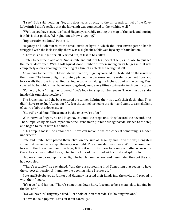"I see," Bob said, nodding. "So, this door leads directly to the thirteenth tunnel of the Cave-Labyrinth. I didn't realize that the labyrinth was connected to the wishing well."

"Well, as you have seen, it is," said Huganay, carefully folding the map of the park and putting it in his jacket pocket. "All right, Jones. How's it going?"

"Jupiter's almost done," Pete said.

Huganay and Bob stared at the small circle of light in which the First Investigator's hands struggled with the lock. Finally, there was a slight click, followed by a cry of satisfaction.

"There it is," said Jupiter. "It resisted but, at last, it has fallen."

Jupiter folded the blade of his Swiss knife and put it in his pocket. Then, as he rose, he pushed the metal door open. With a soft squeal, door number thirteen swung on its hinges until it was completely open, exposing the opening of a tunnel as black as the night itself.

Advancing to the threshold with determination, Huganay focused his flashlight on the inside of the tunnel. The beam of light resolutely pierced the darkness and revealed a cement floor and brick walls that rose to a vaulted ceiling. A cable ran along the highest point of the ceiling. Dust covered bulbs, which must have been long dead, hung every fifteen to twenty feet from the cable.

"Come on, boys," Huganay ordered. "Let's look for step number seven. There must be stairs inside this tunnel, somewhere."

The Frenchman and the boys entered the tunnel, lighting their way with their flashlights. They didn't have to go far. After about fifty feet the tunnel turned to the right and came to a small flight of stairs of about a dozen steps.

"Stairs!" cried Pete. "These must be the ones we're after!"

With nervous fingers, he and Huganay counted the steps until they located the seventh one. Then, impelled by his own impatience, the Frenchman put his flashlight aside, rushed to the step and began to feel it with his hands.

"This step is loose!" he announced. "If we can move it, we can check if something is hidden underneath."

Pete and Jupiter both placed themselves on one side of Huganay and lifted the flat, elongated stone that served as a step. Huganay was right. The stone slab was loose. With the combined forces of the Frenchman and the boys, lifting it out of its place took only a matter of seconds. Once the slab was pulled loose, it fell to the floor of the tunnel with a thud and split in two.

Huganay then picked up the flashlight he had left on the floor and illuminated the spot the slab had occupied.

"There's a cavity!" he exclaimed. "And there is something in it! Something that seems to have the correct dimensions! Illuminate the opening while I remove it."

Pete and Bob obeyed as Jupiter and Huganay inserted their hands into the cavity and probed it with their fingers.

"It's true," said Jupiter. "There's something down here. It seems to be a metal plate judging by the feel of it."

"Do you have it?" Huganay asked. "Get ahold of it on that side. I'm holding this one."

"I have it," said Jupiter. "Let's lift it out carefully."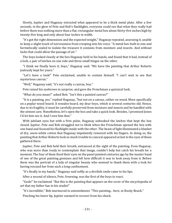Slowly, Jupiter and Huganay extracted what appeared to be a thick metal plate. After a few seconds, in the glow of Pete and Bob's flashlights, everyone could see that what they really had before them was nothing more than a flat, rectangular metal box about thirty-five inches high by twenty-five long and only about four inches in width.

"It's got the right dimensions and the expected weight," Huganay repeated, assessing it, unable to keep a slight touch of nervousness from creeping into his voice. "A metal box built to size and hermetically sealed to isolate the treasure it contains from moisture and insects. And without locks that could allow the passage of air."

The boys looked closely at the box Huganay held in his hands, and found that it had, instead of a lock, a pair of latches on one side and three small hinges on the other.

"I think we finally have it, boys," Huganay said. "We have the painting that Arthur Roberts jealously kept for years."

"Let's have a look!" Pete exclaimed, unable to contain himself. "I can't wait to see that mysterious canvas."

"Well," Huganay said, "it's not really a canvas, boy."

Pete raised his eyebrows in surprise, and gave the Frenchman a quizzical look.

"What do you mean?" asked Bob. "Isn't this a painted canvas?"

"It is a painting, yes," replied Huganay, "but not on a canvas, rather on wood. More specifically on a poplar wood board. A wooden board, my dear boys, which is several centuries old. Hence, due to its fragility, it must be carefully preserved from moisture and insects and be handled with the utmost care. Nonetheless, let's open the box and take a quick look. Besides, I promised Jones I'd let him see it. And I owe him that."

With jubilant eyes but with a firm pulse, Huganay unhooked the latches that kept the box closed. Jupiter, Pete and Bob struggled not to blink when the Frenchman opened the box with one hand and focused his flashlight inside with the other. The beam of light illuminated a blanket of dry, snow-white cotton that Huganay impatiently removed with his fingers. In doing so, the painting that Arthur Roberts took so much trouble to conceal appeared at last to the eyes of those gathered there.

Jupiter, Pete and Bob held their breath, entranced at the sight of the painting. Even Huganay, who was more than ready to contemplate that image, couldn't help but catch his breath for a moment. The four of them fixed their eyes on the panel painted centuries ago by the master hand of one of the great painting geniuses and felt how difficult it was to look away from it. Before them was the portrait of a lady of singular beauty who seemed to thank them with a look for having rescued her from such a long confinement.

"It's finally in my hands," Huganay said softly as a devilish smile came to his lips.

After a second of silence, Pete, frowning, was the first of the boys to react.

"Gosh!" he exclaimed. "But this is the painting that appears on the cover of the encyclopedia of art that my father has in his studio!"

"It's incredible," Bob murmured in astonishment. "This painting... here, in Rocky Beach."

Pinching his lower lip, Jupiter seemed to recover from his shock.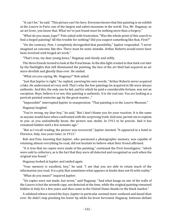"It can't be," he said. "This picture can't be here. Everyone knows that this painting is on exhibit at the Louvre in Paris, one of the largest and safest museums in the world. You, Mr. Huganay, as an art lover, you know that. What we've just found must be nothing more than a forgery."

"What do you mean, Jupe?" Pete asked with frustration. "Was the whole point of this search to find a forged painting? All this trouble for nothing? Did you suspect something like that, First?"

"On the contrary, Pete. I completely disregarded that possibility," Jupiter responded. "I never imagined an outcome like this. There must be some mistake. Arthur Roberts would never have been involved with forged art work."

"That's true, my dear young Jones," Huganay said slowly and softly.

The three friends turned to look at the Frenchman. In the dim light created in that dark corridor by the flashlights that still illuminated the painting, the face of the art thief had acquired an air more devilish and ghostly than ever. He smiled.

"What are you saying, Mr. Huganay?" Bob asked.

"Just that Jupiter is right," he replied, savoring his own words. "Arthur Roberts never acquired a fake. He understood art very well. That's why the few paintings he acquired in life were always authentic. And this, the only one he hid, and for which he paid a considerable fortune, was not an exception. Boys, believe it or not, this painting is authentic. It is *the* real one. You are looking at a portrait painted centuries ago by the great master..."

"Impossible!" interrupted Jupiter in exasperation. "That painting is in the Louvre Museum."

Huganay laughed.

"You're wrong, my dear boy," he said. "But I don't blame you for your reaction. It is the same as anyone would have when confronted with the surprising truth. And now, permit me to explain to you: as you undoubtedly know, the picture was stolen. In 1911 to be precise. And it has remained hidden until a few minutes ago."

"But as I recall reading, the picture was recovered," Jupiter insisted. "It appeared in a hotel in Florence, Italy, two years later, in 1913."

Bob and Pete, knowing that Jupiter, who possessed a photographic memory, was capable of retaining almost everything he read, did not hesitate to believe what their friend affirmed.

"It is true that six copies were made of the painting," continued the First Investigator, "which were sold to collectors, as is the fact that they were all detected and recognized as such when the original was found."

Huganay looked at Jupiter and smiled again.

"Your memory is excellent, boy," he said. "I see that you are able to retain much of the information you read. It is a pity that sometimes what appears in books does not fit with reality."

"What do you mean?" inquired Jupiter.

"Six copies were not made, but seven," said Huganay. "And what hangs on one of the walls of the Louvre is but the seventh copy, not detected at the time, while the original painting remained hidden in Italy for a few years and then came to the United States thanks to the black market."

A subdued silence seized the boys. Jupiter in particular seemed more confused and dazed than ever. He didn't stop pinching his lower lip while his brow furrowed. Huganay, between defiant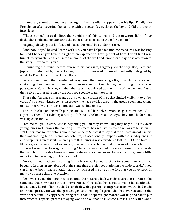and amused, stared at him, never letting his ironic smile disappear from his lips. Finally, the Frenchman, after covering the painting with the cotton layer, closed the box and slid the latches into place.

"That's better," he said. "Both the humid air of this tunnel and the powerful light of our flashlights could end up damaging the paint if it is exposed to them for too long."

Huganay slowly got to his feet and placed the metal box under his arm.

"And now, boys," he said, "come with me. You have helped me find the treasure I was looking for, and I believe you have the right to an explanation. Let's get out of here. I don't like these tunnels very much. Let's return to the mouth of the well and, once there, pay close attention to the story I have to tell you."

Illuminating the tunnel before him with his flashlight, Huganay led the way. Bob, Pete and Jupiter, still stunned by the truth they had just discovered, followed obediently, intrigued by what the Frenchman had yet to tell them.

Quietly, the three of them made their way down the tunnel single file, through the dark room containing door number thirteen, and then returned to the wishing well through the narrow passageway. Carefully, they climbed the steps that spiraled up the inside of the well and found themselves gathered again by the parapet a couple of minutes later.

There the fog was still present as a slow, lazy curtain of mist that limited visibility to a few yards. As a silent witness to his discovery, the haze swirled around the group seemingly trying to listen secretly to as much as Huganay was willing to say.

The art thief sat on the well's parapet and, with deliberately slow and elegant movements, lit a cigarette. Then, after exhaling a wide puff of smoke, he looked at the boys. They stood before him, waiting expectantly.

"Let me tell you a story whose beginning you already know," Huganay began. "As my dear young Jones well knows, the painting in this metal box was stolen from the Louvre Museum in 1911. I will not go into details about that robbery. Suffice it to say that for a professional like me that was nothing but a second-rate job. But, as occasionally happens with the shoddy ones, it ended up being successful. For two years this painting was considered lost. In 1913, in a hotel in Florence, a copy was found so perfect, masterful and sublime, that it deceived the whole world and was taken to be the original painting. That copy was painted by a man whose name is beside the point but whom, due to one of those mysterious circumstances that occurs in life, I met a little more than ten years ago, on his deathbed.

"At that time, I had been working in the black-market world of art for some time, and I had begun to fashion an enviable and at the same time dreaded reputation in the underworld. As you can imagine, boys, that reputation has only increased in spite of the fact that you have stood in my way on more than one occasion.

"As I was saying, the person who painted the picture which was discovered in Florence (the same one that now hangs in the Louvre Museum) revealed his secret to me on his deathbed. I had not only heard of him, but had even dealt with a pair of his forgeries, from which I had made enormous profits. He was the greatest genius at making forgeries that had ever existed in the world at the time. To copy the painting in this box, he spent eight months working and had to put into practice a special process of aging wood and oil that he invented himself. The result was a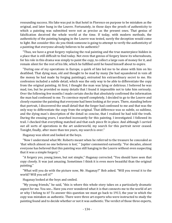resounding success. His fake was put in that hotel in Florence on purpose to be mistaken as the original, and later hung in the Louvre. Fortunately, in those days the proofs of authenticity to which a painting was submitted were not as precise as the present ones. That genius of falsification deceived the whole world at the time. If today, with modern methods, the authenticity of the painting hanging in the Louvre was tested, surely the deception would come to light. But consider this: do you think someone is going to attempt to verify the authenticity of a painting that everyone already believes to be authentic?

"Thus, we have a great forgery replacing the real painting and the true masterpiece hidden in a place that is still difficult to find today. Not even that genius of forgery knew its whereabouts, for his role in this drama was simply to paint the copy, to collect a large sum of money for it, and remain silent for the rest of his life, which he fulfilled until he found himself about to expire.

"During one of my operations in Europe, a quirk of fate led me to be alone with him on his deathbed. That dying man, old and thought to be mad by many (he had squandered in vain all the money he had made by forging paintings), entrusted his extraordinary secret to me. His confession included a subtle detail, which was the only way to be able to differentiate the copy from the original painting. At first, I thought the man was lying or delirious. I believed he was mad, too, but he provided so many details that I found it impossible not to take him seriously. Over the following few months I made certain checks that absolutely confirmed the information the man had confessed to me. To convince myself completely, I decided to go to the Louvre and closely examine the painting that everyone had been looking at for years. There, standing before that portrait, I discovered the small detail that the forger had confessed to me and that was the only way to differentiate the copy from the original. That difference was so subtle, so sublime, and the dying man's description of the detail so concise, that I realized he had told the truth. During the ensuing years, I searched incessantly for this painting. I investigated. I followed its trail. I checked that everything matched and that each piece fit in place. And although I carried out all sorts of operations in the art underworld, my search for this portrait never ceased. Tonight, finally, after more than ten years, my search is over."

Huganay was silent and looked at the boys.

"Now I understand what Mr. Roberts meant when he referred to the treasure he concealed as 'that which almost no one believes is lost,' " Jupiter commented earnestly. "For decades, almost everyone has believed that this painting was still hanging in the Louvre without even suspecting that it was a simple forgery."

"A forgery yes, young Jones, but not simple," Huganay corrected. "You should have seen that copy closely. It was just amazing. Sometimes I think it is even more beautiful than the original painting."

"What will you do with the picture now, Mr. Huganay?" Bob asked. "Will you reveal it to the world? Will you sell it?"

Huganay looked at the boys and smiled.

"My young friends," he said, "this is where this whole story takes on a particularly dramatic aspect for me. You see... Have you ever wondered what it is that connects me to the world of art or why I belong to it? To answer this question we must go back to 1913, the year in which the copy was mistaken as authentic. There were three art experts who were instructed to study the painting found and to decide whether or not it was authentic. The verdict of those three experts,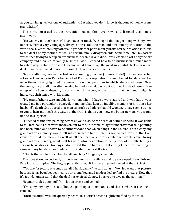as you can imagine, was one of authenticity. But what you don't know is that one of them was my grandfather."

The boys, surprised at this revelation, raised their eyebrows and listened even more attentively.

"He was my mother's father," Huganay continued. "Although I did not get along with my own father, I, from a very young age, always appreciated the man and owe him my initiation in the world of art. Years later, my father and grandfather permanently broke off their relationship, due to the death of my mother, as well as certain family disagreements. Some time later my father was ruined trying to set up an art business, became ill and died. I was left alone with only the art company and a bankrupt family business. Soon I learned how to do business in a much more lucrative way in that world and I became what I am today: the most successful black-market art dealer (we do not need to use the word thief) on three continents.

"My grandfather, meanwhile, had correspondingly become (ironies of fate!) the most respected art expert not only in Paris but in all of France, a reputation he maintained for decades. He, nevertheless, always ignored the true nature of the operations to which I dedicated myself. Over the years, my grandfather died leaving behind an enviable reputation. At his death, one of the wings of the Louvre Museum, the one in which the copy of the portrait that we found tonight is hung, was christened with his name.

"My grandfather's wife, an elderly woman whom I have always adored and who has always treated me in a particularly benevolent manner, has kept an indelible memory of him since her husband's death. She adored that man as much as I adore that old woman. It may seem strange to you to hear me speak this way, but the truth is that if you knew me better perhaps you would not be so surprised.

"I needed to find this painting before anyone else. At the death of Arthur Roberts, it was liable to fall into hands that were inconvenient to me. If it came to light tomorrow that this painting had been found and shown to be authentic and that which hangs in the Louvre is but a copy, my grandfather's memory would fall into disgrace. That in itself is not so bad for me. But I am convinced that the news, as well as all the scandal and disrepute that would come to my grandfather's memory, would kill his wife, who, in addition to being very old, is affected by a serious heart disease. No, boys, I don't want that to happen. That is why I need this painting to remain in my hands, at least while my grandmother is still alive.

"That is the whole story I had to tell you, boys," Huganay concluded.

The boys stared expectantly at the Frenchman as the silence and fog enveloped them. Bob and Pete looked at Jupiter. The boy, apparently calm, bit his lower lip and looked at the art thief.

"You are forgetting one small detail, Mr. Huganay," he said at last. "We also want that picture, because it has been bequeathed to our client. You and I made a deal to find the picture. Now that it's found, I understand that the deal has expired. So now I beg you to give us the painting."

Huganay took a deep puff from his cigarette and smiled.

"I'm sorry, my boy," he said, "but the painting is in my hands and that is where it is going to remain."

"Until it's ours," was unexpectedly heard, in a British accent slightly muffled by the mist.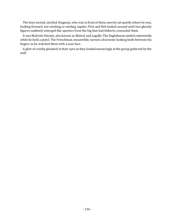The boys turned, startled. Huganay, who was in front of them, merely sat quietly where he was, looking forward, not smoking or smiling. Jupiter, Pete and Bob looked around until two ghostly figures suddenly emerged like specters from the fog that had hitherto concealed them.

It was Malcolm Sinclair, also known as *Mylord*, and Lagalle. The Englishman smiled contentedly while he held a pistol. The Frenchman, meanwhile, turned a fearsome-looking knife between his fingers as he watched them with a sour face.

A glint of cruelty gleamed in their eyes as they looked menacingly at the group gathered by the well.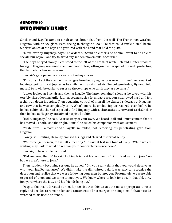# Chapter 19 Into Enemy Hands

Sinclair and Lagalle came to a halt about fifteen feet from the well. The Frenchman watched Huganay with an icy glare. Pete, seeing it, thought a look like that could rattle a steel beam. Sinclair looked at the boys and gestured with the hand that held the pistol.

"Move over by Huganay, boys," he ordered. "Stand on either side of him. I want to be able to see all four of you. And try to avoid any sudden movements, of course."

The boys obeyed slowly. Pete stood to the left of the art thief while Bob and Jupiter stood to his right. Huganay remained silent and motionless, sitting on the parapet of the well, protecting the flat metallic box in his arms.

Sinclair's gaze passed across each of the boys' faces.

"I'm sorry I kept the scent of my cologne from betraying my presence this time," he remarked, looking significantly at Jupiter as he smiled with a satisfied air. "No cologne today, *Mylord*, I told myself. So it will be easier to surprise those chaps who think they are so smart."

Jupiter looked at Sinclair and then at Lagalle. The latter remained silent as he toyed with his terribly sharp-looking knife. Jupiter, seeing such a formidable weapon, swallowed hard and felt a chill run down his spine. Then, regaining control of himself, he glanced sideways at Huganay and saw that he was completely calm. What's more, he smiled. Jupiter realized, even before he looked at him, that he had expected to find Huganay with such an attitude, nerves of steel. Sinclair then looked at Huganay and aimed his pistol at him.

"Hello, Huganay," he said. "A true story of your own. We heard it all and I must confess that it has moved us both. Isn't that right, Henri?" he asked his companion with amusement.

"Yeah, sure. I almost cried," Lagalle mumbled, not removing his penetrating gaze from Huganay.

Slowly, still smiling, Huganay crossed his legs and cleared his throat gently.

"Welcome, gentlemen, to this little meeting," he said at last in a tone of irony. "While we are waiting, may I ask to what do we owe your honorable presence here?"

Sinclair, in turn, smiled amused.

"Did you hear, Henri?" he said, looking briefly at his companion. "Our friend wants to joke. Too bad we aren't here to joke."

Then, suddenly becoming serious, he added, "Did you really think that you would deceive us with your ineffectual ruses? We didn't take the dim-witted bait. It was easy to recognize the deception and realize that we were following your men but not you. Fortunately, we were able to get rid of them and we came to meet you. We knew where to look for you. In that old, dirty junkyard where the fatty and his friends hang out."

Despite the insult directed at him, Jupiter felt that this wasn't the most appropriate time to reply and decided to remain silent and concentrate all his energies on being alert. Bob, at his side, watched as his friend stiffened.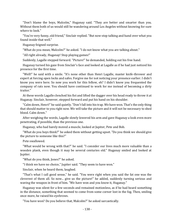"Don't blame the boys, Malcolm," Huganay said. "They are better and smarter than you. Without them both of us would still be wandering around Los Angeles without knowing for sure where to look."

"You're very funny, old friend," Sinclair replied. "But now stop talking and hand over what you found inside that well."

Huganay feigned surprise.

"What do you mean, Malcolm?" he asked. "I do not know what you are talking about."

"All right already, Huganay! Stop playing games!"

Suddenly, Lagalle stepped forward. "Picture!" he demanded, holding out his free hand.

Huganay turned his gaze from Sinclair's face and looked at Lagalle as if he had just noticed his presence for the first time.

"Well!" he said with a smile. "It's none other than Henri Lagalle, master knife-thrower and expert at forcing open locks and safes. Forgive me for not noticing your presence earlier. I didn't know you were here. So now you work for this fellow, eh? I didn't know you frequented the company of rats now. You should have continued to work for me instead of becoming a dirty traitor."

At these words Lagalle clenched his fist and lifted the dagger over his head ready to throw it at Huganay. Sinclair, however, stepped forward and put his hand on his shoulder.

"Calm down, Henri!" he said quietly. "Don't fall into his trap. We have won. That's the only thing that should matter to you right now. We will take the picture and it will not be necessary to shed blood. Calm down."

After weighing the words, Lagalle slowly lowered his arm and gave Huganay a look even more penetrating, if possible, than the previous one.

Huganay, who had barely moved a muscle, looked at Jupiter, Pete and Bob.

"What do you boys think?" he asked them without getting upset. "Do you think we should give the picture to someone like this?"

Pete swallowed.

"What would be wrong with that?" he said. "I consider our lives much more valuable than a wooden plank, even though it may be several centuries old." Huganay smiled and looked at Jupiter.

"What do you think, Jones?" he asked.

"I think we have no choice," Jupiter said. "They seem to have won."

Sinclair, when he heard them, laughed.

"That's what I call good sense," he said. "You were right when you said the fat one was the cleverest of them all. So now... give us the picture!" he added, suddenly turning serious and waving the weapon in front of him. "We have won and you know it, Huganay."

Huganay was silent for a few seconds and remained motionless, as if he had heard something in the distance, something that seemed to come from some corner lost in the fog. Then, smiling once more, he raised his eyebrows.

"You have won? Do you believe that, Malcolm?" he asked sarcastically.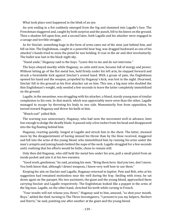What took place next happened in the blink of an eye.

An arm ending in a fist suddenly emerged from the fog and slammed into Lagalle's face. The Frenchman staggered and, caught by both surprise and the punch, fell to his knees on the ground. Then a shadow fell upon him, and a second later, both Lagalle and his attacker were engaged in a savage and terrible struggle.

As for Sinclair, something huge in the form of arms came out of the mist, just behind him, and fell on him. The Englishman, caught in a powerful bear hug, was dragged backward as one of his attacker's hands tried to seize the pistol he was holding. It rose in the air and shot involuntarily. The bullet was lost in the black night sky.

"Stand aside," Huganay said to the boys. "Leave this to me and do not intervene."

The boys obeyed meekly while Huganay, so calm until now, became full of energy and power. Without letting go of the flat metal box, held firmly under his left arm, he stepped forward and struck a formidable kick against Sinclair's armed hand. With a groan of pain, the Englishman opened his hand and the weapon, propelled by Huganay's kick, was lost in the night. Disarmed, Sinclair fell to the ground as his first attacker sat on him. This one, a big man who doubled the thin Englishman's weight, only needed a few seconds to leave the latter completely immobilized on the ground.

Lagalle, in the meantime, was struggling with his attacker, a blond, sturdy young man of similar complexion to his own. In that match, which was appreciably more even than the other, Lagalle managed to escape by throwing his body to one side. Momentarily free from opposition, he turned toward Huganay and threw his knife at him.

"Watch out!" yelled Bob.

The warning was unnecessary. Huganay, who had seen the movement well in advance, bent low enough to dodge the deadly blade. It passed only a few inches from his head and disappeared into the fog floating behind him.

Huganay, reacting quickly, lunged at Lagalle and struck him in the chest. The latter, stunned more by the disappointment of having missed his throw than by the blow received, staggered and fell into the arms of the young blond, who immobilized him by running his arms under the man's armpits and joining hands behind the nape of the neck. Lagalle struggled for a few seconds until, realizing that his efforts would be futile, chose to remain still.

Only then did Huganay, who still held the metal box under his arm, pull a small pistol from an inside pocket and aim it at his two enemies.

"Good work, gentlemen," he said, praising his men. "Bring them here. And you two, don't move. You both know that, although I detest weapons, I know very well how to use them."

Keeping his aim on Sinclair and Lagalle, Huganay returned to Jupiter, Pete and Bob, who at his suggestion had remained motionless near the well during the fray. Smiling with irony, he sat down again on the parapet. His two assistants, the giant and the young blond, approached them carrying Sinclair and Lagalle respectively. The Englishman looked like a puppet in the arms of the big man. Lagalle, on the other hand, clenched his teeth while cursing in French.

"Your insults will not release you, Henri," Huganay said to him, amused, "so shut your mouth. Boys," added the thief, turning to The Three Investigators, "I present to you my helpers, Norbert and Harris," he said, pointing one after another at the giant and the young blond.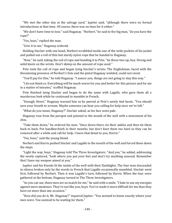"We met the other day at the salvage yard," Jupiter said, "although there were no formal introductions at that time. Of course, there was no time for it either."

"We don't have time to lose," said Huganay. "Norbert," he said to the big man, "do you have the rope?"

"Yes, boss," replied the man.

"Give it to me," Huganay ordered.

Holding Sinclair with one hand, Norbert scrabbled inside one of the wide pockets of his jacket and pulled out a roll of thin but sturdy nylon rope that he handed to Huganay.

"Now," he said, taking the coil of rope and handing it to Pete, "tie those two up, boy. Strong and solid knots on the wrists. Don't skimp on the amount of rope used."

Pete took the coil of rope and began tying Sinclair's wrists. The Englishman, faced with the threatening presence of Norbert's fists and the pistol Huganay wielded, could not resist.

"You'll pay for this," he told Huganay. "I assure you, things are not going to stay this way."

"I do not think so. Everything will be much worse for you and better for this picture and for me in a matter of minutes," scoffed Huganay.

Pete finished tying Sinclair and began to do the same with Lagalle, who gave them all a murderous look while he continued to mumble in French.

"Enough, Henri," Huganay warned him as he peered at Pete's newly tied knots. "You should save your breath to scream. Maybe someone can hear you calling for help once we've left."

"What do you mean, Huganay?" Sinclair asked, as his face went pale.

Huganay rose from the parapet and pointed to the mouth of the well with a movement of his chin.

"Take them down," he ordered his men. "Once down there, tie their ankles and then tie them back to back. Put handkerchiefs in their mouths, but don't knot them too hard so they can be removed after a while and call for help. I leave that detail to you, Harris."

"Yes, boss," said the young blond.

Norbert and Harris pushed Sinclair and Lagalle to the mouth of the well and forced them down the steps.

"Light the way, boys," Huganay told The Three Investigators. "And you," he added, addressing the newly captured, "look where you put your feet and don't try anything unusual. Remember that I have my weapon aimed at you."

Jupiter and his friends lit the inside of the well with their flashlights. The four men descended in silence broken only by the words in French that Lagalle occasionally mumbled. Sinclair went first, followed by Norbert. Then it was Lagalle's turn, followed by Harris. When the four were gathered at the bottom, Huganay turned to The Three Investigators.

"As you can see, these men are no match for me," he said with a smile. "I hate to use my energies against mere amateurs. They're not like you, boys. You've made it more difficult for me than they have on more than one occasion."

"How did you do it, Mr. Huganay?" inquired Jupiter. "You seemed to know exactly where your men were. You seemed to be waiting for them."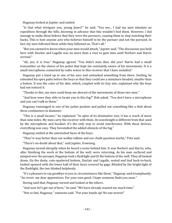Huganay looked at Jupiter and smiled.

"Is that what intrigues you, young Jones?" he said. "You see... I had my men simulate an expedition through the hills, knowing in advance that this wouldn't fool them. However, I did manage to make them believe that they were the pursuers, causing them to stop watching their backs. This is how anyone acts who believes himself to be the pursuer and not the pursued. In fact, my men followed them while they followed us. That's all."

"But you seemed to know when your men would attack," Jupiter said. "The discussion you held here with Sinclair and Lagalle was no more than a ruse to gain time until Norbert and Harris arrived."

"Ah, yes, it is true," Huganay agreed. "You didn't miss that, did you? Harris had a small transmitter on the sleeve of his jacket that kept me constantly aware of his movements. It is a small microphone connected by radio waves to this receiver that I have installed."

Huganay put a hand up to one of his ears and unhooked something from there. Smiling, he extended his open palm before the boys so that they could see a miniature headset, smaller than a button. It was the color of his skin, which, coupled with its tiny size, explained why the boys had not noticed it.

"Thanks to this, my men could keep me abreast of the movements of those two men."

"And how were they able to locate you in this fog?" Bob asked. "You don't have a microphone and you can't talk to them."

Huganay rummaged in one of his jacket pockets and pulled out something like a disk about three centimeters in diameter.

"This is a small locator," he explained. "In spite of its diminutive size, it has a reach of more than nine miles. My men carry the receiver with them. Its wavelength is different from that used by the microphone and headset. It's the only way to avoid interference. With these devices, everything was easy. They forestalled the added obstacle of the fog."

Huganay smiled at the astonished faces of the boys.

"They're way better than our walkie-talkies and our chalk question marks," Pete said.

"There's no doubt about that," said Jupiter, frowning.

Huganay turned abruptly when he heard a noise behind him. It was Norbert and Harris, who, after finishing the work at the bottom of the well, were returning. As his men surfaced and jumped over the parapet, Huganay took a flashlight and lit the bottom of the well. They all looked down. On the dusty, coin-spattered bottom, Sinclair and Lagalle, seated and tied back-to-back, looked upward with the lower half of their faces covered by gags. Blinded by the bright light of the flashlight, the two blinked helplessly.

"It's a pleasure to say goodbye to you in circumstances like these," Huganay said triumphantly. "*Au revoir*, my dear apprentices. For your own good, I hope someone finds you soon."

Having said that, Huganay turned and looked at the others.

"And now let's get out of here," he said. "We have already wasted too much time."

"Not so fast, Huganay," someone said. "Put your hands up! No one moves!"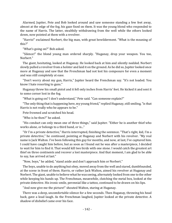Alarmed, Jupiter, Pete and Bob looked around and saw someone standing a few feet away, almost at the edge of the fog, his gaze fixed on them. It was the young blond who responded to the name of Harris. The latter, stealthily withdrawing from the well while the others looked down, now pointed at them with a revolver.

"Harris!" exclaimed Norbert, the big man, with great bewilderment. "What is the meaning of this?"

"What's going on?" Bob asked.

"Silence!" the blond young man ordered sharply. "Huganay, drop your weapon. You too, Norbert."

The giant, hesitating, looked at Huganay. He looked back at him and silently nodded. Norbert slowly pulled a revolver from a holster and laid it on the ground. As he did so, Jupiter looked once more at Huganay and saw that the Frenchman had not lost his composure for even a moment and was still completely at ease.

"Don't worry about my gun, Harris," Jupiter heard the Frenchman say. "It's not loaded. You know I hate resorting to guns."

Huganay threw his small pistol and it fell only inches from Harris' feet. He kicked it and sent it to some corner lost in the fog.

"What is going on? I don't understand," Pete said. "Can someone explain?"

"The only thing that is happening here, my young friend," replied Huganay, still smiling, "is that Harris is not really who he appears to be."

Pete frowned and scratched his head.

"Who is he then?" he asked.

"His conduct can only mean one of three things," said Jupiter. "Either he is another thief who works alone, or belongs to a third band, or is..."

"Or I'm a private detective," Harris interrupted, finishing the sentence. "That's right, kid, I'm a private detective," he continued, pointing at Huganay and Norbert with his revolver. "My real name is Jack Walton. I've been following this guy for months, and now, at last, I've captured him. I could have caught him before, but as soon as I found out he was after a masterpiece, I decided to wait for him to find it. That would kill two birds with one stone. I would catch the greatest art thief on three continents and recover a lost masterpiece. And that moment, I am glad to be able to say, has arrived at last."

"Now, boys," he added, "stand aside and don't approach him or Norbert."

The boys, unable to do anything but obey, moved away from the well and stared, dumbfounded, at the scene in front of them. Harris, or rather Jack Walton, aimed his revolver at Huganay and Norbert. The giant, unable to believe what he was seeing, alternately looked from one to the other while keeping his hands up. The Frenchman, meanwhile, clutching the metal box, looked at the private detective. His ironic smile, perennial like a tattoo, continued to be drawn on his lips.

"And now give me the picture!" shouted Walton, staring at Huganay.

There was a deep, uncomfortable silence for a few seconds. Then Huganay, throwing his head back, gave a loud laugh. As the Frenchman laughed, Jupiter looked at the private detective. A shadow of disbelief came over his face.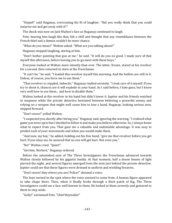"Stupid!" said Huganay, overcoming his fit of laughter. "Did you really think that you could surprise me and get away with it?"

The shock was now on Jack Walton's face as Huganay continued to laugh.

Pete, hearing him laugh like that, felt a chill and thought that any resemblance between the French thief and a demon couldn't be mere chance.

"What do you mean?" Walton asked. "What are you talking about?"

Huganay stopped laughing, staring at him.

"Don't bother pointing that gun at me," he said. "It will do you no good. I made sure of that myself this afternoon, before leaving you to go meet with these boys."

Everyone looked at Walton more intently than ever. The latter, frozen, stared at his revolver for a second, then returned to stare at the Frenchman.

"It can't be," he said. "I loaded this revolver myself this morning. And the bullets are still in it. Unless, of course, you force me to use them."

"That revolver is crippled, imbecile," Huganay replied serenely. "I took care of it myself. If you try to shoot it, chances are it will explode in your hand. As I said before, I hate guns, but I know very well how to use them... and how to disable them."

Walton looked at the revolver in his hand but didn't lower it. Jupiter and his friends watched in suspense while the private detective hesitated between believing a powerful enemy and relying on a weapon that might well cause him to lose a hand. Huganay, looking serious now, stepped forward.

"Don't move!" yelled Walton.

"I suspected you shortly after hiring you," Huganay said, ignoring the warning. "I realized what game you were up to but I decided to follow it and make you believe otherwise. So, I always knew what to expect from you. That gave me a valuable and undeniable advantage. It was easy to predict each of your movements and when you would make them.

"And now, my boy," he added, holding out his free hand, "give me that revolver before you get hurt. If you obey me, be assured that no one will get hurt. Not even you."

"No!" Walton cried. "Quiet!"

"Get him, Norbert," Huganay ordered.

Before the astonished eyes of The Three Investigators the Frenchman advanced towards Walton closely followed by his gigantic buddy. At that moment, half a dozen beams of light pierced the night, and several figures emerged from the mist just behind the private detective. Jupiter could see that these figures were dressed in uniform and wielding firearms.

"Don't move! Stay where you are! Police!" shouted a voice.

The boys turned to the spot where the voice seemed to come from. A human figure appeared to take shape there. Then, when it finally broke through a thick patch of fog, The Three Investigators could see a face well-known to them. He looked at them severely and gestured to them to step aside.

"Golly!" exclaimed Pete. "Chief Reynolds!"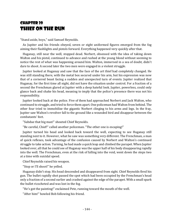### Chapter 20 Thief on the Run

"Stand aside, boys," said Samuel Reynolds.

As Jupiter and his friends obeyed, seven or eight uniformed figures emerged from the fog aiming their flashlights and pistols forward. Everything happened very quickly after that.

Huganay, still near the well, stopped dead. Norbert, obsessed with the idea of taking down Walton and his pistol, continued to advance and rushed at the young blond without seeming to notice the rest of what was happening around him. Walton, immersed in a sea of doubt, didn't dare to shoot. A second later the two men were engaged in a violent struggle.

Jupiter looked at Huganay and saw that the face of the art thief had completely changed. He was still standing there, with the metal box secured under his arm, but his expression was now that of a cornered beast facing a sudden and unexpected turn of events. Jupiter realized that Huganay, for the first time all night, did not have the situation under control. For a fraction of a second the Frenchman glared at Jupiter with a deep hateful look. Jupiter, powerless, could only glance back and shake his head, meaning to imply that the police's presence there was not his responsibility.

Jupiter looked back at the police. Five of them had approached Norbert and Jack Walton, who continued to struggle, and tried to force them apart. One policeman had Walton from behind. The other four tried to immobilize the gigantic Norbert clinging to his arms and legs. In the fray, Jupiter saw Walton's revolver fall to the ground like a wounded bird and disappear between the combatants' feet.

"Subdue that big man!" shouted Chief Reynolds.

"Be careful, Chief!" called another policeman. "The other one is escaping!"

Jupiter turned his head and looked back toward the well, expecting to see Huganay still standing next to it. However, what he saw was something very different. The Frenchman, a man of quick reflexes, took advantage of the confusion caused by Norbert and Walton's continued struggle to take action. Turning, he had made a quick leap and climbed the parapet. When Jupiter looked over, all that he could see of Huganay was the upper half of his body disappearing rapidly into the well. The Frenchman, even at the risk of falling into the void, went down the steps two at a time with suicidal speed.

Chief Reynolds raised his weapon.

"Stop or I'll shoot!" he yelled.

Huganay didn't stop. His head descended and disappeared from sight. Chief Reynolds fired his gun. The bullet rapidly shot passed the spot which had been occupied by the Frenchman's head only a fraction of a second earlier and crashed against the edge of the parapet. With a small spark the bullet ricocheted and was lost in the fog.

"He's got the painting!" exclaimed Pete, running toward the mouth of the well.

"After him!" howled Bob following his friend.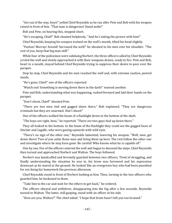"Get out of the way, boys!" yelled Chief Reynolds as he ran after Pete and Bob with his weapon raised in front of him. "That man is dangerous! Stand aside!"

Bob and Pete, on hearing this, stopped short.

"He's escaping, Chief!" Bob shouted helplessly. "And he's taking the picture with him!"

Chief Reynolds, keeping his weapon trained on the well's mouth, tilted his head slightly.

"Fenton! Murray! Arnold! Surround the well!" he shouted to his men over his shoulder. "The rest of you, keep that big man still!"

While four of the policemen were subduing Norbert, the three officers called by Chief Reynolds circled the well and slowly approached it with their weapons drawn, ready to fire. Pete and Bob, heart in a mouth, stayed behind Chief Reynolds trying to suppress their desire to peer over the parapet.

Step by step, Chief Reynolds and his men reached the well and, with extreme caution, peered inside.

"He's gone, Chief!" one of the officers reported.

"Watch out! Something is moving down there in the dark!" warned another.

Pete and Bob, understanding what was happening, rushed forward and laid their hands on the parapet.

"Don't shoot, Chief!" shouted Pete.

"There are two men tied and gagged down there," Bob explained. "They are dangerous criminals but they are unarmed. Don't shoot!"

One of the officers walked the beam of a flashlight down to the bottom of the shaft.

"The boys are right, boss," he reported. "There are two guys tied up down there."

They all looked to the bottom. In the beam of the flashlight they could see the gagged faces of Sinclair and Lagalle, who were gazing upwards with wild eyes.

"There's no sign of the other one," Reynolds lamented, lowering his weapon. "Well, men, get down there! Two of you untie those men and bring them up here. The rest follow the other one and investigate where he may have gone. Be careful! Who knows what he is capable of!"

One by one, five of the officers entered the well and began to descend the steps. Chief Reynolds then turned and approached Norbert and Walton. The boys followed.

Norbert was handcuffed and fervently guarded between two officers. Tired of struggling, and finally understanding the situation he was in, his brow was furrowed and his expression downcast as he stared at the ground. He looked like an overgrown boy who had been punished for not doing his homework the previous afternoon.

Chief Reynolds stood in front of Norbert looking at him. Then, turning to the two officers who guarded him, he beckoned to them.

"Take him to the car and wait for the others to get back," he ordered.

The officers obeyed and withdrew, disappearing into the fog after a few seconds. Reynolds turned to Walton. The latter, still gasping, stood with an officer at his side.

"How are you, Walton?" The chief asked. "I hope that brute hasn't left you too bruised."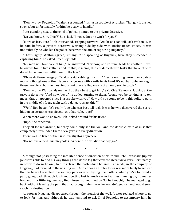"Don't worry, Reynolds," Walton responded. "It's just a couple of scratches. That guy is darned strong, but unfortunately for him he's easy to handle."

Pete, standing next to the chief of police, pointed to the private detective.

"Do you know him, Chief?" he asked. "I mean, does he work for you?"

"More or less, Pete," Bob intervened, stepping forward. "As far as I can tell, Jack Walton is, as he said before, a private detective working side by side with Rocky Beach Police. It was undoubtedly he who led the police here with the aim of capturing Huganay."

"That's right," Walton agreed, smiling. "And speaking of Huganay, have they succeeded in capturing him?" he asked Chief Reynolds.

"My men will take care of him," he answered. "For now, one criminal leads to another. Down below we found two ruffians tied up that, it seems, also are dedicated to tasks that have little to do with the punctual fulfillment of the law."

"Oh, yeah, those two guys," Walton said, rubbing his chin. "They're nothing more than a pair of morons, though one of them is very dangerous with a knife in his hand. It's not bad to have caught those two birds, but the most important piece is Huganay. Not an easy sort to catch."

"Don't worry, Walton. My men will do their best to get him," said Chief Reynolds, looking at the private detective. "And now, boys," he added, turning to them, "would you be so kind as to tell me all that's happened since I last spoke with you? How did you come to be in this solitary park in the middle of a foggy night with a dangerous art thief?"

"Well," Bob began, "it's really Jupe who can best tell it all. It was he who discovered the secret hidden on certain chess pieces. Isn't that right, Jupe?"

When there was no answer, Bob looked around for his friend.

"Jupe?" he repeated.

They all looked around, but they could only see the well and the dense curtain of mist that completely surrounded them a few yards in every direction.

There was no trace of the First Investigator anywhere!

"Darn!" exclaimed Chief Reynolds. "Where the devil did that boy go?"

• • •

Although not possessing the infallible sense of direction of his friend Pete Crenshaw, Jupiter Jones was able to find his way through the dense fog that covered Oceanview Park. Fortunately, in order to do so he only had to retrace the path which he and his friends, in the company of Huganay, had traveled to the wishing well. And although Jupiter Jones was more likely to get lost than to be well oriented in a solitary park overrun by fog, the truth is, when you've followed a path, going back through it without getting lost is much easier than just moving on, no matter how much or little fog one may find himself surrounded by. So, he thought, if he managed to go back without leaving the path that had brought him there, he wouldn't get lost and would soon reach his destination.

As soon as Huganay disappeared through the mouth of the well, Jupiter realized where to go to look for him. And although he was tempted to ask Chief Reynolds to accompany him, he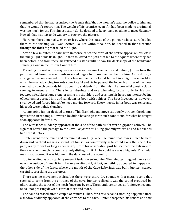remembered that he had promised the French thief that he wouldn't lead the police to him and that he wouldn't report him. The weight of his promise, even if it had been made to a criminal, was too much for the First Investigator. So, he decided to keep it and go alone to meet Huganay. Now all that was left to do was try to retrieve the picture.

He remembered mentally, more or less, where the statue of the pioneer whose stare had led them to the wishing well was located. So, not without caution, he headed in that direction through the thick fog that filled the night.

After a few minutes, he saw, with immense relief, the form of the statue appear on his left in the milky light of his flashlight. He then followed the path that led to the square where they had been before, and from there, he retraced his steps until he saw the dark shape of the bandstand standing alone in the mist in front of him.

Traveling the rest of the way was even easier. Leaving the bandstand behind, Jupiter took the path that led from the south entrance and began to follow the trail before him. As he did so, a strange sensation assailed him. For a few moments, he found himself in a nightmare world in which he was advancing towards some fateful end. As he passed, the lower branches of the trees seemed to stretch towards him, appearing suddenly from the mist like powerful ghostly claws seeking to ensnare him. The silence, absolute and overwhelming, broken only by his own footsteps, felt like a huge stone pressing his shoulders and crushing his heart. An intense feeling of helplessness seized him and ran down his body with a shiver. The First Investigator, however, swallowed and forced himself to keep moving forward. Every muscle in his body was tense and his teeth were tightly clenched.

At one point, Jupiter decided to turn off his flashlight and move cautiously through the gloomy light of the streetlamps. However, he didn't have to go far in such conditions, for what he sought soon appeared before him.

The wire fence suddenly appeared at the side of the path as if it were a gigantic cobweb. The sign that barred the passage to the Cave-Labyrinth still hung gloomily where he and his friends had seen it before.

Jupiter went to the fence and examined it carefully. When he found that it was intact, he bent down and, without making a sound, set himself as comfortably as he could along the side of the path, ready to wait as long as necessary. From his observation post he scanned the entrance to the cave, even though he could scarcely distinguish it. All he could see was a big hole. The metal mesh that covered it was hidden in the darkness of the opening.

Jupiter waited as a disturbing sense of isolation seized him. The minutes dragged like a snail over the surface of time. It felt like an eternity until, at last, something appeared to happen on the other side of the fence, where the mouth of the Cave-Labyrinth was built. Jupiter listened carefully, searching the darkness.

There was no movement at first, but there were short, dry sounds with a metallic tone that seemed to come from the entrance of the cave. Jupiter realized it was the sound produced by pliers cutting the wires of the mesh fence one by one. The sounds continued as Jupiter, expectant, felt a knot pressing down his throat more and more.

The sounds ceased after a couple of minutes. Then, for a few seconds, nothing happened until a shadow suddenly appeared at the entrance to the cave. Jupiter sharpened his senses and saw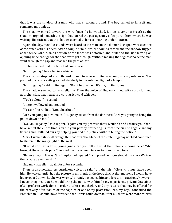that it was the shadow of a man who was sneaking around. The boy smiled to himself and remained motionless.

The shadow moved toward the wire fence. As he watched, Jupiter caught his breath as the shadow stopped beneath the sign that barred the passage, only a few yards from where he was waiting. He noticed that the shadow seemed to have something under his arm.

Again, the dry, metallic sounds were heard as the man cut the diamond-shaped wire sections of the fence with his pliers. After a couple of minutes, the sounds ceased and the shadow tugged at the fence wire. A small section of the fence was detached and pulled to the side leaving an opening wide enough for the shadow to get through. Without making the slightest noise the man went through the gap and reached the path at last.

Jupiter decided that the time had come to act.

"Mr. Huganay," he called in a whisper.

The shadow stopped abruptly and turned to where Jupiter was, only a few yards away. The pointed blade of a knife gleamed sinisterly in the subdued light of a lamppost.

"Mr. Huganay," said Jupiter again. "Don't be alarmed. It's me, Jupiter Jones."

The shadow seemed to relax slightly. Then the voice of Huganay, filled with suspicion and apprehension, was heard in a cutting, icy-cold whisper.

"You're alone?" he asked.

Jupiter swallowed and nodded.

"Yes, sir," he replied. "Don't be afraid."

"Are you going to turn me in?" Huganay asked from the darkness. "Are you going to bring the police down on me?"

"No, Mr. Huganay," said Jupiter. "I gave you my promise that I wouldn't and I assure you that I have kept it the entire time. You did your part by protecting us from Sinclair and Lagalle and my friends and I fulfilled ours by helping you find the picture without telling the police."

A brief silence slipped through the shadows. The blade of the knife Huganay wielded continued to glisten in the milky light of the mist.

"If what you say is true, young Jones, can you tell me what the police are doing here? Who brought them to this park?" replied the Frenchman in a serious and sharp tone.

"Believe me, sir. It wasn't us," Jupiter whispered. "I suppose Harris, or should I say Jack Walton, the private detective, did."

Huganay was silent again for a few seconds.

Then, in a somewhat less suspicious voice, he said from the mist, "Clearly. It must have been him. He waited until I had the picture in my hands in the hope that, at that moment, I would have let my guard down. But he was wrong. I already suspected him and foresaw his actions. However, I never imagined that he would bring the police with him. In my experience, private detectives often prefer to work alone in order to take as much glory and any reward that may be offered for the recovery of valuables or the capture of one of my profession. Yes, my boy," concluded the Frenchman, "I should have foreseen that Harris could do that. After all, there were more thieves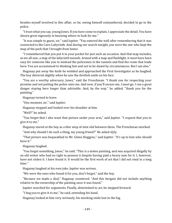besides myself involved in this affair, so he, seeing himself outnumbered, decided to go to the police.

"I trust what you say, young Jones. If you have come to explain, I appreciate the detail. You have shown great ingenuity in knowing where to look for me."

"It was simple to guess, sir," said Jupiter. "You entered the well after remembering that it was connected to the Cave-Labyrinth. And during our search tonight, you were the one who kept the map of the park that I brought from home.

"I remembered that you put it in your pocket for just such an occasion. And that map includes, as we all saw, a map of the labyrinth tunnels. Armed with a map and flashlight, it must have been easy for someone like you to mislead the policemen in the tunnels and find the route that leads here. You are accustomed to thinking fast and not to be dazed by circumstances. But I am also."

Huganay put away the knife he wielded and approached the First Investigator as he laughed. The boy shivered slightly when he saw the devilish smile on his face.

"You are a worthy adversary, Jones," said the Frenchman. "I thank you for respecting your promise and not putting the police onto me. And now, if you'll excuse me, I must go. I run a great danger staying here longer than advisable. And, by the way," he added, "thank you for the painting."

Huganay turned to leave.

"One moment, sir," said Jupiter.

Huganay stopped and looked over his shoulder at him.

"Well?" he asked.

"You forget that I also want that picture under your arm," said Jupiter. "I request that you to give it to me."

Huganay stared at the boy as a thin wisp of mist slid between them. The Frenchman smirked.

"And why should I do such a thing, my young friend?" He asked slyly.

"That picture was bequeathed to Mr. Glenn Heggyns," said Jupiter. "It's up to him who should have it."

Huganay laughed.

"You forget something, Jones," he said. "This is a stolen painting, and was acquired illegally by an old writer who had no right to possess it despite having paid a heavy sum for it. I, however, have not stolen it. I have found it. It would be the first work of art that I did not steal in a long time."

Huganay laughed at his own joke. Jupiter was serious.

"We were the ones who found it for you, don't forget," said the boy.

"Because we made a deal," Huganay countered. "And this bargain did not include anything relative to the ownership of the painting once it was found."

Jupiter searched for arguments. Finally, determined to act, he stepped forward.

"I beg you to give it to me," he said, extending his hand.

Huganay looked at him very seriously, his mocking smile lost in the fog.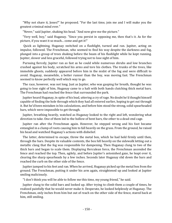"Why not share it, Jones?" he proposed. "For the last time, join me and I will make you the greatest criminal mind ever."

"Never," said Jupiter, shaking his head. "And now give me the picture."

"Very well, boy," said Huganay. "Since you persist in opposing me, then that's it. As for the picture, if you want it so much... come and get it!"

Quick as lightning, Huganay switched on a flashlight, turned and ran. Jupiter, acting on impulse, followed. The Frenchman, who seemed to find his way despite the darkness and fog, plunged into a group of trees shaking before the beam of his flashlight while he kept running. Jupiter, slower and less graceful, followed trying not to lose sight of him.

Pursuing fiercely, Jupiter ran as fast as he could while numerous shrubs and low branches crashed against his body, scratched his arms and tore his clothes. The trunks of the trees, like immobile ghosts, suddenly appeared before him in the midst of the fog and were difficult to avoid. Huganay, meanwhile, a better runner than the boy, was moving fast. The Frenchman seemed to know perfectly well which way to go.

The race, however, was not long. Just as Jupiter, who was gasping for breath, thought he was going to lose sight of him, Huganay came to a halt with both hands clutching thick metal bars. The Frenchman had reached the fence that surrounded the park.

Jupiter heard Huganay, in spite of his lead, uttering a cry of rage. No doubt he'd thought himself capable of finding the hole through which they had all entered earlier, hoping to get out through it. But he'd been mistaken in his calculations, and before him stood the strong, solid spearheaded bars, which were impossible to get through.

Jupiter, breathing heavily, watched as Huganay looked to the right and left, wondering what direction to take. One of them led to the hollow of bent bars, the other to a dead-end cage.

Jupiter ran after the Frenchman again. However, he stepped wrong and his foot became entangled in a clump of roots causing him to fall heavily on the grass. From the ground, he raised his head and watched Huganay's actions with disbelief.

The latter, determined to escape, threw the metal box, which he had held firmly until then, through the bars. Despite its valuable contents, the box fell heavily on the sidewalk letting out a metallic clang that the fog was responsible for dampening. Then Huganay clung to two of the thick bars and began to scale them. Displaying Herculean force, the Frenchman ascended the fence and reached the top. Then, agilely, and before Jupiter's astonished gaze, he leapt over it, clearing the sharp spearheads by a few inches. Seconds later Huganay slid down the bars and reached the curb on the other side of the fence.

Jupiter jumped to his feet and ran. When he arrived, Huganay picked up the metal box from the ground. The Frenchman, putting it under his arm again, straightened up and looked at Jupiter smiling maliciously.

"I don't think you will be able to follow me this time, my young friend," he said.

Jupiter clung to the solid bars and looked up. After trying to climb them a couple of times, he realized painfully that he would never make it. Desperate, he looked helplessly at Huganay. The Frenchman, only inches from him but out of reach on the other side of the fence, stared back at him, still smiling.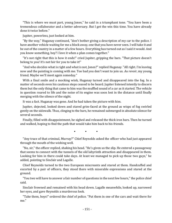"This is where we must part, young Jones," he said in a triumphant tone. "You have been a tremendous collaborator and a better adversary. But I get the win this time. You have already done it twice before."

Jupiter, powerless, just looked at him.

"By the way," Huganay continued, "don't bother giving a description of my car to the police. I have another vehicle waiting for me a block away, one that you have never seen. I will take it and be out of the country in a matter of a few hours. Everything has turned out as I said it would. And you know something, boy? I love it when a plan comes together."

"It's not right that this is how it ends!" cried Jupiter, gripping the bars. "That picture doesn't belong to you! It's not fair for you to take it!"

"And who decides what is right and what is not, Jones?" replied Huganay. "All right. I'm leaving now and the painting is coming with me. Too bad you don't want to join us. *Au revoir*, my young friend. Maybe we'll meet again someday."

With a final smile and a mocking wink, Huganay turned and disappeared into the fog. In a matter of seconds even his cautious steps ceased to be heard. Jupiter listened intently to discern them but the only thing that came to him was the muffled sound of a car as it started. The vehicle in question roared to life and the noise of its engine was soon lost in the distance until finally merging with the silence of the night.

It was a fact. Huganay was gone. And he had taken the picture with him.

Jupiter, dejected, looked down and stared grim-faced at the ground as wisps of fog swirled gently on the sidewalk. Thus, clinging to the bars, he remained submerged in absolute silence for several seconds.

Finally, filled with disappointment, he sighed and released the thick iron bars. Then he turned and walked, hoping to find the path that would take him back to his friends.

• • •

"Any trace of that criminal, Murray?" Chief Reynolds asked the officer who had just appeared through the mouth of the wishing well.

"No, sir," the officer replied, shaking his head. "He's given us the slip. He entered a passageway that seems to connect with the tunnels of the old labyrinth attraction and disappeared in them. Looking for him in there could take days. At least we managed to pick up those two guys," he added, pointing to Sinclair and Lagalle.

Chief Reynolds turned to the two European miscreants and stared at them. Handcuffed and escorted by a pair of officers, they stood there with miserable expressions and stared at the ground.

"You two will have to answer a fair number of questions in the next few hours," the police chief said.

Sinclair frowned and remained with his head down. Lagalle meanwhile, looked up, narrowed her eyes, and gave Reynolds a murderous look.

"Take them, boys!" ordered the chief of police. "Put them in one of the cars and wait there for me."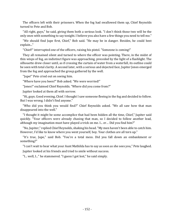The officers left with their prisoners. When the fog had swallowed them up, Chief Reynolds turned to Pete and Bob.

"All right, guys," he said, giving them both a serious look. "I don't think those two will be the only ones with something to say tonight. I believe you also have a few things you need to tell me."

"We should find Jupe first, Chief," Bob said. "He may be in danger. Besides, he could best explain..."

"Chief!" interrupted one of the officers, raising his pistol. "Someone is coming!"

They all remained silent and turned to where the officer was pointing. There, in the midst of thin wisps of fog, an indistinct figure was approaching, preceded by the light of a flashlight. The silhouette drew closer until, as if crossing the curtain of water from a waterfall, its outline could be seen with total clarity. A second later, with a serious and dejected face, Jupiter Jones emerged from the fog and approached the group gathered by the well.

"Jupe!" Pete cried out on seeing him.

"Where have you been?" Bob asked. "We were worried!"

"Jones!" exclaimed Chief Reynolds. "Where did you come from?"

Jupiter looked at them all with sorrow.

"Hi, guys. Good evening, Chief. I thought I saw someone fleeing in the fog and decided to follow. But I was wrong. I didn't find anyone."

"Who did you think you would find?" Chief Reynolds asked. "We all saw how that man disappeared into the well."

"I thought it might be some accomplice that had been hidden all the time, Chief," Jupiter said quickly. "Your officers were already chasing that man, so I decided to follow another lead, although my imagination must have played a trick on me. I... er… Did you find him?"

"No, Jupiter," replied Chief Reynolds, shaking his head. "My men haven't been able to catch him. However, I'd like to know where you went yourself, boy. Your clothes are all torn up."

"It's true, Jupe," said Bob. "You're a total mess. Did you fall down an embankment or something?"

"I can't wait to hear what your Aunt Mathilda has to say as soon as she sees you," Pete laughed. Jupiter looked at his friends and tried to smile without success.

"I... well, I..." he stammered. "I guess I got lost," he said simply.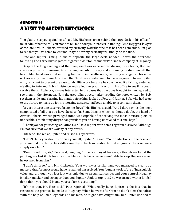## Chapter 21 A Visit to Alfred Hitchcock

"I'm glad to see you again, boys," said Mr. Hitchcock from behind the large desk in his office. "I must admit that the call you made to tell me about your interest in finding Glenn Heggyns, lawyer of the late Arthur Roberts, aroused my curiosity. Now that the case has been concluded, I'm glad to see that you've come to visit me. Maybe now my curiosity will finally be satisfied."

Pete and Jupiter, sitting in chairs opposite the large desk, nodded. It was the afternoon following The Three Investigators' nighttime visit to Oceanview Park in the company of Huganay.

Despite the long evening and the many emotions experienced during those hours, Bob had risen early the next morning. After calling the public library and explaining to Miss Bennett that he couldn't be at work that morning, but could in the afternoon, he busily arranged all his notes on the case by lunchtime. After that, the Third Investigator wentto the salvage yard to see Jupiter, who, reluctant to present the case to Mr. Hitchcock because he considered it a failure, ended up yielding to Pete and Bob's insistence and called the great director in his office to see if he could receive them. Hitchcock, always interested in the cases that the boys brought to him, agreed to see them in the afternoon. Now the great film director, after reading the notes written by Bob, set them aside and, clasping his hands before him, looked at Pete and Jupiter. Bob, who had to go to the library to make up for his morning absence, had been unable to accompany them.

"A very interesting case you bring me, boys," Mr. Hitchcock said. "And I dare say it's the most complicated of all that you have faced so far. Something in which, without a doubt, the hand of Arthur Roberts, whose privileged mind was capable of conceiving the most intricate plots, is noticeable. I think it my duty to congratulate you on having unraveled this one, boys."

"Thank you for your congratulations, sir," said Jupiter with some regret in his voice, "although I'm not sure that we are worthy of any praise."

Hitchcock looked at Jupiter and raised his eyebrows.

"I don't think you should criticize yourself, Jupiter," he said. "Your deductions in the case and your method of solving the riddle raised by Roberts in relation to that enigmatic chess set were simply excellent."

"Don't mind him, sir," Pete said, laughing. "Jupe is annoyed because, although we found the painting, we lost it. He feels responsible for this because he wasn't able to stop Huganay when he escaped from him."

"I don't think so," said Mr. Hitchcock. "Your work was brilliant and you managed to clear up a mystery that for most would have remained unresolved. You found a work of art of incalculable value and, although you lost it, it was only due to circumstances beyond your control. Huganay is taller, quicker and stronger than you, Jupiter. And, to top it off, he was armed with a knife. I don't think you should blame yourself for his escaping."

"It's not that, Mr. Hitchcock," Pete rejoined. "What really hurts Jupiter is the fact that he respected the promise he made to Huganay. When he went after him he didn't alert the police. With the help of Chief Reynolds and his men, he might have caught him, but Jupiter decided to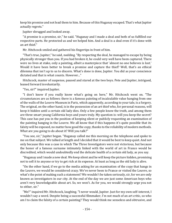keep his promise and not lead them to him. Because of this Huganay escaped. That's what Jupiter actually regrets."

Jupiter shrugged and looked away.

"A promise is a promise, sir," he said. "Huganay and I made a deal and both of us fulfilled our respective parts. He protected us and we helped him. And a deal is a deal even if it's done with an art thief."

Mr. Hitchcock smiled and gathered his fingertips in front of him.

"That's true, Jupiter," he said, nodding. "By respecting the deal, he managed to escape by being physically stronger than you. If you had broken it, he could very well have been captured. There were no lives at stake, only a painting, albeit a masterpiece that 'almost no one believes is lost.' Would it have been better to break a promise and capture the thief? Well, that's an ethical dilemma that isn't up to us to discern. What's done is done, Jupiter. You did as your conscience dictated and that is what counts. However..."

Hitchcock, master of suspense, paused and stared at the two boys. Pete and Jupiter, intrigued, leaned forward involuntarily.

"Yes, sir?" inquired Jupiter.

"I don't know if you really know what's going on here," Mr. Hitchcock went on. "The circumstances are as follows: there is a famous painting of incalculable value hanging from one of the walls of the Louvre Museum in Paris, which apparently, according to your tale, is a forgery. The original, on the other hand, is in the possession of an art thief who, for personal reasons, will keep it hidden until a certain old lady dies. Only a few people know the truth, and among them are three smart young California boys and yours truly. My question is: will you keep the secret? This case has put you in the position of keeping silent or publicly requesting an examination of the painting hanging in the Louvre. We all know that if this happens it's quite possible that its falsity will be exposed, no matter how good the copy, thanks to the reliability of modern methods. What are you going to do about it? Will you talk?"

"You see, sir," Jupiter began. "Huganay called me this morning on the telephone and spoke to me on that subject. We talked at length and I decided that it would be best to keep quiet. And not only because this was a case in which The Three Investigators were not victorious, but because the honor of a famous surname intimately linked with the world of art in France would be discredited, which would undoubtedly end the delicate health of a certain old lady, as you say.

"Huganay and I made a new deal. We keep silent and he will keep the picture hidden, promising not to sell it to anyone or try to get rich at its expense. At least as long as the old lady is alive.

"On the other hand, if we go to the media asking for an examination of the copy that hangs in the Louvre, we would be considered crazy. We've never been to France or visited the Louvre, so what's the point of making such a statement? We wouldn't be taken seriously, sir, for we are only known as investigators in our city. At the end of the day we are just some American boys who aren't very knowledgeable about art. So, we won't. As for you, we would strongly urge you not to either, sir."

"Me?" inquired Mr. Hitchcock, laughing. "I never would, Jupiter. Just for my own self-interest, I wouldn't say a word. Despite being a successful filmmaker, I'm not much of an art critic, so who am I to claim the falsity of a certain painting? They would think me senseless and obtrusive, and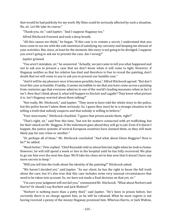that would be bad publicity for my work. My films could be seriously affected by such a situation. No, sir. Let life take its course."

"Thank you, sir," said Jupiter. "And I suppose Huganay too."

Alfred Hitchcock frowned and took a deep breath.

"All this causes me think," he began. "If this case is to remain a secret, I understand that you have come to see me with the sole intention of satisfying my curiosity and keeping me abreast of your activities. But, since, at least for the moment, this story is not going to be divulged, I suppose you aren't going to ask me to present the case. Am I wrong?"

Jupiter grinned.

"You aren't mistaken, sir," he answered. "Actually, we just came to tell you what happened and not to ask you to present a case that we don't know when it will come to light. However, if Huganay notifies us that his relative has died and therefore is free to reveal the painting, don't doubt that we will come to you to ask you to present our humble case."

"And it will be my pleasure once it becomes possible, boys," Alfred Hitchcock agreed. "But don't treat this case as humble. Frankly, it seems incredible to me that you have come across a painting from centuries ago that everyone admires in one of the world's leading museums when in fact it isn't. Now that I think about it, what will happen to Sinclair and Lagalle? They know what picture it is. Isn't Huganay worried about them talking?"

"Not really, Mr. Hitchcock," said Jupiter. "They seem to have told the whole story to the police, but the police haven't taken them seriously. So, I guess they must be in a strange situation to be telling a truth that nobody suspects and that nobody is willing to believe."

"Poor miscreants," Hitchcock chuckled. "I guess that prison awaits them, right?"

"That's right, sir," said Pete this time, "but not for matters connected with art trafficking, but for their attack on Mr. Heggyns. If the indictment goes ahead they will go to jail. Even if it doesn't happen, the justice systems of several European countries have claimed them, so they will most likely pay for one crime or another."

"Or perhaps all of them," Mr. Hitchcock concluded. "And what about Glenn Heggyns? How is he?" he added.

"Much better," Pete replied. "Chief Reynolds told us about him last night when he took us home. However, he will still spend a week or two in the hospital until he has fully recovered. We plan to go see him over the next few days. We'll take his chess set to him now that it doesn't have any more secrets to keep."

"Will you tell him the truth about the identity of the painting?" Hitchcock asked.

"We haven't decided yet," said Jupiter. "As our client, he has the right to know the full truth about the case, but it's also true that this case includes some very unusual circumstances that need to be taken into account. So, we have not made a final decision on that yet, sir."

"I'm sure your judgment will not fail you," commented Mr. Hitchcock. "What about Norbert and Harris? Or should I say Norbert and Jack Walton?"

"Norbert is nothing more than a petty thief," said Jupiter. "He's been in prison before, but currently there is no charge against him, so he will be released. What he most regrets is not having received a penny of the money Huganay promised him. Whereas Harris, or Jack Walton,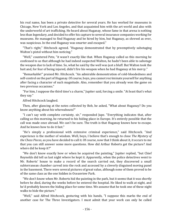his real name, has been a private detective for several years. He has worked for museums in Chicago, New York and Los Angeles, and that acquainted him with the art world and also with the underworld of art trafficking. He heard about Huganay, whose fame in that arena is nothing less than legendary, and decided to offer his capture to several insurance companies working for museums. He managed to find Huganay and be hired by him, but Huganay, as shrewd as ever, was suspicious. In the end Huganay was smarter and escaped."

"That's right," Hitchcock agreed. "Huganay demonstrated that by preemptively sabotaging Walton's pistol without him noticing."

"Well," countered Pete, "it wasn't exactly like that. When Huganay called us this morning he confessed to us that although he had indeed suspected Walton, he hadn't been able to sabotage the weapon due to lack of time. So, what he said by the well was just a bluff. But Walton took the bait and, for fear of being injured, didn't fire his weapon when he had Huganay at his mercy."

"Remarkable!" praised Mr. Hitchcock. "An admirable demonstration of cold-bloodedness and self-control on the part of Huganay. Of course, boys, you cannot recriminate yourself for anything after facing a character of such magnitude. Also, remember that you already won the game on two previous occasions."

"For him, I suppose the third time's a charm," Jupiter said, forcing a smile. "At least that's what they say."

Alfred Hitchcock laughed.

Then, after glancing at the notes collected by Bob, he asked, "What about Huganay? Do you know anything about his whereabouts?"

"I can't say with complete certainty, sir," responded Jupe. "Everything indicates that, after calling us this morning, he returned to his hiding place in Europe. It's entirely possible that the call was made once abroad. We can't be sure. The truth is that Huganay knows how to escape. And he knows how to do it fast."

"He's simply a professional with extensive criminal experience," said Hitchcock. "And experience is the mother of wisdom. Well, boys, I believe that's enough to close *The Mystery of the Chess Pieces*, as you have decided to call it. Of course, now that I think about it, it occurs to me that you can still answer some more questions. How did Arthur Roberts get the picture? And where did he keep it?"

"We don't know exactly how or when he acquired the painting," Jupiter replied, "but Chief Reynolds did tell us last night where he kept it. Apparently, when the police detectives went to Mr. Roberts' house to make a record of the search carried out, they discovered a small subterranean chamber carved into the rock and accessed by a cleverly disguised moving panel in the basement. There were several pictures of great value, although none of them proved to be of the same class as the one hidden in Oceanview Park.

"We don't know when Mr. Roberts hid the painting in the park, but it seems that it was shortly before he died, during the weeks before he entered the hospital. He liked to walk at night, and he'd probably known the hiding place for some time. We assume that he took one of these night walks to hide the picture."

"Well," said Alfred Hitchcock, gesturing with his hands, "I suppose this marks the end of another case for The Three Investigators. I must admit that your work can only be called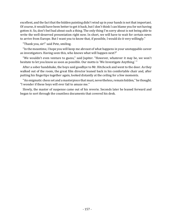excellent, and the fact that the hidden painting didn't wind up in your hands is not that important. Of course, it would have been better to get it back, but I don't think I can blame you for not having gotten it. So, don't feel bad about such a thing. The only thing I'm sorry about is not being able to write the well-deserved presentation right now. In short, we will have to wait for certain news to arrive from Europe. But I want you to know that, if possible, I would do it very willingly."

"Thank you, sir!" said Pete, smiling.

"In the meantime, I hope you will keep me abreast of what happens in your unstoppable career as investigators. Having seen this, who knows what will happen next?"

"We wouldn't even venture to guess," said Jupiter. "However, whatever it may be, we won't hesitate to let you know as soon as possible. Our motto is 'We Investigate Anything.' "

After a sober handshake, the boys said goodbye to Mr. Hitchcock and went to the door. As they walked out of the room, the great film director leaned back in his comfortable chair and, after putting his fingertips together again, looked distantly at the ceiling for a few moments.

"An enigmatic chess set and a masterpiece that must, nevertheless, remain hidden," he thought. "I wonder if these boys will ever fail to amaze me."

Slowly, the master of suspense came out of his reverie. Seconds later he leaned forward and began to sort through the countless documents that covered his desk.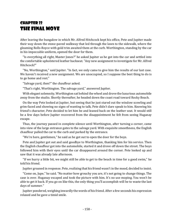## Chapter 22 The Final Move

After leaving the bungalow in which Mr. Alfred Hitchcock kept his office, Pete and Jupiter made their way down the stone-paved walkway that led through the lawn to the sidewalk, where the gleaming Rolls-Royce with gold trim awaited them at the curb. Worthington, standing by the car in his impeccable uniform, opened the door for them.

"Is everything all right, Master Jones?" he asked Jupiter as he got into the car and settled into the comfortable upholstered leather backseat. "Any new assignment to investigate for Mr. Alfred Hitchcock?"

"No, Worthington," said Jupiter. "In fact, we only came to give him the results of our last case. We haven't received a new assignment. We are unoccupied, so I suppose the best thing to do is to go home and rest."

"Salvage yard, then?" the chauffeur asked.

"That's right, Worthington. The salvage yard," answered Jupiter.

With elegant solemnity, Worthington sat behind the wheel and drove the luxurious automobile away from the studio. Shortly thereafter, he headed down the coast road toward Rocky Beach.

On the way Pete looked at Jupiter, but seeing that he just stared out the window scowling and grim-faced and showing no signs of wanting to talk, Pete didn't dare speak to him. Knowing his friend's character, Pete decided to let him be and leaned back on the leather seat. It would still be a few days before Jupiter recovered from the disappointment he felt from seeing Huganay escape.

Thus, the journey passed in complete silence until Worthington, after turning a corner, came into view of the large entrance gates to the salvage yard. With exquisite smoothness, the English chauffeur pulled the car to the curb and parked by the entrance.

"We're here, gentlemen," he said as he got out to open the door for the boys.

Pete and Jupiter got out and said goodbye to Worthington, thanking him for his service. Then the English chauffeur got into the automobile, started it and drove off down the street. The boys followed him with their eyes until the car disappeared around the corner. Pete looked up and saw that it was already late afternoon.

"If we hurry a little bit, we might still be able to get to the beach in time for a good swim," he told his friend.

Jupiter groaned in response. Pete, realizing that his friend wasn't in the mood, decided to insist.

"Come on, Jupe," he said. "No matter how grouchy you are, it's not going to change things. The case is over. Huganay escaped and took the picture with him. It's no use moping. You won't be able to get it back. If you go on like this, the only thing you'll accomplish will be to waste the last days of summer."

Jupiter pondered, weighing inwardly the words of his friend. After a few seconds his expression relaxed and he gave a timid smile.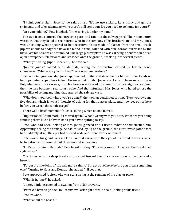"I think you're right, Second," he said at last. "It's no use sulking. Let's hurry and get our swimsuits and take advantage while there's still some sun. Do you need to go home for yours?"

"Are you kidding?" Pete laughed. "I'm wearing it under my pants!"

The two friends entered the large iron gates and ran into the salvage yard. Their momentum was such that they failed to see Konrad, who, in the company of his brother Hans and Mrs. Jones, was unloading what appeared to be decorative plates made of plaster from the small truck. Jupiter, unable to dodge the Bavarian blond in time, collided with him. Konrad, surprised by the blow, lost his balance and stumbled. The large plaster plate he was carrying, about the size of an open newspaper, fell forward and smashed onto the ground, breaking into several pieces.

"What you doing, Jupe? Be careful," Konrad said.

"Jupiter Jones!" roared Aunt Mathilda, seeing the destruction caused by her nephew's clumsiness. "What were you thinking? Look what you've done!"

Red with indignation, Mrs. Jones approached Jupiter and stood before him with her hands on her hips. Pete stepped back in fear. He knew that for Mrs. Jones a broken article meant a lost sale. But, what was more serious, if such a break was caused by some sort of oversight or accident, then the loss became a real catastrophe. And that infuriated Mrs. Jones, who hated to lose the possibility of selling anything that entered the salvage yard.

"Why don't you look where you're going?" the woman continued to rant. "Now you owe me five dollars, which is what I thought of asking for that plaster plate. And now get out of here before you wreck the whole cargo!"

There was a brief moment of silence, during which no one moved.

"Jupiter Jones!" Aunt Mathilda roared again. "What's wrong with you now? What are you doing standing there like a halfwit? Don't you have anything to say?"

Pete, who had been looking at Mrs. Jones, glanced at his friend. What he saw startled him. Apparently, seeing the damage he had caused laying on the ground, the First Investigator's face had suddenly lit up. His eyes had opened wide and shone with excitement.

Pete was on his guard. When a look like that surfaced in the eyes of his friend, it was because he had discovered some detail of paramount importance.

"I… I'm sorry, Aunt Mathilda," Pete heard him say. "I'm really sorry. I'll pay you the five dollars right away."

Mrs. Jones let out a deep breath and started toward the office in search of a dustpan and a broom.

"Forget the five dollars," she said more calmly. "But get out of here before you break something else." Turning to Hans and Konrad, she added, "I'll get that."

Pete approached Jupiter, who was still staring at the remains of the plaster plate.

"What is it, Jupe?" he asked.

Jupiter, blinking, seemed to awaken from a faint reverie.

"Pete! We have to go back to Oceanview Park right now!" he said, looking at his friend.

Pete frowned.

"What about the beach?"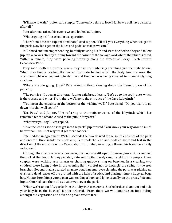"It'll have to wait," Jupiter said simply. "Come on! No time to lose! Maybe we still have a chance after all!"

Pete, alarmed, raised his eyebrows and looked at Jupiter.

"What's going on?" he asked in exasperation.

"There's no time for explanations now," said Jupiter. "I'll tell you everything when we get to the park. Now let's get on the bikes and pedal as fast as we can."

Still dazed and uncomprehending, but fully trusting his friend, Pete decided to obey and follow Jupiter, who was already running toward the corner of the salvage yard where their bikes rested. Within a minute, they were pedaling furiously along the streets of Rocky Beach toward Oceanview Park.

They soon spotted the scene where they had been intensely searching just the night before. When they finally reached the barred iron gate behind which the leafy treetops rose, the afternoon light was beginning to decline and the park was being covered in increasingly long shadows.

"Where are we going, Jupe?" Pete asked, without slowing down the frenetic pace of his pedaling.

"The park is still open at this hour," Jupiter said breathlessly. "Let's go to the south gate, which is the closest, and enter. From there we'll go to the entrance of the Cave-Labyrinth."

"You mean the entrance at the bottom of the wishing well?" Pete asked. "Do you want to go down into that well again?"

"No, Pete," said Jupiter. "I'm referring to the main entrance of the labyrinth, which has remained fenced off and closed to the public for years."

"Whatever you say," Pete replied.

"Take the lead as soon as we get into the park," Jupiter said. "You know your way around much better than I do. That way we'll get there sooner."

Pete nodded in agreement. Within seconds the two arrived at the south entrance of the park and entered. Once inside the enclosure, Pete took the lead and pedaled swift and fast in the direction of the entrance of the Cave-Labyrinth. Jupiter, sweating, followed his friend as closely as he could.

Although the afternoon was almost over, the park was still open. However, few visitors roamed the park at that hour. As they pedaled, Pete and Jupiter barely caught sight of any people. A few couples were walking arm in arm or chatting quietly sitting on benches. In a clearing, two children were flying a kite in the evening light, careful not to entangle the string in the tree branches. Beyond that, a bearded man, no doubt an employee cleaning the park, was picking up trash and dead leaves off the ground with the help of a stick, and placing it into a huge garbage bag. Not far from him a young man was reading a book and lying casually on the grass. Pete and Jupiter hurried past them all as dusk swept over the park.

"When we're about fifty yards from the labyrinth's entrance, hit the brakes, dismount and hide your bicycle in the bushes," Jupiter ordered. "From there we will continue on foot, hiding amongst the vegetation and advancing from tree to tree."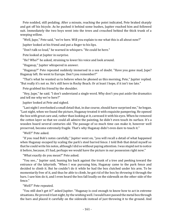Pete nodded, still pedaling. After a minute, reaching the point indicated, Pete braked sharply and got off his bicycle. As he pushed it behind some bushes, Jupiter reached him and followed suit. Immediately the two boys went into the trees and crouched behind the thick trunk of a weeping willow.

"Well, Jupe," Pete said, "we're here. Will you explain to me what this is all about now?"

Jupiter looked at his friend and put a finger to his lips.

"Don't talk so loud," he warned in whispers. "He could be here."

Pete looked at Jupiter in surprise.

"He? Who?" he asked, straining to lower his voice and look around.

"Huganay," Jupiter whispered in answer.

"Huganay?" Pete repeated suddenly immersed in a sea of doubt. "Have you gone mad, Jupe? Huganay left. He went to Europe. Don't you remember?"

"That's what he wanted us to believe when he phoned us this morning, Pete," Jupiter replied. "But really it's not so. He's still here in Rocky Beach. Or at least I hope, if it isn't too late."

Pete grabbed his friend by the shoulder.

"Hey, Jupe," he said. "I don't understand a single word. Why don't you put aside the dramatics and tell me why we're here?"

Jupiter looked at Pete and sighed.

"Last night I overlooked a small detail that, in due course, should have surprised me," he began. "Last night, when we found the picture, Huganay treated it with exquisite pampering. He opened the box with great care and, rather than looking at it, caressed it with his eyes. When he removed the cotton layer so that we could all admire the painting, he didn't even touch its surface. It's a wooden board several centuries old. The passage of so much time can make it, however well preserved, become extremely fragile. That's why Huganay didn't even dare to touch it."

"Well?" Pete asked.

"If you read Bob's notes carefully," Jupiter went on, "you will recall a detail of what happened when Huganay escaped by scaling the park's steel barred fence. I told Bob that detail myself so that he could write his notes, although I did so without paying attention. I was stupid not to notice it before, because, if I had, perhaps we would have the picture in our possession right now."

"What exactly do you mean?" Pete asked.

"You see..." Jupiter said, leaning his back against the trunk of a tree and peeking toward the entrance of the labyrinth. "When I was pursuing him, Huganay came to the park fence and decided to climb it. But he couldn't do it while he had the box clutched under his arm. To be momentarily free of it, and thus be able to climb, he got rid of the box by *throwing* it through the bars. I saw him do it, and I even heard the box fall loudly on the sidewalk on the other side of the fence."

"Well?" Pete repeated.

"You still don't get it?" asked Jupiter. "Huganay is cool enough to know how to act in extreme situations. He proved it last night, by the wishing well. I would have passed the metal box through the bars and placed it carefully on the sidewalk instead of just throwing it to the ground. And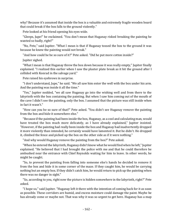why? Because it's assumed that inside the box is a valuable and extremely fragile wooden board that could break if the box falls to the ground violently."

Pete looked at his friend opening his eyes wide.

"Gleeps, Jupe!" he exclaimed. "You don't mean that Huganay risked breaking the painting he wanted so badly, right?"

"No, Pete," said Jupiter. "What I mean is that if Huganay tossed the box to the ground it was because he knew the painting would not break."

"And how could he be so sure of it?" Pete asked. "Did he put more cotton inside?"

Jupiter sighed.

"What I mean is that Huganay threw the box down because it was really empty," Jupiter finally explained. "I realized this earlier when I saw the plaster plate break as it hit the ground after I collided with Konrad in the salvage yard."

Pete raised his eyebrows in surprise.

"I don't understand, Jupe," he said. "We all saw him enter the well with the box under his arm. And the painting was inside it all the time."

"Yes," Jupiter nodded, "we all saw Huganay go into the wishing well and from there to the labyrinth with the box containing the painting. But when I saw him coming out of the mouth of the cave I didn't see the painting, only the box. I assumed that the picture was still inside when in fact it wasn't."

"How can you be so sure of that?" Pete asked. "You didn't see Huganay remove the painting from the box and hide it somewhere else."

"Because if the painting had been inside the box, Huganay, as a cool and calculating man, would have treated the box much more delicately, as I have already explained," Jupiter insisted. "However, if the painting had really been inside the box and Huganay had inadvertently dropped it more violently than intended, he certainly would have lamented it. But he didn't. He dropped it, climbed the fence and picked up the box on the other side as if it were nothing."

"And why would Huganay remove the painting from the box?" Pete asked.

"When he entered the labyrinth, Huganay didn't know what he would find when he left," Jupiter explained. "He believed that I had brought the police with me and that he could therefore be ambushed near the entrance with Chief Reynolds waiting for him to leave. In other words, he might be caught.

"So, to prevent the painting from falling into someone else's hands he decided to remove it from the box and hide it in some corner of the maze. If they caught him, he would be carrying nothing but an empty box. If they didn't catch him, he would return to pick up the painting when there was no danger in sight."

"So, according to you, right now the picture is hidden somewhere in the labyrinth, right?" Pete asked.

"I hope so," said Jupiter. "Huganay left it there with the intention of coming back for it as soon as possible. These corridors are humid, and excess moisture could damage the paint. Maybe he has already come or maybe not. That was why it was so urgent to get here. Huganay has a map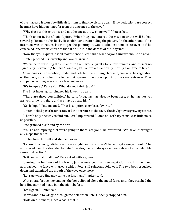of the maze, so it won't be difficult for him to find the picture again. If my deductions are correct he must have hidden it not far from the entrance to the cave."

"Why close to this entrance and not the one at the wishing well?" Pete asked.

"Think about it, Pete," said Jupiter. "When Huganay entered the maze near the well he had several policemen at his heels. He couldn't entertain hiding the picture. On the other hand, if his intention was to return later to get the painting, it would take less time to recover it if he concealed it near this entrance than if he hid it in the depths of the labyrinth."

"Now that you explain it, it all makes sense," Pete said. "What do you think we should do now?"

Jupiter pinched his lower lip and looked around.

"We've been watching the entrance to the Cave-Labyrinth for a few minutes, and there's no sign of any movement," he said. "Come on, let's approach cautiously moving from tree to tree."

Advancing as he described, Jupiter and Pete left their hiding place and, crossing the vegetation of the park, approached the fence that spanned the access point to the cave entrance. They stopped when they were only a few feet away.

"It's too quiet," Pete said. "What do you think, Jupe?"

The First Investigator pinched his lower lip again.

"There are three possibilities," he said. "Huganay has already been here, or he has not yet arrived, or he is in there and we may run into him."

"Gosh, Jupe!" Pete moaned. "That last option is my least favorite!"

Jupiter looked past the fence toward the entrance to the cave. The daylight was growing scarce.

"There's only one way to find out, Pete," Jupiter said. "Come on. Let's try to make as little noise as possible."

Pete grabbed his friend by the arm.

"You're not implying that we're going in there, are you?" he protested. "We haven't brought any maps this time!"

Jupiter freed himself and stepped forward.

"I know. In a hurry, I didn't realize we might need one, so we'll have to get along without it," he whispered over his shoulder to Pete. "Besides, we can always avail ourselves of your infallible sense of direction."

"Is it really that infallible?" Pete asked with a groan.

Ignoring the hesitancy of his friend, Jupiter emerged from the vegetation that hid them and approached the fence with great strides. Pete, still reluctant, followed. The two boys crouched down and examined the mouth of the cave once more.

"Let's go where Huganay came out last night," Jupiter said.

With silent, furtive movements, the boys slipped along the metal fence until they reached the hole Huganay had made in it the night before.

"Let's go in," Jupiter said.

He was about to wriggle through the hole when Pete suddenly stopped him.

"Hold on a moment, Jupe! What is that?"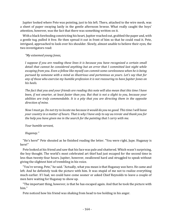Jupiter looked where Pete was pointing, just to his left. There, attached to the wire mesh, was a sheet of paper swaying lazily in the gentle afternoon breeze. What really caught the boys' attention, however, was the fact that there was something written on it.

With a black foreboding constricting his heart, Jupiter reached out, grabbed the paper and, with a gentle tug, pulled it free. He then spread it out in front of him so that he could read it. Pete, intrigued, approached to look over his shoulder. Slowly, almost unable to believe their eyes, the two investigators read:

#### *"My esteemed young Jones,*

*I suppose if you are reading these lines it is because you have recognized a certain small detail that cannot be considered anything but an error that I committed last night while escaping from you. Even a fellow like myself can commit some carelessness when he is being pursued by someone with a mind as illustrious and portentous as yours. Let's say that for any of those who exercise my humble profession it is not reassuring to have Jupiter Jones on his heels.*

*The fact that you and your friends are reading this note will also mean that this time I have been, if not smarter, at least faster than you. But that is not a slight to you, because your abilities are truly commendable. It is a pity that you are directing them in the opposite direction of mine.*

*Now I must go. Do not try to locate me because it would do you no good. This time I will leave your country in a matter of hours. That is why I have only to say* au revoir *and thank you for the help you have given me in the search for the painting that I carry with me.*

*Your humble servant,*

#### *Huganay."*

"He's here!" Pete shouted as he finished reading the letter. "You were right, Jupe. Huganay is here!"

Pete looked at his friend and saw that his face was pale and shattered. Which wasn't surprising, the boy thought. The world's most celebrated art thief had just escaped for the second time in less than twenty-four hours. Jupiter, however, swallowed hard and struggled to speak without giving the slightest hint of trembling in his voice.

"You're wrong, Pete," he said. "Actually, what you mean is that Huganay *was* here. He came and left. And he definitely took the picture with him. It was stupid of me not to realize everything much earlier. If I had, we could have come sooner or asked Chief Reynolds to leave a couple of men here waiting for Huganay to show up.

"The important thing, however, is that he has escaped again. And that he took the picture with him."

Pete noticed how his friend was shaking from head to toe holding in his anger.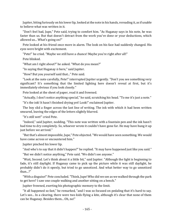Jupiter, biting furiously on his lower lip, looked at the note in his hands, rereading it, as if unable to believe what was written in it.

"Don't feel bad, Jupe," Pete said, trying to comfort him. "As Huganay says in his note, he was faster than us. But that doesn't detract from the work you've done or your deductions, which allowed us... What's going on?"

Pete looked at his friend once more in alarm. The look on his face had suddenly changed. His eyes were bright with excitement.

"Pete!" he cried. "Maybe we still have a chance! Maybe you're right after all!"

Pete blinked.

"What am I right about?" he asked. "What do you mean?"

"In saying that Huganay *is* here," said Jupiter.

"How? But you yourself said that..." Pete said.

"Look at the note carefully, Pete!" interrupted Jupiter urgently. "Don't you see something very significant? It's something that the limited lighting here doesn't reveal at first, but it's immediately obvious if you look closely."

Pete looked at the sheet of paper, read it and frowned.

"Actually, I don't notice anything special," he said, scratching his head. "To me it's just a note."

"It's the ink! It hasn't finished drying yet! Look!" exclaimed Jupiter.

The boy slid a finger across the last line of writing. The ink with which it had been written smeared, leaving the edges of the letters slightly blurred.

"It's still wet!" cried Pete.

"Indeed," said Jupiter, nodding. "This note was written with a fountain pen and the ink hasn't had time to dry completely. So, whoever wrote it couldn't have gone far. He may have hung it up just before we arrived."

"But that's almost impossible, Jupe," Pete objected. "We would have seen something. We would have come across or encountered him."

Jupiter pinched his lower lip.

"And who's to say that it didn't happen?" he replied. "It may have happened just like you said."

"But we didn't notice anything," Pete said. "We didn't see anyone."

"Wait, Second. Let's think about it a little bit," said Jupiter. "Although the light is beginning to fade, it's still daylight. If Huganay came to pick up the picture while it was still daylight, he probably didn't do it openly, but tried to go unnoticed. And what better way to go unnoticed than...?"

"With a disguise!" Pete concluded. "Think, Jupe! Who did we see as we walked through the park to get here? I saw one couple walking and another sitting on a bench."

Jupiter frowned, exerting his photographic memory to the limit.

"It all happened so fast," he remarked, "and I was so focused on pedaling that it's hard to say. Let's see... In a clearing, there were two kids flying a kite, although it's clear that none of them can be Huganay. Besides them... Oh, no!"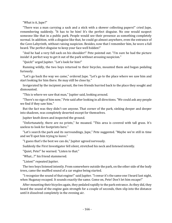"What is it, Jupe?"

"There was a man carrying a sack and a stick with a skewer collecting papers!" cried Jupe, remembering suddenly. "It has to be him! It's the perfect disguise. No one would suspect someone like that in a public park. People would see their presence as something completely normal. In addition, with a disguise like that, he could go almost anywhere, even the entrance of the Cave-Labyrinth, without raising suspicion. Besides, now that I remember him, he wore a full beard. The perfect disguise to keep your face well hidden!"

"And he had a very full sack on his shoulder!" Pete pointed out. "I'm sure he had the picture inside! A perfect way to get it out of the park without arousing suspicion."

"Quick!" urged Jupiter. "Let's look for him!"

Running wildly, the two boys returned to their bicycles, mounted them and began pedaling furiously.

"Let's go back the way we came," ordered Jupe. "Let's go to the place where we saw him and start looking for him there. He may still be close by."

Invigorated by the incipient pursuit, the two friends hurried back to the place they sought and dismounted.

"This is where we saw that man," Jupiter said, looking around.

"There's no sign of him now," Pete said after looking in all directions. "We could ask any people we find if they saw him."

But the fact was they didn't see anyone. That corner of the park, sinking deeper and deeper into shadows, was completely deserted except for themselves.

Jupiter knelt down and inspected the ground.

"Unfortunately, there are no prints," he moaned. "This area is covered with tall grass. It's useless to look for footprints here."

"Let's search the park and its surroundings, Jupe," Pete suggested. "Maybe we're still in time and we'll spot him trying to leave."

"I guess that's the best we can do," Jupiter agreed nervously.

Suddenly the First Investigator fell silent, stretched his neck and listened intently.

"Quiet, Pete!" he warned. "Listen to that."

"What...?" his friend stammered.

"Listen!" repeated Jupiter.

The two boys listened intently. From somewhere outside the park, on the other side of the leafy trees, came the muffled sound of a car engine being started.

"I recognize the sound of that engine!" said Jupiter. "I swear it's the same one I heard last night, when Huganay escaped. It sounds exactly the same. Come on, Pete! Don't let him escape!"

After mounting their bicycles again, they pedaled rapidly to the park entrance. As they did, they heard the sound of the engine gain strength for a couple of seconds, then slip into the distance until it dissolved completely in the evening air.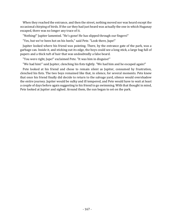When they reached the entrance, and then the street, nothing moved nor was heard except the occasional chirping of birds. If the car they had just heard was actually the one in which Huganay escaped, there was no longer any trace of it.

"Nothing!" Jupiter lamented. "He's gone! He has slipped through our fingers!"

"Yes, but we've been hot on his heels," said Pete. "Look there, Jupe!"

Jupiter looked where his friend was pointing. There, by the entrance gate of the park, was a garbage can. Inside it, and sticking out its edge, the boys could see a long stick, a large bag full of papers and a thick tuft of hair that was undoubtedly a false beard.

"You were right, Jupe!" exclaimed Pete. "It was him in disguise!"

"We had him!" said Jupiter, clenching his fists tightly. "We had him and he escaped again!"

Pete looked at his friend and chose to remain silent as Jupiter, consumed by frustration, clenched his fists. The two boys remained like that, in silence, for several moments. Pete knew that once his friend finally did decide to return to the salvage yard, silence would overshadow the entire journey. Jupiter would be sulky and ill tempered, and Pete would have to wait at least a couple of days before again suggesting to his friend to go swimming. With that thought in mind, Pete looked at Jupiter and sighed. Around them, the sun began to set on the park.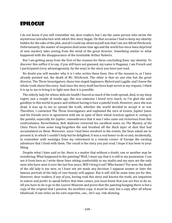# Epilogue

I do not know if you will remember me, dear readers, but I am the same person who wrote the mysterious introduction with which this story began. On that occasion I had to keep my identity hidden for the sake of the plot, and all I could say about myself was that I am not Alfred Hitchcock. Unfortunately, the master of suspense died some time ago and the world has since been deprived of new mystery tales arising from the mind of the great director. Something similar to what happened with the disappearance of the inimitable Arthur Roberts.

But I am getting away from the first of the reasons for these concluding lines: my identity. To discover this suffice it to say, if you still have not guessed, my name is Huganay, I am French and I participated (very advantageously, by the way) in the story you have just read.

No doubt you will wonder why it is I who writes these lines. One of the reasons is, as I have already pointed out, the death of Mr. Hitchcock. The other is that no one else but the great director, The Three Investigators, those two stupid beginners *Mylord* and Lagalle, and I knew the whole truth about this story. And since the story itself has been kept secret at my request, I think it is up to me to bring it to light now that it is possible.

The elderly lady for whose delicate health I feared so much if the truth spread, died, to my deep regret, just a couple of weeks ago. She was someone I loved very much, so I'm glad she said goodbye to this world in peace and without having to face a painful truth. However, once she was dead, it was up to me to spread the truth, whether the world decided to accept it or not. Therefore, I contacted The Three Investigators and explained the turn of events. Jupiter Jones and his friends were in agreement with me in spite of their initial reaction against it, owing to the painful, especially for Jupiter, remembrance that it was I who came out victorious from this confrontation. Nevertheless, Bob Andrews retrieved his excellent notes on *The Mystery of the Chess Pieces* from some long-forgotten file and brushed off the thick layer of dust that had accumulated on them. Moreover, since I had been involved in the events, the boys asked me to present it, to which I couldn't help but be delighted. It was a real honor to do so and, incidentally, to remember with nostalgia from my retirement in a remote corner of Europe the exciting adventure that I lived with them. The result is the story you just read. I hope it has been to your liking.

Despite what I have said so far, there is a matter that without a doubt, one or another may be wondering. What happened to the painting? Well, I must say that it is still in my possession. I can see it from here as I write these lines sitting comfortably in my studio and my eyes are the only ones who have seen it over the last few years. Will I bring it out? Who knows? For now, the death of the old lady is too new, so I have not yet made any decision. I suppose sooner or later the famous portrait of the lady of rare beauty will appear. But it will still be some time yet for this. However, dear readers, if any of you, having read this story and known the truth, are impatient in nature and prefer to speak before that time comes, you must know that you are free to do so. All you have to do is go to the Louvre Museum and prove that the painting hanging there is but a copy of the original that I possess. An excellent copy, it must be said, but a copy after all whose falsehood, if one relies on his own expertise, can... let's say, risk showing.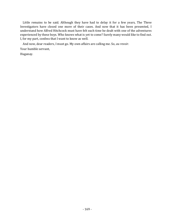Little remains to be said. Although they have had to delay it for a few years, The Three Investigators have closed one more of their cases. And now that it has been presented, I understand how Alfred Hitchcock must have felt each time he dealt with one of the adventures experienced by these boys. Who knows what is yet to come? Surely many would like to find out. I, for my part, confess that I want to know as well.

And now, dear readers, I must go. My own affairs are calling me. So, *au revoir*. Your humble servant, Huganay.

- 169 -